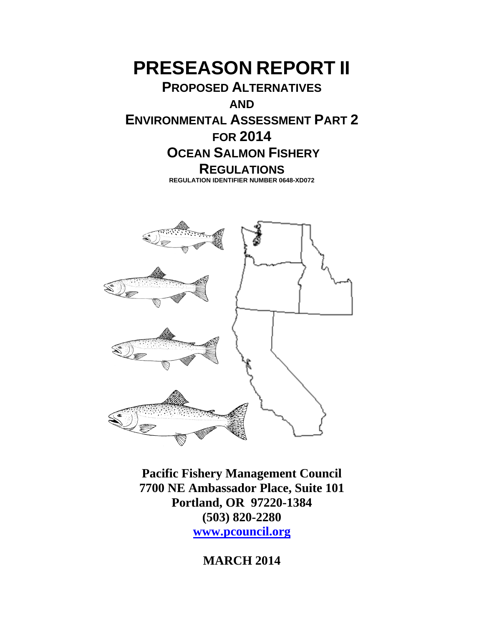

# **PROPOSED ALTERNATIVES**

# **AND**

**ENVIRONMENTAL ASSESSMENT PART 2** 

# **FOR 2014**

# **OCEAN SALMON FISHERY**

**REGULATIONS**

**REGULATION IDENTIFIER NUMBER 0648-XD072**



**Pacific Fishery Management Council 7700 NE Ambassador Place, Suite 101 Portland, OR 97220-1384 (503) 820-2280 www.pcouncil.org**

# **MARCH 2014**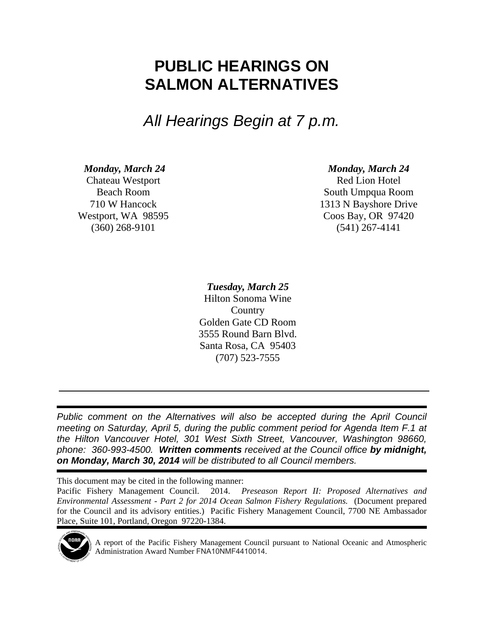# **PUBLIC HEARINGS ON SALMON ALTERNATIVES**

*All Hearings Begin at 7 p.m.* 

 *Monday, March 24* Chateau Westport Beach Room 710 W Hancock Westport, WA 98595 (360) 268-9101

*Monday, March 24*

Red Lion Hotel South Umpqua Room 1313 N Bayshore Drive Coos Bay, OR 97420 (541) 267-4141

*Tuesday, March 25* Hilton Sonoma Wine **Country** Golden Gate CD Room 3555 Round Barn Blvd. Santa Rosa, CA 95403 (707) 523-7555

Public comment on the Alternatives will also be accepted during the April Council *meeting on Saturday, April 5, during the public comment period for Agenda Item F.1 at the Hilton Vancouver Hotel, 301 West Sixth Street, Vancouver, Washington 98660, phone: 360-993-4500. Written comments received at the Council office by midnight, on Monday, March 30, 2014 will be distributed to all Council members.*

This document may be cited in the following manner:

Pacific Fishery Management Council. 2014. *Preseason Report II: Proposed Alternatives and Environmental Assessment - Part 2 for 2014 Ocean Salmon Fishery Regulations.* (Document prepared for the Council and its advisory entities.) Pacific Fishery Management Council, 7700 NE Ambassador Place, Suite 101, Portland, Oregon 97220-1384.



A report of the Pacific Fishery Management Council pursuant to National Oceanic and Atmospheric Administration Award Number FNA10NMF4410014.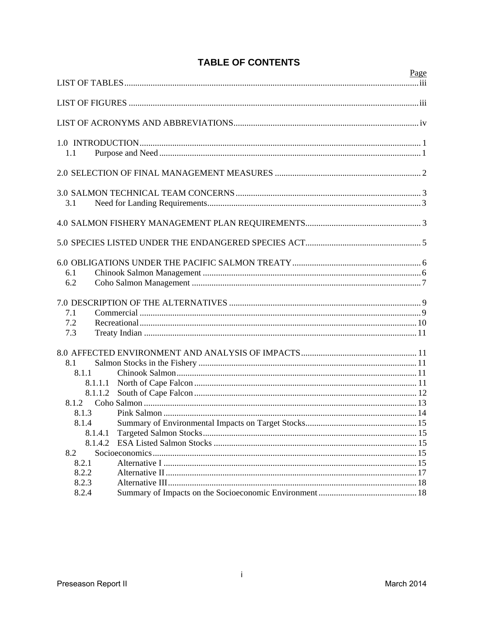| Page                                                            |
|-----------------------------------------------------------------|
|                                                                 |
|                                                                 |
|                                                                 |
| 1.1                                                             |
|                                                                 |
| 3.1                                                             |
|                                                                 |
|                                                                 |
| 6.1<br>6.2                                                      |
| 7.1<br>7.2<br>7.3                                               |
| 8.1<br>8.1.1<br>8.1.1.1<br>8.1.3<br>8.1.4<br>8.1.4.1<br>8.1.4.2 |
| 8.2<br>8.2.1<br>8.2.2<br>8.2.3<br>8.2.4                         |

# **TABLE OF CONTENTS**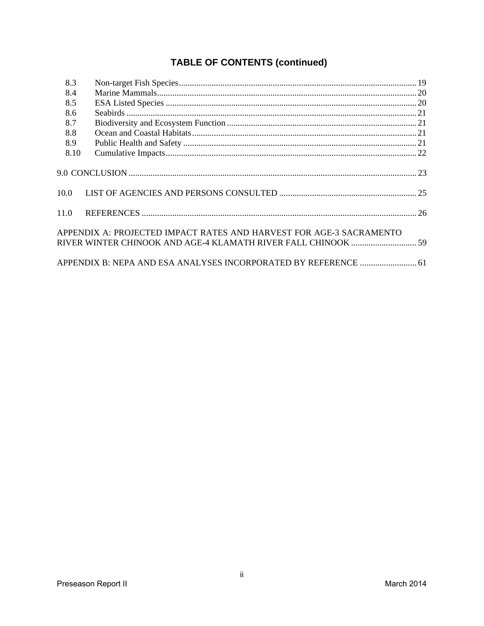# **TABLE OF CONTENTS (continued)**

| 8.3  |                                                                                                                                      |  |
|------|--------------------------------------------------------------------------------------------------------------------------------------|--|
| 8.4  |                                                                                                                                      |  |
| 8.5  |                                                                                                                                      |  |
| 8.6  |                                                                                                                                      |  |
| 8.7  |                                                                                                                                      |  |
| 8.8  |                                                                                                                                      |  |
| 8.9  |                                                                                                                                      |  |
| 8.10 |                                                                                                                                      |  |
| 10.0 |                                                                                                                                      |  |
|      |                                                                                                                                      |  |
| 11.0 |                                                                                                                                      |  |
|      | APPENDIX A: PROJECTED IMPACT RATES AND HARVEST FOR AGE-3 SACRAMENTO<br>RIVER WINTER CHINOOK AND AGE-4 KLAMATH RIVER FALL CHINOOK  59 |  |
|      | APPENDIX B: NEPA AND ESA ANALYSES INCORPORATED BY REFERENCE  61                                                                      |  |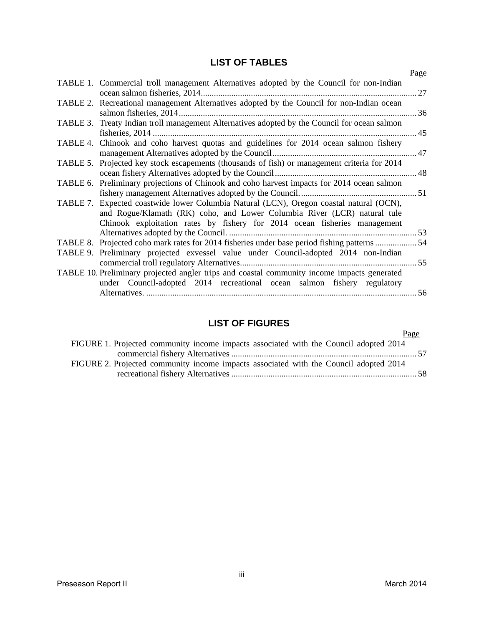## **LIST OF TABLES**

|          |                                                                                              | Page |
|----------|----------------------------------------------------------------------------------------------|------|
|          | TABLE 1. Commercial troll management Alternatives adopted by the Council for non-Indian      |      |
|          |                                                                                              | 27   |
|          | TABLE 2. Recreational management Alternatives adopted by the Council for non-Indian ocean    |      |
|          |                                                                                              |      |
| TABLE 3. | Treaty Indian troll management Alternatives adopted by the Council for ocean salmon          |      |
|          |                                                                                              |      |
|          | TABLE 4. Chinook and coho harvest quotas and guidelines for 2014 ocean salmon fishery        |      |
|          |                                                                                              |      |
| TABLE 5. | Projected key stock escapements (thousands of fish) or management criteria for 2014          |      |
|          |                                                                                              |      |
| TABLE 6. | Preliminary projections of Chinook and coho harvest impacts for 2014 ocean salmon            |      |
|          |                                                                                              |      |
|          | TABLE 7. Expected coastwide lower Columbia Natural (LCN), Oregon coastal natural (OCN),      |      |
|          | and Rogue/Klamath (RK) coho, and Lower Columbia River (LCR) natural tule                     |      |
|          | Chinook exploitation rates by fishery for 2014 ocean fisheries management                    |      |
|          |                                                                                              |      |
|          | TABLE 8. Projected coho mark rates for 2014 fisheries under base period fishing patterns  54 |      |
|          |                                                                                              |      |
|          | TABLE 9. Preliminary projected exvessel value under Council-adopted 2014 non-Indian          |      |
|          |                                                                                              |      |
|          | TABLE 10. Preliminary projected angler trips and coastal community income impacts generated  |      |
|          | under Council-adopted 2014 recreational ocean salmon fishery regulatory                      |      |
|          |                                                                                              |      |

## **LIST OF FIGURES**

|                                                                                       | Page |
|---------------------------------------------------------------------------------------|------|
| FIGURE 1. Projected community income impacts associated with the Council adopted 2014 |      |
|                                                                                       |      |
| FIGURE 2. Projected community income impacts associated with the Council adopted 2014 |      |
|                                                                                       |      |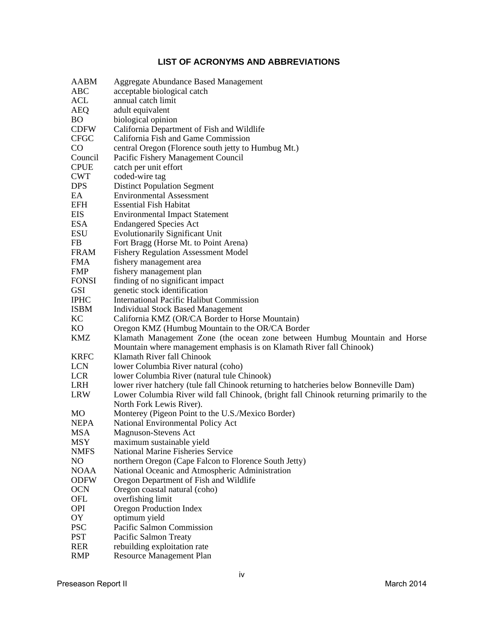#### **LIST OF ACRONYMS AND ABBREVIATIONS**

| <b>AABM</b>  | <b>Aggregate Abundance Based Management</b>                                             |
|--------------|-----------------------------------------------------------------------------------------|
| <b>ABC</b>   | acceptable biological catch                                                             |
| ACL          | annual catch limit                                                                      |
| <b>AEQ</b>   | adult equivalent                                                                        |
| <b>BO</b>    | biological opinion                                                                      |
| <b>CDFW</b>  | California Department of Fish and Wildlife                                              |
| <b>CFGC</b>  | California Fish and Game Commission                                                     |
| CO           | central Oregon (Florence south jetty to Humbug Mt.)                                     |
| Council      | Pacific Fishery Management Council                                                      |
| <b>CPUE</b>  | catch per unit effort                                                                   |
| <b>CWT</b>   | coded-wire tag                                                                          |
| <b>DPS</b>   | <b>Distinct Population Segment</b>                                                      |
| EA           | <b>Environmental Assessment</b>                                                         |
| <b>EFH</b>   | <b>Essential Fish Habitat</b>                                                           |
| EIS          | <b>Environmental Impact Statement</b>                                                   |
| <b>ESA</b>   | <b>Endangered Species Act</b>                                                           |
| <b>ESU</b>   | <b>Evolutionarily Significant Unit</b>                                                  |
| FB           | Fort Bragg (Horse Mt. to Point Arena)                                                   |
| <b>FRAM</b>  | <b>Fishery Regulation Assessment Model</b>                                              |
| <b>FMA</b>   | fishery management area                                                                 |
| <b>FMP</b>   | fishery management plan                                                                 |
| <b>FONSI</b> | finding of no significant impact                                                        |
| <b>GSI</b>   | genetic stock identification                                                            |
| <b>IPHC</b>  | <b>International Pacific Halibut Commission</b>                                         |
| <b>ISBM</b>  | <b>Individual Stock Based Management</b>                                                |
| KC           | California KMZ (OR/CA Border to Horse Mountain)                                         |
| KO           | Oregon KMZ (Humbug Mountain to the OR/CA Border                                         |
| <b>KMZ</b>   | Klamath Management Zone (the ocean zone between Humbug Mountain and Horse               |
|              | Mountain where management emphasis is on Klamath River fall Chinook)                    |
| <b>KRFC</b>  | Klamath River fall Chinook                                                              |
| <b>LCN</b>   | lower Columbia River natural (coho)                                                     |
| LCR          | lower Columbia River (natural tule Chinook)                                             |
| <b>LRH</b>   | lower river hatchery (tule fall Chinook returning to hatcheries below Bonneville Dam)   |
| <b>LRW</b>   | Lower Columbia River wild fall Chinook, (bright fall Chinook returning primarily to the |
|              | North Fork Lewis River).                                                                |
| MO.          | Monterey (Pigeon Point to the U.S./Mexico Border)                                       |
| <b>NEPA</b>  | National Environmental Policy Act                                                       |
| <b>MSA</b>   | Magnuson-Stevens Act                                                                    |
| <b>MSY</b>   | maximum sustainable yield                                                               |
| <b>NMFS</b>  | National Marine Fisheries Service                                                       |
| NO           | northern Oregon (Cape Falcon to Florence South Jetty)                                   |
| <b>NOAA</b>  | National Oceanic and Atmospheric Administration                                         |
| <b>ODFW</b>  | Oregon Department of Fish and Wildlife                                                  |
| <b>OCN</b>   | Oregon coastal natural (coho)                                                           |
| OFL          | overfishing limit                                                                       |
| OPI          | Oregon Production Index                                                                 |
| OY           | optimum yield                                                                           |
| <b>PSC</b>   | Pacific Salmon Commission                                                               |
| <b>PST</b>   | Pacific Salmon Treaty                                                                   |
| <b>RER</b>   | rebuilding exploitation rate                                                            |
| <b>RMP</b>   | <b>Resource Management Plan</b>                                                         |
|              |                                                                                         |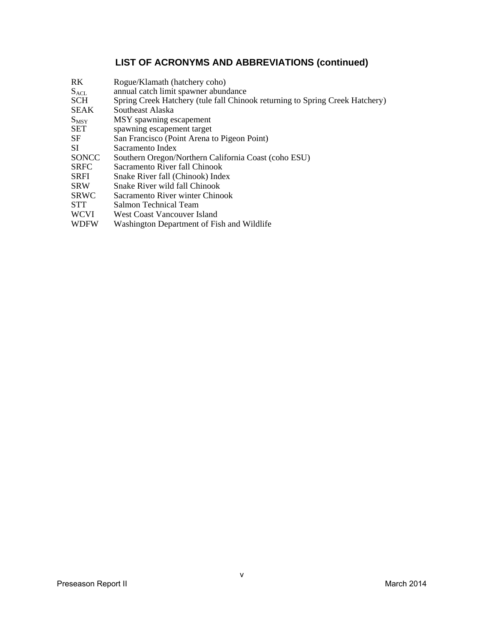# **LIST OF ACRONYMS AND ABBREVIATIONS (continued)**

| RK                          | Rogue/Klamath (hatchery coho)                                                |
|-----------------------------|------------------------------------------------------------------------------|
| $\rm S_{\rm ACL}$           | annual catch limit spawner abundance                                         |
| SCH                         | Spring Creek Hatchery (tule fall Chinook returning to Spring Creek Hatchery) |
| SEAK                        | Southeast Alaska                                                             |
| $\mathrm{S}_{\mathrm{MSY}}$ | MSY spawning escapement                                                      |
| SET                         | spawning escapement target                                                   |
| $\rm SF$                    | San Francisco (Point Arena to Pigeon Point)                                  |
| SI                          | Sacramento Index                                                             |
| SONCC                       | Southern Oregon/Northern California Coast (coho ESU)                         |
| SRFC                        | Sacramento River fall Chinook                                                |
| SRFI                        | Snake River fall (Chinook) Index                                             |
| SRW                         | Snake River wild fall Chinook                                                |
| SRWC                        | Sacramento River winter Chinook                                              |
| STT                         | Salmon Technical Team                                                        |
| WCVI                        | West Coast Vancouver Island                                                  |
| WDFW                        | Washington Department of Fish and Wildlife                                   |
|                             |                                                                              |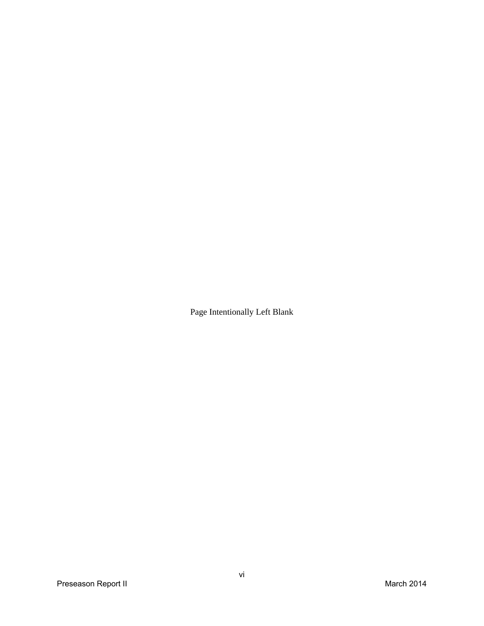Page Intentionally Left Blank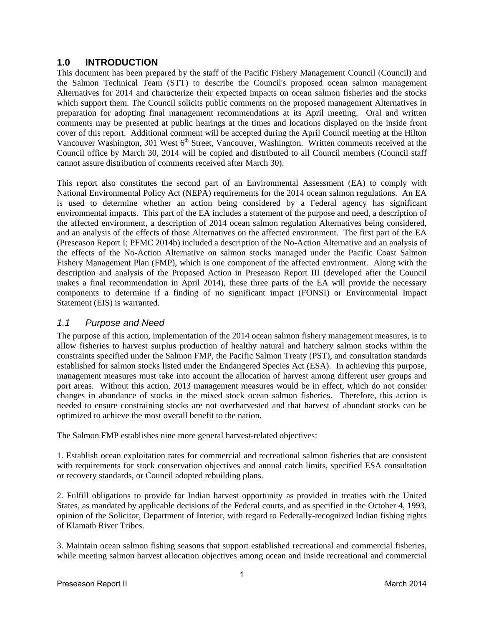#### **1.0 INTRODUCTION**

This document has been prepared by the staff of the Pacific Fishery Management Council (Council) and the Salmon Technical Team (STT) to describe the Council's proposed ocean salmon management Alternatives for 2014 and characterize their expected impacts on ocean salmon fisheries and the stocks which support them. The Council solicits public comments on the proposed management Alternatives in preparation for adopting final management recommendations at its April meeting. Oral and written comments may be presented at public hearings at the times and locations displayed on the inside front cover of this report. Additional comment will be accepted during the April Council meeting at the Hilton Vancouver Washington, 301 West 6<sup>th</sup> Street, Vancouver, Washington. Written comments received at the Council office by March 30, 2014 will be copied and distributed to all Council members (Council staff cannot assure distribution of comments received after March 30).

This report also constitutes the second part of an Environmental Assessment (EA) to comply with National Environmental Policy Act (NEPA) requirements for the 2014 ocean salmon regulations. An EA is used to determine whether an action being considered by a Federal agency has significant environmental impacts. This part of the EA includes a statement of the purpose and need, a description of the affected environment, a description of 2014 ocean salmon regulation Alternatives being considered, and an analysis of the effects of those Alternatives on the affected environment. The first part of the EA (Preseason Report I; PFMC 2014b) included a description of the No-Action Alternative and an analysis of the effects of the No-Action Alternative on salmon stocks managed under the Pacific Coast Salmon Fishery Management Plan (FMP), which is one component of the affected environment. Along with the description and analysis of the Proposed Action in Preseason Report III (developed after the Council makes a final recommendation in April 2014), these three parts of the EA will provide the necessary components to determine if a finding of no significant impact (FONSI) or Environmental Impact Statement (EIS) is warranted.

#### *1.1 Purpose and Need*

The purpose of this action, implementation of the 2014 ocean salmon fishery management measures, is to allow fisheries to harvest surplus production of healthy natural and hatchery salmon stocks within the constraints specified under the Salmon FMP, the Pacific Salmon Treaty (PST), and consultation standards established for salmon stocks listed under the Endangered Species Act (ESA). In achieving this purpose, management measures must take into account the allocation of harvest among different user groups and port areas. Without this action, 2013 management measures would be in effect, which do not consider changes in abundance of stocks in the mixed stock ocean salmon fisheries. Therefore, this action is needed to ensure constraining stocks are not overharvested and that harvest of abundant stocks can be optimized to achieve the most overall benefit to the nation.

The Salmon FMP establishes nine more general harvest-related objectives:

1. Establish ocean exploitation rates for commercial and recreational salmon fisheries that are consistent with requirements for stock conservation objectives and annual catch limits, specified ESA consultation or recovery standards, or Council adopted rebuilding plans.

2. Fulfill obligations to provide for Indian harvest opportunity as provided in treaties with the United States, as mandated by applicable decisions of the Federal courts, and as specified in the October 4, 1993, opinion of the Solicitor, Department of Interior, with regard to Federally-recognized Indian fishing rights of Klamath River Tribes.

3. Maintain ocean salmon fishing seasons that support established recreational and commercial fisheries, while meeting salmon harvest allocation objectives among ocean and inside recreational and commercial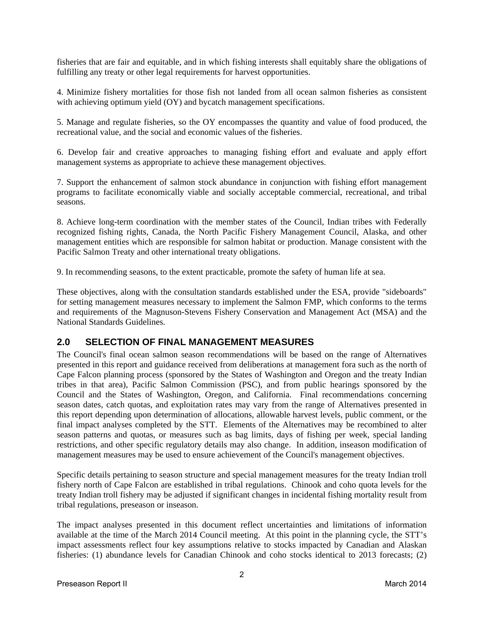fisheries that are fair and equitable, and in which fishing interests shall equitably share the obligations of fulfilling any treaty or other legal requirements for harvest opportunities.

4. Minimize fishery mortalities for those fish not landed from all ocean salmon fisheries as consistent with achieving optimum yield (OY) and bycatch management specifications.

5. Manage and regulate fisheries, so the OY encompasses the quantity and value of food produced, the recreational value, and the social and economic values of the fisheries.

6. Develop fair and creative approaches to managing fishing effort and evaluate and apply effort management systems as appropriate to achieve these management objectives.

7. Support the enhancement of salmon stock abundance in conjunction with fishing effort management programs to facilitate economically viable and socially acceptable commercial, recreational, and tribal seasons.

8. Achieve long-term coordination with the member states of the Council, Indian tribes with Federally recognized fishing rights, Canada, the North Pacific Fishery Management Council, Alaska, and other management entities which are responsible for salmon habitat or production. Manage consistent with the Pacific Salmon Treaty and other international treaty obligations.

9. In recommending seasons, to the extent practicable, promote the safety of human life at sea.

These objectives, along with the consultation standards established under the ESA, provide "sideboards" for setting management measures necessary to implement the Salmon FMP, which conforms to the terms and requirements of the Magnuson-Stevens Fishery Conservation and Management Act (MSA) and the National Standards Guidelines.

#### **2.0 SELECTION OF FINAL MANAGEMENT MEASURES**

The Council's final ocean salmon season recommendations will be based on the range of Alternatives presented in this report and guidance received from deliberations at management fora such as the north of Cape Falcon planning process (sponsored by the States of Washington and Oregon and the treaty Indian tribes in that area), Pacific Salmon Commission (PSC), and from public hearings sponsored by the Council and the States of Washington, Oregon, and California. Final recommendations concerning season dates, catch quotas, and exploitation rates may vary from the range of Alternatives presented in this report depending upon determination of allocations, allowable harvest levels, public comment, or the final impact analyses completed by the STT. Elements of the Alternatives may be recombined to alter season patterns and quotas, or measures such as bag limits, days of fishing per week, special landing restrictions, and other specific regulatory details may also change. In addition, inseason modification of management measures may be used to ensure achievement of the Council's management objectives.

Specific details pertaining to season structure and special management measures for the treaty Indian troll fishery north of Cape Falcon are established in tribal regulations. Chinook and coho quota levels for the treaty Indian troll fishery may be adjusted if significant changes in incidental fishing mortality result from tribal regulations, preseason or inseason.

The impact analyses presented in this document reflect uncertainties and limitations of information available at the time of the March 2014 Council meeting. At this point in the planning cycle, the STT's impact assessments reflect four key assumptions relative to stocks impacted by Canadian and Alaskan fisheries: (1) abundance levels for Canadian Chinook and coho stocks identical to 2013 forecasts; (2)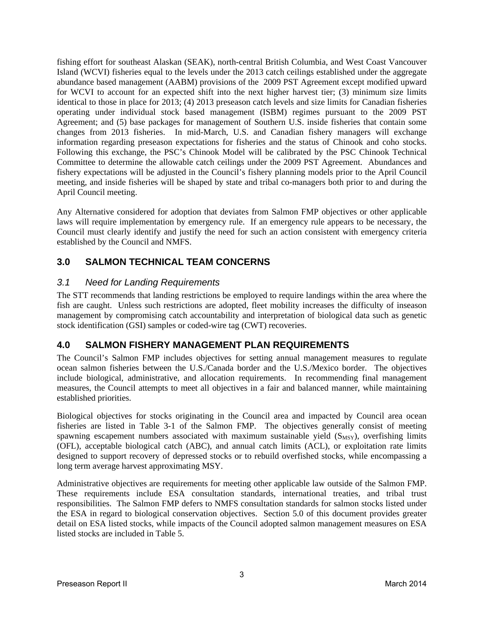fishing effort for southeast Alaskan (SEAK), north-central British Columbia, and West Coast Vancouver Island (WCVI) fisheries equal to the levels under the 2013 catch ceilings established under the aggregate abundance based management (AABM) provisions of the 2009 PST Agreement except modified upward for WCVI to account for an expected shift into the next higher harvest tier; (3) minimum size limits identical to those in place for 2013; (4) 2013 preseason catch levels and size limits for Canadian fisheries operating under individual stock based management (ISBM) regimes pursuant to the 2009 PST Agreement; and (5) base packages for management of Southern U.S. inside fisheries that contain some changes from 2013 fisheries. In mid-March, U.S. and Canadian fishery managers will exchange information regarding preseason expectations for fisheries and the status of Chinook and coho stocks. Following this exchange, the PSC's Chinook Model will be calibrated by the PSC Chinook Technical Committee to determine the allowable catch ceilings under the 2009 PST Agreement. Abundances and fishery expectations will be adjusted in the Council's fishery planning models prior to the April Council meeting, and inside fisheries will be shaped by state and tribal co-managers both prior to and during the April Council meeting.

Any Alternative considered for adoption that deviates from Salmon FMP objectives or other applicable laws will require implementation by emergency rule. If an emergency rule appears to be necessary, the Council must clearly identify and justify the need for such an action consistent with emergency criteria established by the Council and NMFS.

#### **3.0 SALMON TECHNICAL TEAM CONCERNS**

#### *3.1 Need for Landing Requirements*

The STT recommends that landing restrictions be employed to require landings within the area where the fish are caught. Unless such restrictions are adopted, fleet mobility increases the difficulty of inseason management by compromising catch accountability and interpretation of biological data such as genetic stock identification (GSI) samples or coded-wire tag (CWT) recoveries.

#### **4.0 SALMON FISHERY MANAGEMENT PLAN REQUIREMENTS**

The Council's Salmon FMP includes objectives for setting annual management measures to regulate ocean salmon fisheries between the U.S./Canada border and the U.S./Mexico border. The objectives include biological, administrative, and allocation requirements. In recommending final management measures, the Council attempts to meet all objectives in a fair and balanced manner, while maintaining established priorities.

Biological objectives for stocks originating in the Council area and impacted by Council area ocean fisheries are listed in Table 3-1 of the Salmon FMP. The objectives generally consist of meeting spawning escapement numbers associated with maximum sustainable yield  $(S_{MSY})$ , overfishing limits (OFL), acceptable biological catch (ABC), and annual catch limits (ACL), or exploitation rate limits designed to support recovery of depressed stocks or to rebuild overfished stocks, while encompassing a long term average harvest approximating MSY.

Administrative objectives are requirements for meeting other applicable law outside of the Salmon FMP. These requirements include ESA consultation standards, international treaties, and tribal trust responsibilities. The Salmon FMP defers to NMFS consultation standards for salmon stocks listed under the ESA in regard to biological conservation objectives. Section 5.0 of this document provides greater detail on ESA listed stocks, while impacts of the Council adopted salmon management measures on ESA listed stocks are included in Table 5.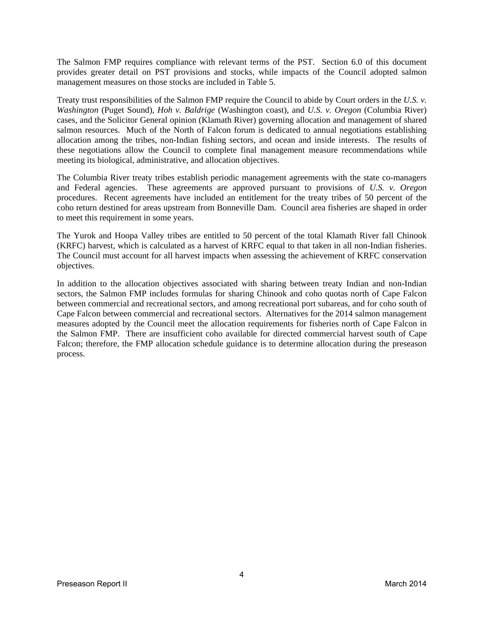The Salmon FMP requires compliance with relevant terms of the PST. Section 6.0 of this document provides greater detail on PST provisions and stocks, while impacts of the Council adopted salmon management measures on those stocks are included in Table 5.

Treaty trust responsibilities of the Salmon FMP require the Council to abide by Court orders in the *U.S. v. Washington* (Puget Sound), *Hoh v. Baldrige* (Washington coast), and *U.S. v. Oregon* (Columbia River) cases, and the Solicitor General opinion (Klamath River) governing allocation and management of shared salmon resources. Much of the North of Falcon forum is dedicated to annual negotiations establishing allocation among the tribes, non-Indian fishing sectors, and ocean and inside interests. The results of these negotiations allow the Council to complete final management measure recommendations while meeting its biological, administrative, and allocation objectives.

The Columbia River treaty tribes establish periodic management agreements with the state co-managers and Federal agencies. These agreements are approved pursuant to provisions of *U.S. v. Oregon* procedures. Recent agreements have included an entitlement for the treaty tribes of 50 percent of the coho return destined for areas upstream from Bonneville Dam. Council area fisheries are shaped in order to meet this requirement in some years.

The Yurok and Hoopa Valley tribes are entitled to 50 percent of the total Klamath River fall Chinook (KRFC) harvest, which is calculated as a harvest of KRFC equal to that taken in all non-Indian fisheries. The Council must account for all harvest impacts when assessing the achievement of KRFC conservation objectives.

In addition to the allocation objectives associated with sharing between treaty Indian and non-Indian sectors, the Salmon FMP includes formulas for sharing Chinook and coho quotas north of Cape Falcon between commercial and recreational sectors, and among recreational port subareas, and for coho south of Cape Falcon between commercial and recreational sectors. Alternatives for the 2014 salmon management measures adopted by the Council meet the allocation requirements for fisheries north of Cape Falcon in the Salmon FMP. There are insufficient coho available for directed commercial harvest south of Cape Falcon; therefore, the FMP allocation schedule guidance is to determine allocation during the preseason process.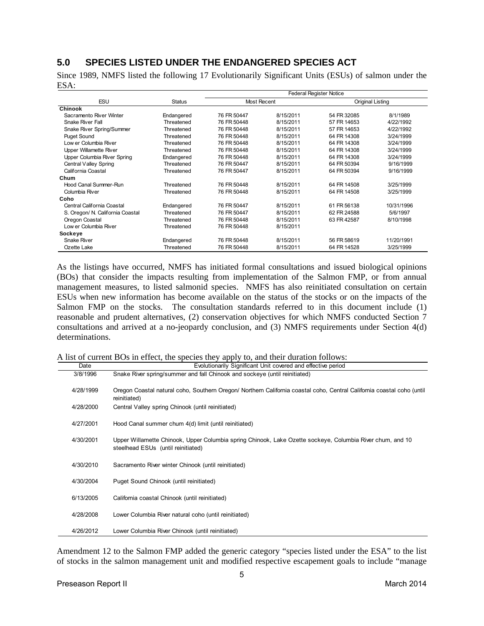## **5.0 SPECIES LISTED UNDER THE ENDANGERED SPECIES ACT**

Since 1989, NMFS listed the following 17 Evolutionarily Significant Units (ESUs) of salmon under the ESA:

|                                  |               | <b>Federal Register Notice</b> |           |                  |            |
|----------------------------------|---------------|--------------------------------|-----------|------------------|------------|
| <b>ESU</b>                       | <b>Status</b> | <b>Most Recent</b>             |           | Original Listing |            |
| <b>Chinook</b>                   |               |                                |           |                  |            |
| Sacramento River Winter          | Endangered    | 76 FR 50447                    | 8/15/2011 | 54 FR 32085      | 8/1/1989   |
| Snake River Fall                 | Threatened    | 76 FR 50448                    | 8/15/2011 | 57 FR 14653      | 4/22/1992  |
| Snake River Spring/Summer        | Threatened    | 76 FR 50448                    | 8/15/2011 | 57 FR 14653      | 4/22/1992  |
| <b>Puget Sound</b>               | Threatened    | 76 FR 50448                    | 8/15/2011 | 64 FR 14308      | 3/24/1999  |
| Low er Columbia River            | Threatened    | 76 FR 50448                    | 8/15/2011 | 64 FR 14308      | 3/24/1999  |
| Upper Willamette River           | Threatened    | 76 FR 50448                    | 8/15/2011 | 64 FR 14308      | 3/24/1999  |
| Upper Columbia River Spring      | Endangered    | 76 FR 50448                    | 8/15/2011 | 64 FR 14308      | 3/24/1999  |
| Central Valley Spring            | Threatened    | 76 FR 50447                    | 8/15/2011 | 64 FR 50394      | 9/16/1999  |
| California Coastal               | Threatened    | 76 FR 50447                    | 8/15/2011 | 64 FR 50394      | 9/16/1999  |
| Chum                             |               |                                |           |                  |            |
| Hood Canal Summer-Run            | Threatened    | 76 FR 50448                    | 8/15/2011 | 64 FR 14508      | 3/25/1999  |
| Columbia River                   | Threatened    | 76 FR 50448                    | 8/15/2011 | 64 FR 14508      | 3/25/1999  |
| Coho                             |               |                                |           |                  |            |
| Central California Coastal       | Endangered    | 76 FR 50447                    | 8/15/2011 | 61 FR 56138      | 10/31/1996 |
| S. Oregon/ N. California Coastal | Threatened    | 76 FR 50447                    | 8/15/2011 | 62 FR 24588      | 5/6/1997   |
| Oregon Coastal                   | Threatened    | 76 FR 50448                    | 8/15/2011 | 63 FR 42587      | 8/10/1998  |
| Low er Columbia River            | Threatened    | 76 FR 50448                    | 8/15/2011 |                  |            |
| Sockeye                          |               |                                |           |                  |            |
| Snake River                      | Endangered    | 76 FR 50448                    | 8/15/2011 | 56 FR 58619      | 11/20/1991 |
| Ozette Lake                      | Threatened    | 76 FR 50448                    | 8/15/2011 | 64 FR 14528      | 3/25/1999  |

As the listings have occurred, NMFS has initiated formal consultations and issued biological opinions (BOs) that consider the impacts resulting from implementation of the Salmon FMP, or from annual management measures, to listed salmonid species. NMFS has also reinitiated consultation on certain ESUs when new information has become available on the status of the stocks or on the impacts of the Salmon FMP on the stocks. The consultation standards referred to in this document include (1) reasonable and prudent alternatives, (2) conservation objectives for which NMFS conducted Section 7 consultations and arrived at a no-jeopardy conclusion, and (3) NMFS requirements under Section 4(d) determinations.

A list of current BOs in effect, the species they apply to, and their duration follows:

| Date      | Evolutionarily Significant Unit covered and effective period                                                                                    |
|-----------|-------------------------------------------------------------------------------------------------------------------------------------------------|
| 3/8/1996  | Snake River spring/summer and fall Chinook and sockeye (until reinitiated)                                                                      |
| 4/28/1999 | Oregon Coastal natural coho, Southern Oregon/Northern California coastal coho, Central California coastal coho (until<br>reinitiated)           |
| 4/28/2000 | Central Valley spring Chinook (until reinitiated)                                                                                               |
| 4/27/2001 | Hood Canal summer chum 4(d) limit (until reinitiated)                                                                                           |
| 4/30/2001 | Upper Willamette Chinook, Upper Columbia spring Chinook, Lake Ozette sockeye, Columbia River chum, and 10<br>steelhead ESUs (until reinitiated) |
| 4/30/2010 | Sacramento River winter Chinook (until reinitiated)                                                                                             |
| 4/30/2004 | Puget Sound Chinook (until reinitiated)                                                                                                         |
| 6/13/2005 | California coastal Chinook (until reinitiated)                                                                                                  |
| 4/28/2008 | Lower Columbia River natural coho (until reinitiated)                                                                                           |
| 4/26/2012 | Lower Columbia River Chinook (until reinitiated)                                                                                                |
|           |                                                                                                                                                 |

Amendment 12 to the Salmon FMP added the generic category "species listed under the ESA" to the list of stocks in the salmon management unit and modified respective escapement goals to include "manage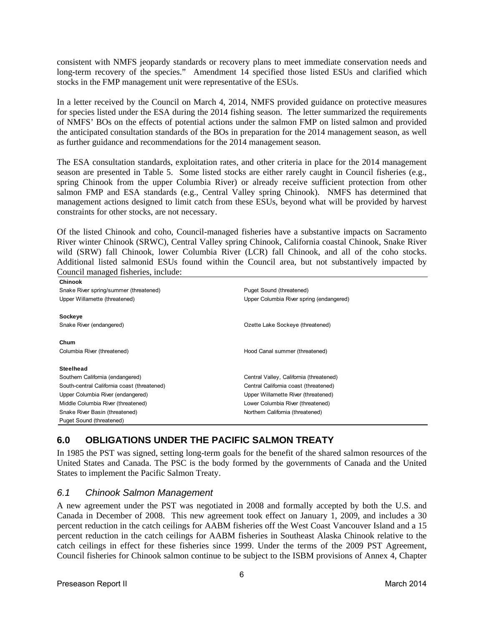consistent with NMFS jeopardy standards or recovery plans to meet immediate conservation needs and long-term recovery of the species." Amendment 14 specified those listed ESUs and clarified which stocks in the FMP management unit were representative of the ESUs.

In a letter received by the Council on March 4, 2014, NMFS provided guidance on protective measures for species listed under the ESA during the 2014 fishing season. The letter summarized the requirements of NMFS' BOs on the effects of potential actions under the salmon FMP on listed salmon and provided the anticipated consultation standards of the BOs in preparation for the 2014 management season, as well as further guidance and recommendations for the 2014 management season.

The ESA consultation standards, exploitation rates, and other criteria in place for the 2014 management season are presented in Table 5. Some listed stocks are either rarely caught in Council fisheries (e.g., spring Chinook from the upper Columbia River) or already receive sufficient protection from other salmon FMP and ESA standards (e.g., Central Valley spring Chinook). NMFS has determined that management actions designed to limit catch from these ESUs, beyond what will be provided by harvest constraints for other stocks, are not necessary.

Of the listed Chinook and coho, Council-managed fisheries have a substantive impacts on Sacramento River winter Chinook (SRWC), Central Valley spring Chinook, California coastal Chinook, Snake River wild (SRW) fall Chinook, lower Columbia River (LCR) fall Chinook, and all of the coho stocks. Additional listed salmonid ESUs found within the Council area, but not substantively impacted by Council managed fisheries, include:

| Puget Sound (threatened)                    |                                          |
|---------------------------------------------|------------------------------------------|
| Snake River Basin (threatened)              | Northern California (threatened)         |
| Middle Columbia River (threatened)          | Lower Columbia River (threatened)        |
| Upper Columbia River (endangered)           | Upper Willamette River (threatened)      |
| South-central California coast (threatened) | Central California coast (threatened)    |
| Southern California (endangered)            | Central Valley, California (threatened)  |
| Steelhead                                   |                                          |
| Columbia River (threatened)                 | Hood Canal summer (threatened)           |
| Chum                                        |                                          |
| Snake River (endangered)                    | Ozette Lake Sockeye (threatened)         |
| Sockeye                                     |                                          |
| Upper Willamette (threatened)               | Upper Columbia River spring (endangered) |
| Snake River spring/summer (threatened)      | Puget Sound (threatened)                 |
| Chinook                                     |                                          |

# **6.0 OBLIGATIONS UNDER THE PACIFIC SALMON TREATY**

In 1985 the PST was signed, setting long-term goals for the benefit of the shared salmon resources of the United States and Canada. The PSC is the body formed by the governments of Canada and the United States to implement the Pacific Salmon Treaty.

#### *6.1 Chinook Salmon Management*

A new agreement under the PST was negotiated in 2008 and formally accepted by both the U.S. and Canada in December of 2008. This new agreement took effect on January 1, 2009, and includes a 30 percent reduction in the catch ceilings for AABM fisheries off the West Coast Vancouver Island and a 15 percent reduction in the catch ceilings for AABM fisheries in Southeast Alaska Chinook relative to the catch ceilings in effect for these fisheries since 1999. Under the terms of the 2009 PST Agreement, Council fisheries for Chinook salmon continue to be subject to the ISBM provisions of Annex 4, Chapter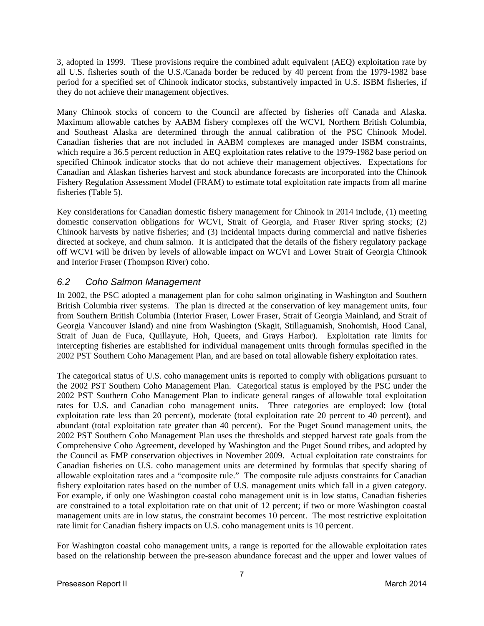3, adopted in 1999. These provisions require the combined adult equivalent (AEQ) exploitation rate by all U.S. fisheries south of the U.S./Canada border be reduced by 40 percent from the 1979-1982 base period for a specified set of Chinook indicator stocks, substantively impacted in U.S. ISBM fisheries, if they do not achieve their management objectives.

Many Chinook stocks of concern to the Council are affected by fisheries off Canada and Alaska. Maximum allowable catches by AABM fishery complexes off the WCVI, Northern British Columbia, and Southeast Alaska are determined through the annual calibration of the PSC Chinook Model. Canadian fisheries that are not included in AABM complexes are managed under ISBM constraints, which require a 36.5 percent reduction in AEQ exploitation rates relative to the 1979-1982 base period on specified Chinook indicator stocks that do not achieve their management objectives. Expectations for Canadian and Alaskan fisheries harvest and stock abundance forecasts are incorporated into the Chinook Fishery Regulation Assessment Model (FRAM) to estimate total exploitation rate impacts from all marine fisheries (Table 5).

Key considerations for Canadian domestic fishery management for Chinook in 2014 include, (1) meeting domestic conservation obligations for WCVI, Strait of Georgia, and Fraser River spring stocks; (2) Chinook harvests by native fisheries; and (3) incidental impacts during commercial and native fisheries directed at sockeye, and chum salmon. It is anticipated that the details of the fishery regulatory package off WCVI will be driven by levels of allowable impact on WCVI and Lower Strait of Georgia Chinook and Interior Fraser (Thompson River) coho.

#### *6.2 Coho Salmon Management*

In 2002, the PSC adopted a management plan for coho salmon originating in Washington and Southern British Columbia river systems. The plan is directed at the conservation of key management units, four from Southern British Columbia (Interior Fraser, Lower Fraser, Strait of Georgia Mainland, and Strait of Georgia Vancouver Island) and nine from Washington (Skagit, Stillaguamish, Snohomish, Hood Canal, Strait of Juan de Fuca, Quillayute, Hoh, Queets, and Grays Harbor). Exploitation rate limits for intercepting fisheries are established for individual management units through formulas specified in the 2002 PST Southern Coho Management Plan, and are based on total allowable fishery exploitation rates.

The categorical status of U.S. coho management units is reported to comply with obligations pursuant to the 2002 PST Southern Coho Management Plan. Categorical status is employed by the PSC under the 2002 PST Southern Coho Management Plan to indicate general ranges of allowable total exploitation rates for U.S. and Canadian coho management units. Three categories are employed: low (total exploitation rate less than 20 percent), moderate (total exploitation rate 20 percent to 40 percent), and abundant (total exploitation rate greater than 40 percent). For the Puget Sound management units, the 2002 PST Southern Coho Management Plan uses the thresholds and stepped harvest rate goals from the Comprehensive Coho Agreement, developed by Washington and the Puget Sound tribes, and adopted by the Council as FMP conservation objectives in November 2009. Actual exploitation rate constraints for Canadian fisheries on U.S. coho management units are determined by formulas that specify sharing of allowable exploitation rates and a "composite rule." The composite rule adjusts constraints for Canadian fishery exploitation rates based on the number of U.S. management units which fall in a given category. For example, if only one Washington coastal coho management unit is in low status, Canadian fisheries are constrained to a total exploitation rate on that unit of 12 percent; if two or more Washington coastal management units are in low status, the constraint becomes 10 percent. The most restrictive exploitation rate limit for Canadian fishery impacts on U.S. coho management units is 10 percent.

For Washington coastal coho management units, a range is reported for the allowable exploitation rates based on the relationship between the pre-season abundance forecast and the upper and lower values of

7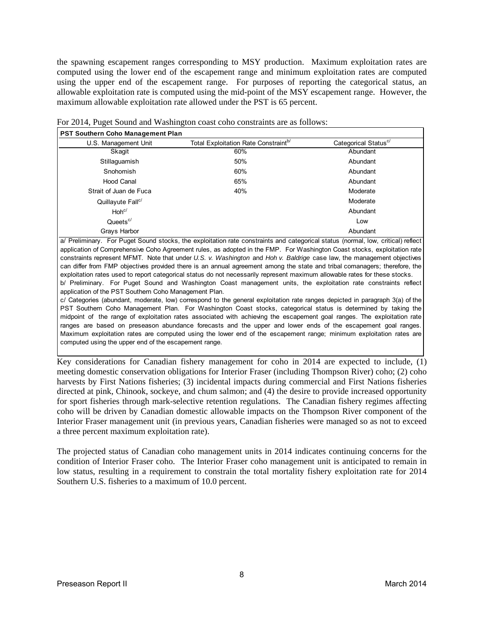the spawning escapement ranges corresponding to MSY production. Maximum exploitation rates are computed using the lower end of the escapement range and minimum exploitation rates are computed using the upper end of the escapement range. For purposes of reporting the categorical status, an allowable exploitation rate is computed using the mid-point of the MSY escapement range. However, the maximum allowable exploitation rate allowed under the PST is 65 percent.

| PST Southern Coho Management Plan |                                                  |                                  |  |
|-----------------------------------|--------------------------------------------------|----------------------------------|--|
| U.S. Management Unit              | Total Exploitation Rate Constraint <sup>b/</sup> | Categorical Status <sup>c/</sup> |  |
| Skagit                            | 60%                                              | Abundant                         |  |
| Stillaguamish                     | 50%                                              | Abundant                         |  |
| Snohomish                         | 60%                                              | Abundant                         |  |
| Hood Canal                        | 65%                                              | Abundant                         |  |
| Strait of Juan de Fuca            | 40%                                              | Moderate                         |  |
| Quillayute Fall <sup>c/</sup>     |                                                  | Moderate                         |  |
| Hoh <sup>c/</sup>                 |                                                  | Abundant                         |  |
| Queets $c$                        |                                                  | Low                              |  |
| Grays Harbor                      |                                                  | Abundant                         |  |

For 2014, Puget Sound and Washington coast coho constraints are as follows:

a/ Preliminary. For Puget Sound stocks, the exploitation rate constraints and categorical status (normal, low, critical) reflect application of Comprehensive Coho Agreement rules, as adopted in the FMP. For Washington Coast stocks, exploitation rate constraints represent MFMT. Note that under *U.S. v. Washington* and *Hoh v. Baldrige* case law, the management objectives can differ from FMP objectives provided there is an annual agreement among the state and tribal comanagers; therefore, the exploitation rates used to report categorical status do not necessarily represent maximum allowable rates for these stocks. b/ Preliminary. For Puget Sound and Washington Coast management units, the exploitation rate constraints reflect

application of the PST Southern Coho Management Plan.

c/ Categories (abundant, moderate, low) correspond to the general exploitation rate ranges depicted in paragraph 3(a) of the PST Southern Coho Management Plan. For Washington Coast stocks, categorical status is determined by taking the midpoint of the range of exploitation rates associated with achieving the escapement goal ranges. The exploitation rate ranges are based on preseason abundance forecasts and the upper and lower ends of the escapement goal ranges. Maximum exploitation rates are computed using the lower end of the escapement range; minimum exploitation rates are computed using the upper end of the escapement range.

Key considerations for Canadian fishery management for coho in 2014 are expected to include, (1) meeting domestic conservation obligations for Interior Fraser (including Thompson River) coho; (2) coho harvests by First Nations fisheries; (3) incidental impacts during commercial and First Nations fisheries directed at pink, Chinook, sockeye, and chum salmon; and (4) the desire to provide increased opportunity for sport fisheries through mark-selective retention regulations. The Canadian fishery regimes affecting coho will be driven by Canadian domestic allowable impacts on the Thompson River component of the Interior Fraser management unit (in previous years, Canadian fisheries were managed so as not to exceed a three percent maximum exploitation rate).

The projected status of Canadian coho management units in 2014 indicates continuing concerns for the condition of Interior Fraser coho. The Interior Fraser coho management unit is anticipated to remain in low status, resulting in a requirement to constrain the total mortality fishery exploitation rate for 2014 Southern U.S. fisheries to a maximum of 10.0 percent.

٦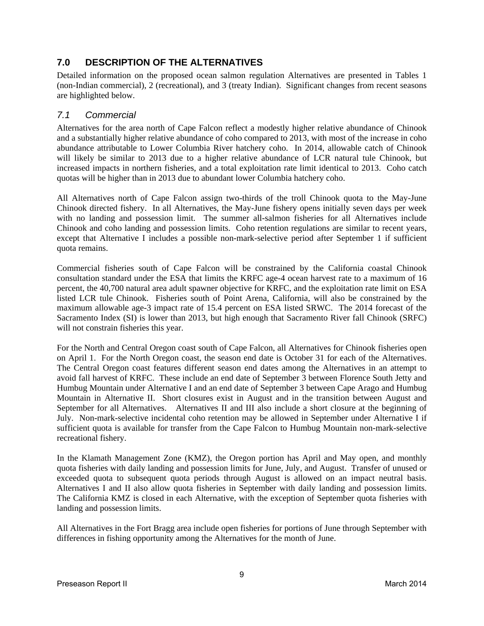#### **7.0 DESCRIPTION OF THE ALTERNATIVES**

Detailed information on the proposed ocean salmon regulation Alternatives are presented in Tables 1 (non-Indian commercial), 2 (recreational), and 3 (treaty Indian). Significant changes from recent seasons are highlighted below.

#### *7.1 Commercial*

Alternatives for the area north of Cape Falcon reflect a modestly higher relative abundance of Chinook and a substantially higher relative abundance of coho compared to 2013, with most of the increase in coho abundance attributable to Lower Columbia River hatchery coho. In 2014, allowable catch of Chinook will likely be similar to 2013 due to a higher relative abundance of LCR natural tule Chinook, but increased impacts in northern fisheries, and a total exploitation rate limit identical to 2013. Coho catch quotas will be higher than in 2013 due to abundant lower Columbia hatchery coho.

All Alternatives north of Cape Falcon assign two-thirds of the troll Chinook quota to the May-June Chinook directed fishery. In all Alternatives, the May-June fishery opens initially seven days per week with no landing and possession limit. The summer all-salmon fisheries for all Alternatives include Chinook and coho landing and possession limits. Coho retention regulations are similar to recent years, except that Alternative I includes a possible non-mark-selective period after September 1 if sufficient quota remains.

Commercial fisheries south of Cape Falcon will be constrained by the California coastal Chinook consultation standard under the ESA that limits the KRFC age-4 ocean harvest rate to a maximum of 16 percent, the 40,700 natural area adult spawner objective for KRFC, and the exploitation rate limit on ESA listed LCR tule Chinook. Fisheries south of Point Arena, California, will also be constrained by the maximum allowable age-3 impact rate of 15.4 percent on ESA listed SRWC. The 2014 forecast of the Sacramento Index (SI) is lower than 2013, but high enough that Sacramento River fall Chinook (SRFC) will not constrain fisheries this year.

For the North and Central Oregon coast south of Cape Falcon, all Alternatives for Chinook fisheries open on April 1. For the North Oregon coast, the season end date is October 31 for each of the Alternatives. The Central Oregon coast features different season end dates among the Alternatives in an attempt to avoid fall harvest of KRFC. These include an end date of September 3 between Florence South Jetty and Humbug Mountain under Alternative I and an end date of September 3 between Cape Arago and Humbug Mountain in Alternative II. Short closures exist in August and in the transition between August and September for all Alternatives. Alternatives II and III also include a short closure at the beginning of July. Non-mark-selective incidental coho retention may be allowed in September under Alternative I if sufficient quota is available for transfer from the Cape Falcon to Humbug Mountain non-mark-selective recreational fishery.

In the Klamath Management Zone (KMZ), the Oregon portion has April and May open, and monthly quota fisheries with daily landing and possession limits for June, July, and August. Transfer of unused or exceeded quota to subsequent quota periods through August is allowed on an impact neutral basis. Alternatives I and II also allow quota fisheries in September with daily landing and possession limits. The California KMZ is closed in each Alternative, with the exception of September quota fisheries with landing and possession limits.

All Alternatives in the Fort Bragg area include open fisheries for portions of June through September with differences in fishing opportunity among the Alternatives for the month of June.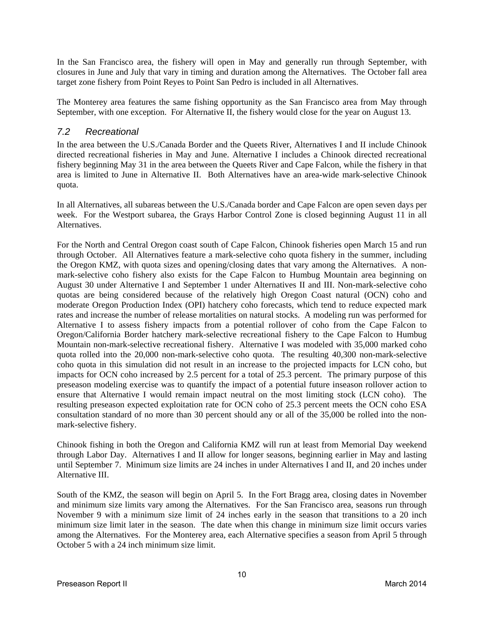In the San Francisco area, the fishery will open in May and generally run through September, with closures in June and July that vary in timing and duration among the Alternatives. The October fall area target zone fishery from Point Reyes to Point San Pedro is included in all Alternatives.

The Monterey area features the same fishing opportunity as the San Francisco area from May through September, with one exception. For Alternative II, the fishery would close for the year on August 13.

#### *7.2 Recreational*

In the area between the U.S./Canada Border and the Queets River, Alternatives I and II include Chinook directed recreational fisheries in May and June. Alternative I includes a Chinook directed recreational fishery beginning May 31 in the area between the Queets River and Cape Falcon, while the fishery in that area is limited to June in Alternative II. Both Alternatives have an area-wide mark-selective Chinook quota.

In all Alternatives, all subareas between the U.S./Canada border and Cape Falcon are open seven days per week. For the Westport subarea, the Grays Harbor Control Zone is closed beginning August 11 in all Alternatives.

For the North and Central Oregon coast south of Cape Falcon, Chinook fisheries open March 15 and run through October. All Alternatives feature a mark-selective coho quota fishery in the summer, including the Oregon KMZ, with quota sizes and opening/closing dates that vary among the Alternatives. A nonmark-selective coho fishery also exists for the Cape Falcon to Humbug Mountain area beginning on August 30 under Alternative I and September 1 under Alternatives II and III. Non-mark-selective coho quotas are being considered because of the relatively high Oregon Coast natural (OCN) coho and moderate Oregon Production Index (OPI) hatchery coho forecasts, which tend to reduce expected mark rates and increase the number of release mortalities on natural stocks. A modeling run was performed for Alternative I to assess fishery impacts from a potential rollover of coho from the Cape Falcon to Oregon/California Border hatchery mark-selective recreational fishery to the Cape Falcon to Humbug Mountain non-mark-selective recreational fishery. Alternative I was modeled with 35,000 marked coho quota rolled into the 20,000 non-mark-selective coho quota. The resulting 40,300 non-mark-selective coho quota in this simulation did not result in an increase to the projected impacts for LCN coho, but impacts for OCN coho increased by 2.5 percent for a total of 25.3 percent. The primary purpose of this preseason modeling exercise was to quantify the impact of a potential future inseason rollover action to ensure that Alternative I would remain impact neutral on the most limiting stock (LCN coho). The resulting preseason expected exploitation rate for OCN coho of 25.3 percent meets the OCN coho ESA consultation standard of no more than 30 percent should any or all of the 35,000 be rolled into the nonmark-selective fishery.

Chinook fishing in both the Oregon and California KMZ will run at least from Memorial Day weekend through Labor Day. Alternatives I and II allow for longer seasons, beginning earlier in May and lasting until September 7. Minimum size limits are 24 inches in under Alternatives I and II, and 20 inches under Alternative III.

South of the KMZ, the season will begin on April 5. In the Fort Bragg area, closing dates in November and minimum size limits vary among the Alternatives. For the San Francisco area, seasons run through November 9 with a minimum size limit of 24 inches early in the season that transitions to a 20 inch minimum size limit later in the season. The date when this change in minimum size limit occurs varies among the Alternatives. For the Monterey area, each Alternative specifies a season from April 5 through October 5 with a 24 inch minimum size limit.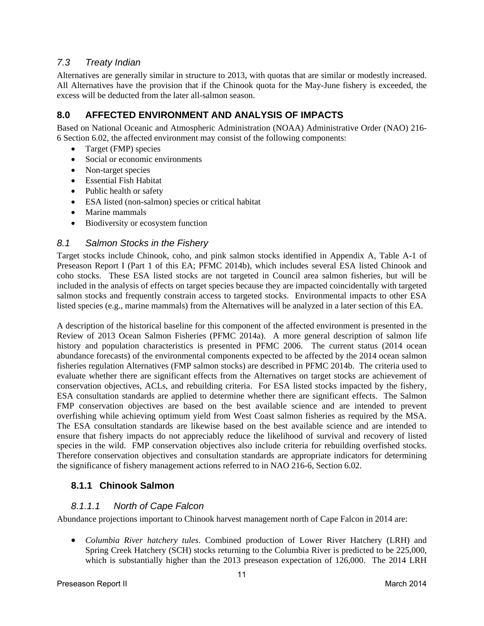#### *7.3 Treaty Indian*

Alternatives are generally similar in structure to 2013, with quotas that are similar or modestly increased. All Alternatives have the provision that if the Chinook quota for the May-June fishery is exceeded, the excess will be deducted from the later all-salmon season.

#### **8.0 AFFECTED ENVIRONMENT AND ANALYSIS OF IMPACTS**

Based on National Oceanic and Atmospheric Administration (NOAA) Administrative Order (NAO) 216- 6 Section 6.02, the affected environment may consist of the following components:

- Target (FMP) species
- Social or economic environments
- Non-target species
- **•** Essential Fish Habitat
- Public health or safety
- ESA listed (non-salmon) species or critical habitat
- Marine mammals
- Biodiversity or ecosystem function

#### *8.1 Salmon Stocks in the Fishery*

Target stocks include Chinook, coho, and pink salmon stocks identified in Appendix A, Table A-1 of Preseason Report I (Part 1 of this EA; PFMC 2014b), which includes several ESA listed Chinook and coho stocks. These ESA listed stocks are not targeted in Council area salmon fisheries, but will be included in the analysis of effects on target species because they are impacted coincidentally with targeted salmon stocks and frequently constrain access to targeted stocks. Environmental impacts to other ESA listed species (e.g., marine mammals) from the Alternatives will be analyzed in a later section of this EA.

A description of the historical baseline for this component of the affected environment is presented in the Review of 2013 Ocean Salmon Fisheries (PFMC 2014a). A more general description of salmon life history and population characteristics is presented in PFMC 2006. The current status (2014 ocean abundance forecasts) of the environmental components expected to be affected by the 2014 ocean salmon fisheries regulation Alternatives (FMP salmon stocks) are described in PFMC 2014b. The criteria used to evaluate whether there are significant effects from the Alternatives on target stocks are achievement of conservation objectives, ACLs, and rebuilding criteria. For ESA listed stocks impacted by the fishery, ESA consultation standards are applied to determine whether there are significant effects. The Salmon FMP conservation objectives are based on the best available science and are intended to prevent overfishing while achieving optimum yield from West Coast salmon fisheries as required by the MSA. The ESA consultation standards are likewise based on the best available science and are intended to ensure that fishery impacts do not appreciably reduce the likelihood of survival and recovery of listed species in the wild. FMP conservation objectives also include criteria for rebuilding overfished stocks. Therefore conservation objectives and consultation standards are appropriate indicators for determining the significance of fishery management actions referred to in NAO 216-6, Section 6.02.

#### **8.1.1 Chinook Salmon**

#### *8.1.1.1 North of Cape Falcon*

Abundance projections important to Chinook harvest management north of Cape Falcon in 2014 are:

 *Columbia River hatchery tules*. Combined production of Lower River Hatchery (LRH) and Spring Creek Hatchery (SCH) stocks returning to the Columbia River is predicted to be 225,000, which is substantially higher than the 2013 preseason expectation of 126,000. The 2014 LRH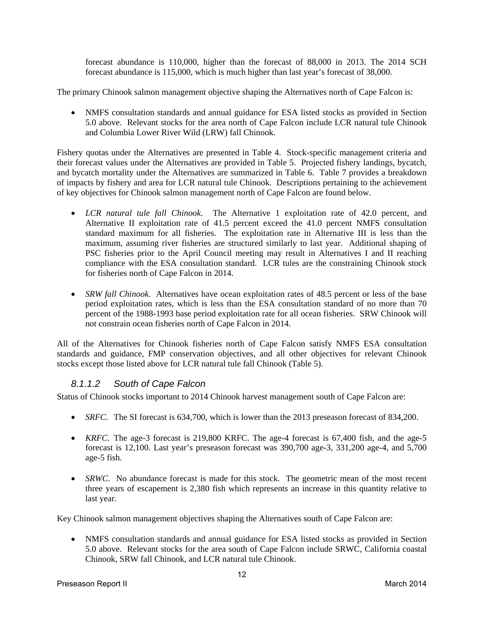forecast abundance is 110,000, higher than the forecast of 88,000 in 2013. The 2014 SCH forecast abundance is 115,000, which is much higher than last year's forecast of 38,000.

The primary Chinook salmon management objective shaping the Alternatives north of Cape Falcon is:

 NMFS consultation standards and annual guidance for ESA listed stocks as provided in Section 5.0 above. Relevant stocks for the area north of Cape Falcon include LCR natural tule Chinook and Columbia Lower River Wild (LRW) fall Chinook.

Fishery quotas under the Alternatives are presented in Table 4. Stock-specific management criteria and their forecast values under the Alternatives are provided in Table 5. Projected fishery landings, bycatch, and bycatch mortality under the Alternatives are summarized in Table 6. Table 7 provides a breakdown of impacts by fishery and area for LCR natural tule Chinook. Descriptions pertaining to the achievement of key objectives for Chinook salmon management north of Cape Falcon are found below.

- *LCR natural tule fall Chinook*. The Alternative 1 exploitation rate of 42.0 percent, and Alternative II exploitation rate of 41.5 percent exceed the 41.0 percent NMFS consultation standard maximum for all fisheries. The exploitation rate in Alternative III is less than the maximum, assuming river fisheries are structured similarly to last year. Additional shaping of PSC fisheries prior to the April Council meeting may result in Alternatives I and II reaching compliance with the ESA consultation standard. LCR tules are the constraining Chinook stock for fisheries north of Cape Falcon in 2014.
- *SRW fall Chinook*. Alternatives have ocean exploitation rates of 48.5 percent or less of the base period exploitation rates, which is less than the ESA consultation standard of no more than 70 percent of the 1988-1993 base period exploitation rate for all ocean fisheries. SRW Chinook will not constrain ocean fisheries north of Cape Falcon in 2014.

All of the Alternatives for Chinook fisheries north of Cape Falcon satisfy NMFS ESA consultation standards and guidance, FMP conservation objectives, and all other objectives for relevant Chinook stocks except those listed above for LCR natural tule fall Chinook (Table 5).

#### *8.1.1.2 South of Cape Falcon*

Status of Chinook stocks important to 2014 Chinook harvest management south of Cape Falcon are:

- *SRFC*. The SI forecast is 634,700, which is lower than the 2013 preseason forecast of 834,200.
- *KRFC*. The age-3 forecast is 219,800 KRFC. The age-4 forecast is 67,400 fish, and the age-5 forecast is 12,100. Last year's preseason forecast was 390,700 age-3, 331,200 age-4, and 5,700 age-5 fish.
- *SRWC*. No abundance forecast is made for this stock. The geometric mean of the most recent three years of escapement is 2,380 fish which represents an increase in this quantity relative to last year.

Key Chinook salmon management objectives shaping the Alternatives south of Cape Falcon are:

 NMFS consultation standards and annual guidance for ESA listed stocks as provided in Section 5.0 above. Relevant stocks for the area south of Cape Falcon include SRWC, California coastal Chinook, SRW fall Chinook, and LCR natural tule Chinook.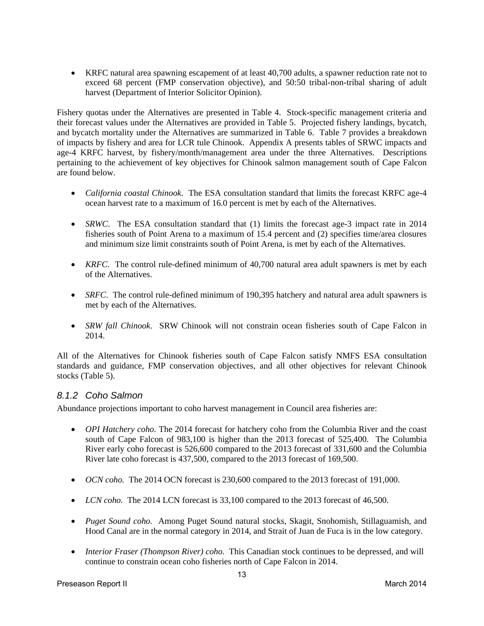KRFC natural area spawning escapement of at least 40,700 adults, a spawner reduction rate not to exceed 68 percent (FMP conservation objective), and 50:50 tribal-non-tribal sharing of adult harvest (Department of Interior Solicitor Opinion).

Fishery quotas under the Alternatives are presented in Table 4. Stock-specific management criteria and their forecast values under the Alternatives are provided in Table 5. Projected fishery landings, bycatch, and bycatch mortality under the Alternatives are summarized in Table 6. Table 7 provides a breakdown of impacts by fishery and area for LCR tule Chinook. Appendix A presents tables of SRWC impacts and age-4 KRFC harvest, by fishery/month/management area under the three Alternatives. Descriptions pertaining to the achievement of key objectives for Chinook salmon management south of Cape Falcon are found below.

- *California coastal Chinook*. The ESA consultation standard that limits the forecast KRFC age-4 ocean harvest rate to a maximum of 16.0 percent is met by each of the Alternatives.
- *SRWC*. The ESA consultation standard that (1) limits the forecast age-3 impact rate in 2014 fisheries south of Point Arena to a maximum of 15.4 percent and (2) specifies time/area closures and minimum size limit constraints south of Point Arena, is met by each of the Alternatives.
- *KRFC*. The control rule-defined minimum of 40,700 natural area adult spawners is met by each of the Alternatives.
- *SRFC*. The control rule-defined minimum of 190,395 hatchery and natural area adult spawners is met by each of the Alternatives.
- *SRW fall Chinook*. SRW Chinook will not constrain ocean fisheries south of Cape Falcon in 2014.

All of the Alternatives for Chinook fisheries south of Cape Falcon satisfy NMFS ESA consultation standards and guidance, FMP conservation objectives, and all other objectives for relevant Chinook stocks (Table 5).

#### *8.1.2 Coho Salmon*

Abundance projections important to coho harvest management in Council area fisheries are:

- *OPI Hatchery coho.* The 2014 forecast for hatchery coho from the Columbia River and the coast south of Cape Falcon of 983,100 is higher than the 2013 forecast of 525,400. The Columbia River early coho forecast is 526,600 compared to the 2013 forecast of 331,600 and the Columbia River late coho forecast is 437,500, compared to the 2013 forecast of 169,500.
- *OCN coho.* The 2014 OCN forecast is 230,600 compared to the 2013 forecast of 191,000.
- *LCN coho.* The 2014 LCN forecast is 33,100 compared to the 2013 forecast of 46,500.
- *Puget Sound coho.* Among Puget Sound natural stocks, Skagit, Snohomish, Stillaguamish, and Hood Canal are in the normal category in 2014, and Strait of Juan de Fuca is in the low category*.*
- *Interior Fraser (Thompson River) coho.* This Canadian stock continues to be depressed, and will continue to constrain ocean coho fisheries north of Cape Falcon in 2014.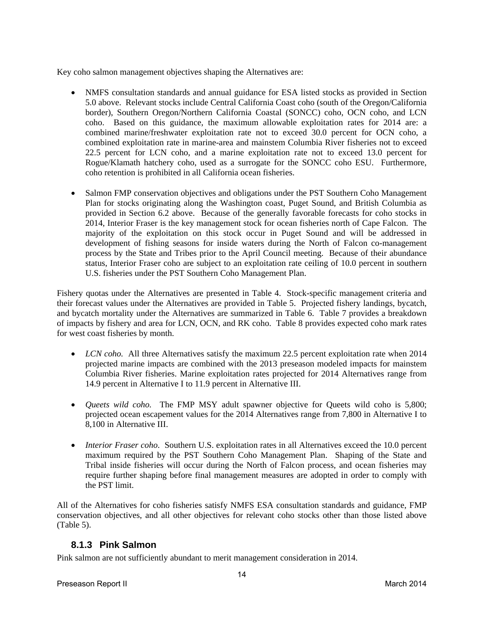Key coho salmon management objectives shaping the Alternatives are:

- NMFS consultation standards and annual guidance for ESA listed stocks as provided in Section 5.0 above. Relevant stocks include Central California Coast coho (south of the Oregon/California border), Southern Oregon/Northern California Coastal (SONCC) coho, OCN coho, and LCN coho. Based on this guidance, the maximum allowable exploitation rates for 2014 are: a combined marine/freshwater exploitation rate not to exceed 30.0 percent for OCN coho, a combined exploitation rate in marine-area and mainstem Columbia River fisheries not to exceed 22.5 percent for LCN coho, and a marine exploitation rate not to exceed 13.0 percent for Rogue/Klamath hatchery coho, used as a surrogate for the SONCC coho ESU. Furthermore, coho retention is prohibited in all California ocean fisheries.
- Salmon FMP conservation objectives and obligations under the PST Southern Coho Management Plan for stocks originating along the Washington coast, Puget Sound, and British Columbia as provided in Section 6.2 above. Because of the generally favorable forecasts for coho stocks in 2014, Interior Fraser is the key management stock for ocean fisheries north of Cape Falcon. The majority of the exploitation on this stock occur in Puget Sound and will be addressed in development of fishing seasons for inside waters during the North of Falcon co-management process by the State and Tribes prior to the April Council meeting. Because of their abundance status, Interior Fraser coho are subject to an exploitation rate ceiling of 10.0 percent in southern U.S. fisheries under the PST Southern Coho Management Plan.

Fishery quotas under the Alternatives are presented in Table 4. Stock-specific management criteria and their forecast values under the Alternatives are provided in Table 5. Projected fishery landings, bycatch, and bycatch mortality under the Alternatives are summarized in Table 6. Table 7 provides a breakdown of impacts by fishery and area for LCN, OCN, and RK coho. Table 8 provides expected coho mark rates for west coast fisheries by month.

- *LCN coho.* All three Alternatives satisfy the maximum 22.5 percent exploitation rate when 2014 projected marine impacts are combined with the 2013 preseason modeled impacts for mainstem Columbia River fisheries. Marine exploitation rates projected for 2014 Alternatives range from 14.9 percent in Alternative I to 11.9 percent in Alternative III.
- *Queets wild coho.* The FMP MSY adult spawner objective for Queets wild coho is 5,800; projected ocean escapement values for the 2014 Alternatives range from 7,800 in Alternative I to 8,100 in Alternative III.
- *Interior Fraser coho*. Southern U.S. exploitation rates in all Alternatives exceed the 10.0 percent maximum required by the PST Southern Coho Management Plan. Shaping of the State and Tribal inside fisheries will occur during the North of Falcon process, and ocean fisheries may require further shaping before final management measures are adopted in order to comply with the PST limit.

All of the Alternatives for coho fisheries satisfy NMFS ESA consultation standards and guidance, FMP conservation objectives, and all other objectives for relevant coho stocks other than those listed above (Table 5).

## **8.1.3 Pink Salmon**

Pink salmon are not sufficiently abundant to merit management consideration in 2014.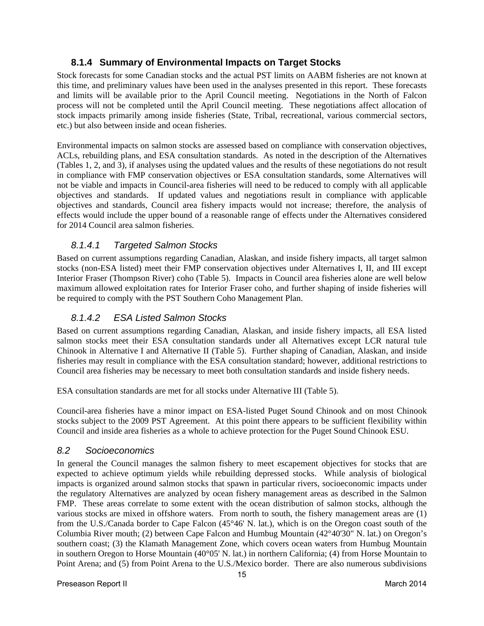#### **8.1.4 Summary of Environmental Impacts on Target Stocks**

Stock forecasts for some Canadian stocks and the actual PST limits on AABM fisheries are not known at this time, and preliminary values have been used in the analyses presented in this report. These forecasts and limits will be available prior to the April Council meeting. Negotiations in the North of Falcon process will not be completed until the April Council meeting. These negotiations affect allocation of stock impacts primarily among inside fisheries (State, Tribal, recreational, various commercial sectors, etc.) but also between inside and ocean fisheries.

Environmental impacts on salmon stocks are assessed based on compliance with conservation objectives, ACLs, rebuilding plans, and ESA consultation standards. As noted in the description of the Alternatives (Tables 1, 2, and 3), if analyses using the updated values and the results of these negotiations do not result in compliance with FMP conservation objectives or ESA consultation standards, some Alternatives will not be viable and impacts in Council-area fisheries will need to be reduced to comply with all applicable objectives and standards. If updated values and negotiations result in compliance with applicable objectives and standards, Council area fishery impacts would not increase; therefore, the analysis of effects would include the upper bound of a reasonable range of effects under the Alternatives considered for 2014 Council area salmon fisheries.

#### *8.1.4.1 Targeted Salmon Stocks*

Based on current assumptions regarding Canadian, Alaskan, and inside fishery impacts, all target salmon stocks (non-ESA listed) meet their FMP conservation objectives under Alternatives I, II, and III except Interior Fraser (Thompson River) coho (Table 5). Impacts in Council area fisheries alone are well below maximum allowed exploitation rates for Interior Fraser coho, and further shaping of inside fisheries will be required to comply with the PST Southern Coho Management Plan.

#### *8.1.4.2 ESA Listed Salmon Stocks*

Based on current assumptions regarding Canadian, Alaskan, and inside fishery impacts, all ESA listed salmon stocks meet their ESA consultation standards under all Alternatives except LCR natural tule Chinook in Alternative I and Alternative II (Table 5). Further shaping of Canadian, Alaskan, and inside fisheries may result in compliance with the ESA consultation standard; however, additional restrictions to Council area fisheries may be necessary to meet both consultation standards and inside fishery needs.

ESA consultation standards are met for all stocks under Alternative III (Table 5).

Council-area fisheries have a minor impact on ESA-listed Puget Sound Chinook and on most Chinook stocks subject to the 2009 PST Agreement. At this point there appears to be sufficient flexibility within Council and inside area fisheries as a whole to achieve protection for the Puget Sound Chinook ESU.

#### *8.2 Socioeconomics*

In general the Council manages the salmon fishery to meet escapement objectives for stocks that are expected to achieve optimum yields while rebuilding depressed stocks. While analysis of biological impacts is organized around salmon stocks that spawn in particular rivers, socioeconomic impacts under the regulatory Alternatives are analyzed by ocean fishery management areas as described in the Salmon FMP. These areas correlate to some extent with the ocean distribution of salmon stocks, although the various stocks are mixed in offshore waters. From north to south, the fishery management areas are (1) from the U.S./Canada border to Cape Falcon (45°46' N. lat.), which is on the Oregon coast south of the Columbia River mouth; (2) between Cape Falcon and Humbug Mountain (42°40'30" N. lat.) on Oregon's southern coast; (3) the Klamath Management Zone, which covers ocean waters from Humbug Mountain in southern Oregon to Horse Mountain (40°05' N. lat.) in northern California; (4) from Horse Mountain to Point Arena; and (5) from Point Arena to the U.S./Mexico border. There are also numerous subdivisions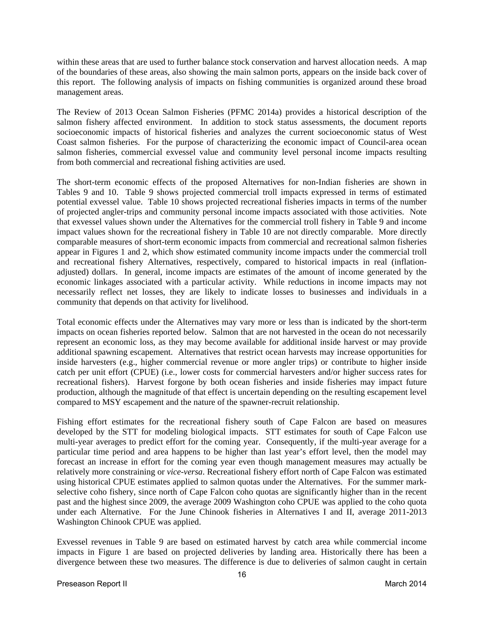within these areas that are used to further balance stock conservation and harvest allocation needs. A map of the boundaries of these areas, also showing the main salmon ports, appears on the inside back cover of this report. The following analysis of impacts on fishing communities is organized around these broad management areas.

The Review of 2013 Ocean Salmon Fisheries (PFMC 2014a) provides a historical description of the salmon fishery affected environment. In addition to stock status assessments, the document reports socioeconomic impacts of historical fisheries and analyzes the current socioeconomic status of West Coast salmon fisheries. For the purpose of characterizing the economic impact of Council-area ocean salmon fisheries, commercial exvessel value and community level personal income impacts resulting from both commercial and recreational fishing activities are used.

The short-term economic effects of the proposed Alternatives for non-Indian fisheries are shown in Tables 9 and 10. Table 9 shows projected commercial troll impacts expressed in terms of estimated potential exvessel value. Table 10 shows projected recreational fisheries impacts in terms of the number of projected angler-trips and community personal income impacts associated with those activities. Note that exvessel values shown under the Alternatives for the commercial troll fishery in Table 9 and income impact values shown for the recreational fishery in Table 10 are not directly comparable. More directly comparable measures of short-term economic impacts from commercial and recreational salmon fisheries appear in Figures 1 and 2, which show estimated community income impacts under the commercial troll and recreational fishery Alternatives, respectively, compared to historical impacts in real (inflationadjusted) dollars. In general, income impacts are estimates of the amount of income generated by the economic linkages associated with a particular activity. While reductions in income impacts may not necessarily reflect net losses, they are likely to indicate losses to businesses and individuals in a community that depends on that activity for livelihood.

Total economic effects under the Alternatives may vary more or less than is indicated by the short-term impacts on ocean fisheries reported below. Salmon that are not harvested in the ocean do not necessarily represent an economic loss, as they may become available for additional inside harvest or may provide additional spawning escapement. Alternatives that restrict ocean harvests may increase opportunities for inside harvesters (e.g., higher commercial revenue or more angler trips) or contribute to higher inside catch per unit effort (CPUE) (i.e., lower costs for commercial harvesters and/or higher success rates for recreational fishers). Harvest forgone by both ocean fisheries and inside fisheries may impact future production, although the magnitude of that effect is uncertain depending on the resulting escapement level compared to MSY escapement and the nature of the spawner-recruit relationship.

Fishing effort estimates for the recreational fishery south of Cape Falcon are based on measures developed by the STT for modeling biological impacts. STT estimates for south of Cape Falcon use multi-year averages to predict effort for the coming year. Consequently, if the multi-year average for a particular time period and area happens to be higher than last year's effort level, then the model may forecast an increase in effort for the coming year even though management measures may actually be relatively more constraining or *vice-versa*. Recreational fishery effort north of Cape Falcon was estimated using historical CPUE estimates applied to salmon quotas under the Alternatives. For the summer markselective coho fishery, since north of Cape Falcon coho quotas are significantly higher than in the recent past and the highest since 2009, the average 2009 Washington coho CPUE was applied to the coho quota under each Alternative. For the June Chinook fisheries in Alternatives I and II, average 2011-2013 Washington Chinook CPUE was applied.

Exvessel revenues in Table 9 are based on estimated harvest by catch area while commercial income impacts in Figure 1 are based on projected deliveries by landing area. Historically there has been a divergence between these two measures. The difference is due to deliveries of salmon caught in certain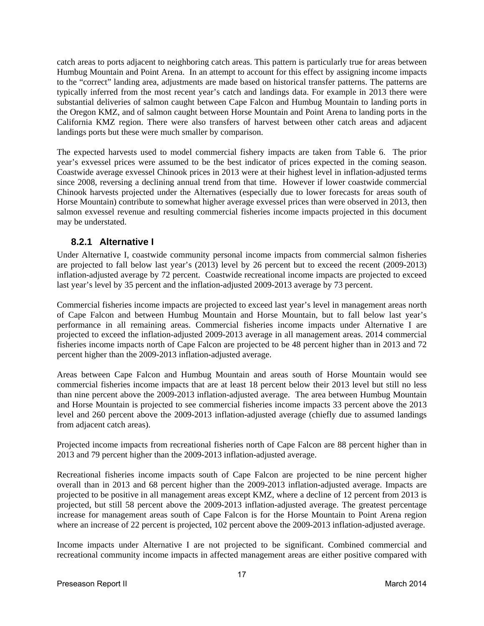catch areas to ports adjacent to neighboring catch areas. This pattern is particularly true for areas between Humbug Mountain and Point Arena. In an attempt to account for this effect by assigning income impacts to the "correct" landing area, adjustments are made based on historical transfer patterns. The patterns are typically inferred from the most recent year's catch and landings data. For example in 2013 there were substantial deliveries of salmon caught between Cape Falcon and Humbug Mountain to landing ports in the Oregon KMZ, and of salmon caught between Horse Mountain and Point Arena to landing ports in the California KMZ region. There were also transfers of harvest between other catch areas and adjacent landings ports but these were much smaller by comparison.

The expected harvests used to model commercial fishery impacts are taken from Table 6. The prior year's exvessel prices were assumed to be the best indicator of prices expected in the coming season. Coastwide average exvessel Chinook prices in 2013 were at their highest level in inflation-adjusted terms since 2008, reversing a declining annual trend from that time. However if lower coastwide commercial Chinook harvests projected under the Alternatives (especially due to lower forecasts for areas south of Horse Mountain) contribute to somewhat higher average exvessel prices than were observed in 2013, then salmon exvessel revenue and resulting commercial fisheries income impacts projected in this document may be understated.

#### **8.2.1 Alternative I**

Under Alternative I, coastwide community personal income impacts from commercial salmon fisheries are projected to fall below last year's (2013) level by 26 percent but to exceed the recent (2009-2013) inflation-adjusted average by 72 percent. Coastwide recreational income impacts are projected to exceed last year's level by 35 percent and the inflation-adjusted 2009-2013 average by 73 percent.

Commercial fisheries income impacts are projected to exceed last year's level in management areas north of Cape Falcon and between Humbug Mountain and Horse Mountain, but to fall below last year's performance in all remaining areas. Commercial fisheries income impacts under Alternative I are projected to exceed the inflation-adjusted 2009-2013 average in all management areas. 2014 commercial fisheries income impacts north of Cape Falcon are projected to be 48 percent higher than in 2013 and 72 percent higher than the 2009-2013 inflation-adjusted average.

Areas between Cape Falcon and Humbug Mountain and areas south of Horse Mountain would see commercial fisheries income impacts that are at least 18 percent below their 2013 level but still no less than nine percent above the 2009-2013 inflation-adjusted average. The area between Humbug Mountain and Horse Mountain is projected to see commercial fisheries income impacts 33 percent above the 2013 level and 260 percent above the 2009-2013 inflation-adjusted average (chiefly due to assumed landings from adjacent catch areas).

Projected income impacts from recreational fisheries north of Cape Falcon are 88 percent higher than in 2013 and 79 percent higher than the 2009-2013 inflation-adjusted average.

Recreational fisheries income impacts south of Cape Falcon are projected to be nine percent higher overall than in 2013 and 68 percent higher than the 2009-2013 inflation-adjusted average. Impacts are projected to be positive in all management areas except KMZ, where a decline of 12 percent from 2013 is projected, but still 58 percent above the 2009-2013 inflation-adjusted average. The greatest percentage increase for management areas south of Cape Falcon is for the Horse Mountain to Point Arena region where an increase of 22 percent is projected, 102 percent above the 2009-2013 inflation-adjusted average.

Income impacts under Alternative I are not projected to be significant. Combined commercial and recreational community income impacts in affected management areas are either positive compared with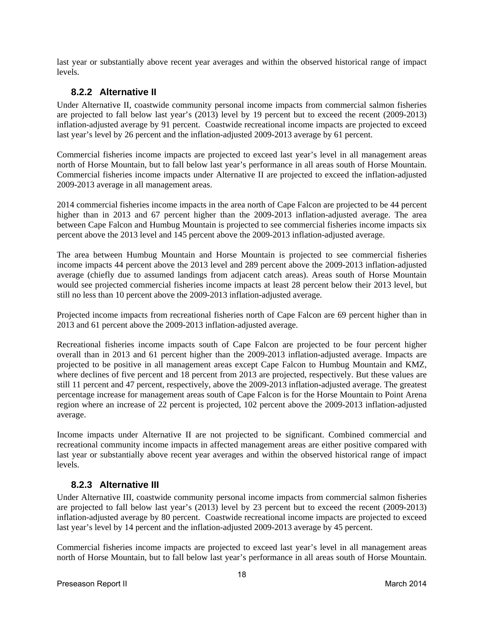last year or substantially above recent year averages and within the observed historical range of impact levels.

#### **8.2.2 Alternative II**

Under Alternative II, coastwide community personal income impacts from commercial salmon fisheries are projected to fall below last year's (2013) level by 19 percent but to exceed the recent (2009-2013) inflation-adjusted average by 91 percent. Coastwide recreational income impacts are projected to exceed last year's level by 26 percent and the inflation-adjusted 2009-2013 average by 61 percent.

Commercial fisheries income impacts are projected to exceed last year's level in all management areas north of Horse Mountain, but to fall below last year's performance in all areas south of Horse Mountain. Commercial fisheries income impacts under Alternative II are projected to exceed the inflation-adjusted 2009-2013 average in all management areas.

2014 commercial fisheries income impacts in the area north of Cape Falcon are projected to be 44 percent higher than in 2013 and 67 percent higher than the 2009-2013 inflation-adjusted average. The area between Cape Falcon and Humbug Mountain is projected to see commercial fisheries income impacts six percent above the 2013 level and 145 percent above the 2009-2013 inflation-adjusted average.

The area between Humbug Mountain and Horse Mountain is projected to see commercial fisheries income impacts 44 percent above the 2013 level and 289 percent above the 2009-2013 inflation-adjusted average (chiefly due to assumed landings from adjacent catch areas). Areas south of Horse Mountain would see projected commercial fisheries income impacts at least 28 percent below their 2013 level, but still no less than 10 percent above the 2009-2013 inflation-adjusted average.

Projected income impacts from recreational fisheries north of Cape Falcon are 69 percent higher than in 2013 and 61 percent above the 2009-2013 inflation-adjusted average.

Recreational fisheries income impacts south of Cape Falcon are projected to be four percent higher overall than in 2013 and 61 percent higher than the 2009-2013 inflation-adjusted average. Impacts are projected to be positive in all management areas except Cape Falcon to Humbug Mountain and KMZ, where declines of five percent and 18 percent from 2013 are projected, respectively. But these values are still 11 percent and 47 percent, respectively, above the 2009-2013 inflation-adjusted average. The greatest percentage increase for management areas south of Cape Falcon is for the Horse Mountain to Point Arena region where an increase of 22 percent is projected, 102 percent above the 2009-2013 inflation-adjusted average.

Income impacts under Alternative II are not projected to be significant. Combined commercial and recreational community income impacts in affected management areas are either positive compared with last year or substantially above recent year averages and within the observed historical range of impact levels.

#### **8.2.3 Alternative III**

Under Alternative III, coastwide community personal income impacts from commercial salmon fisheries are projected to fall below last year's (2013) level by 23 percent but to exceed the recent (2009-2013) inflation-adjusted average by 80 percent. Coastwide recreational income impacts are projected to exceed last year's level by 14 percent and the inflation-adjusted 2009-2013 average by 45 percent.

Commercial fisheries income impacts are projected to exceed last year's level in all management areas north of Horse Mountain, but to fall below last year's performance in all areas south of Horse Mountain.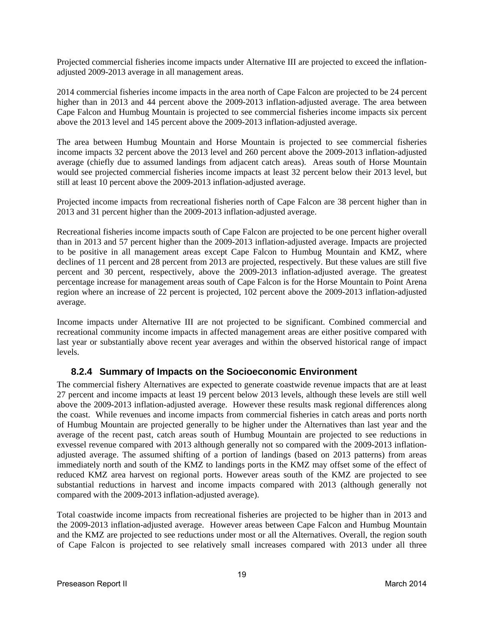Projected commercial fisheries income impacts under Alternative III are projected to exceed the inflationadjusted 2009-2013 average in all management areas.

2014 commercial fisheries income impacts in the area north of Cape Falcon are projected to be 24 percent higher than in 2013 and 44 percent above the 2009-2013 inflation-adjusted average. The area between Cape Falcon and Humbug Mountain is projected to see commercial fisheries income impacts six percent above the 2013 level and 145 percent above the 2009-2013 inflation-adjusted average.

The area between Humbug Mountain and Horse Mountain is projected to see commercial fisheries income impacts 32 percent above the 2013 level and 260 percent above the 2009-2013 inflation-adjusted average (chiefly due to assumed landings from adjacent catch areas). Areas south of Horse Mountain would see projected commercial fisheries income impacts at least 32 percent below their 2013 level, but still at least 10 percent above the 2009-2013 inflation-adjusted average.

Projected income impacts from recreational fisheries north of Cape Falcon are 38 percent higher than in 2013 and 31 percent higher than the 2009-2013 inflation-adjusted average.

Recreational fisheries income impacts south of Cape Falcon are projected to be one percent higher overall than in 2013 and 57 percent higher than the 2009-2013 inflation-adjusted average. Impacts are projected to be positive in all management areas except Cape Falcon to Humbug Mountain and KMZ, where declines of 11 percent and 28 percent from 2013 are projected, respectively. But these values are still five percent and 30 percent, respectively, above the 2009-2013 inflation-adjusted average. The greatest percentage increase for management areas south of Cape Falcon is for the Horse Mountain to Point Arena region where an increase of 22 percent is projected, 102 percent above the 2009-2013 inflation-adjusted average.

Income impacts under Alternative III are not projected to be significant. Combined commercial and recreational community income impacts in affected management areas are either positive compared with last year or substantially above recent year averages and within the observed historical range of impact levels.

#### **8.2.4 Summary of Impacts on the Socioeconomic Environment**

The commercial fishery Alternatives are expected to generate coastwide revenue impacts that are at least 27 percent and income impacts at least 19 percent below 2013 levels, although these levels are still well above the 2009-2013 inflation-adjusted average. However these results mask regional differences along the coast. While revenues and income impacts from commercial fisheries in catch areas and ports north of Humbug Mountain are projected generally to be higher under the Alternatives than last year and the average of the recent past, catch areas south of Humbug Mountain are projected to see reductions in exvessel revenue compared with 2013 although generally not so compared with the 2009-2013 inflationadjusted average. The assumed shifting of a portion of landings (based on 2013 patterns) from areas immediately north and south of the KMZ to landings ports in the KMZ may offset some of the effect of reduced KMZ area harvest on regional ports. However areas south of the KMZ are projected to see substantial reductions in harvest and income impacts compared with 2013 (although generally not compared with the 2009-2013 inflation-adjusted average).

Total coastwide income impacts from recreational fisheries are projected to be higher than in 2013 and the 2009-2013 inflation-adjusted average. However areas between Cape Falcon and Humbug Mountain and the KMZ are projected to see reductions under most or all the Alternatives. Overall, the region south of Cape Falcon is projected to see relatively small increases compared with 2013 under all three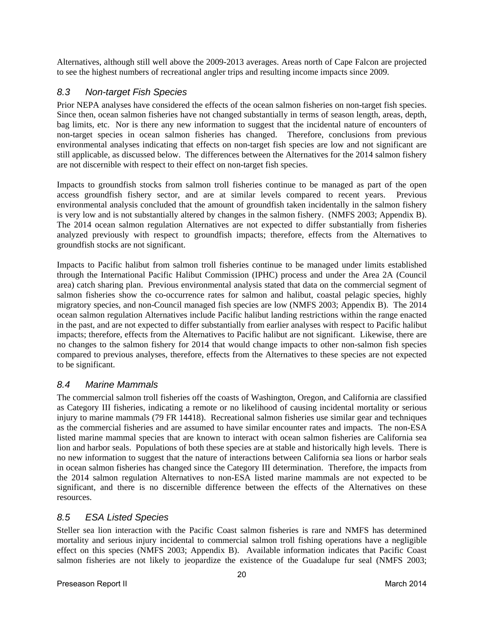Alternatives, although still well above the 2009-2013 averages. Areas north of Cape Falcon are projected to see the highest numbers of recreational angler trips and resulting income impacts since 2009.

#### *8.3 Non-target Fish Species*

Prior NEPA analyses have considered the effects of the ocean salmon fisheries on non-target fish species. Since then, ocean salmon fisheries have not changed substantially in terms of season length, areas, depth, bag limits, etc. Nor is there any new information to suggest that the incidental nature of encounters of non-target species in ocean salmon fisheries has changed. Therefore, conclusions from previous environmental analyses indicating that effects on non-target fish species are low and not significant are still applicable, as discussed below. The differences between the Alternatives for the 2014 salmon fishery are not discernible with respect to their effect on non-target fish species.

Impacts to groundfish stocks from salmon troll fisheries continue to be managed as part of the open access groundfish fishery sector, and are at similar levels compared to recent years. Previous environmental analysis concluded that the amount of groundfish taken incidentally in the salmon fishery is very low and is not substantially altered by changes in the salmon fishery. (NMFS 2003; Appendix B). The 2014 ocean salmon regulation Alternatives are not expected to differ substantially from fisheries analyzed previously with respect to groundfish impacts; therefore, effects from the Alternatives to groundfish stocks are not significant.

Impacts to Pacific halibut from salmon troll fisheries continue to be managed under limits established through the International Pacific Halibut Commission (IPHC) process and under the Area 2A (Council area) catch sharing plan. Previous environmental analysis stated that data on the commercial segment of salmon fisheries show the co-occurrence rates for salmon and halibut, coastal pelagic species, highly migratory species, and non-Council managed fish species are low (NMFS 2003; Appendix B). The 2014 ocean salmon regulation Alternatives include Pacific halibut landing restrictions within the range enacted in the past, and are not expected to differ substantially from earlier analyses with respect to Pacific halibut impacts; therefore, effects from the Alternatives to Pacific halibut are not significant. Likewise, there are no changes to the salmon fishery for 2014 that would change impacts to other non-salmon fish species compared to previous analyses, therefore, effects from the Alternatives to these species are not expected to be significant.

#### *8.4 Marine Mammals*

The commercial salmon troll fisheries off the coasts of Washington, Oregon, and California are classified as Category III fisheries, indicating a remote or no likelihood of causing incidental mortality or serious injury to marine mammals (79 FR 14418). Recreational salmon fisheries use similar gear and techniques as the commercial fisheries and are assumed to have similar encounter rates and impacts. The non-ESA listed marine mammal species that are known to interact with ocean salmon fisheries are California sea lion and harbor seals. Populations of both these species are at stable and historically high levels. There is no new information to suggest that the nature of interactions between California sea lions or harbor seals in ocean salmon fisheries has changed since the Category III determination. Therefore, the impacts from the 2014 salmon regulation Alternatives to non-ESA listed marine mammals are not expected to be significant, and there is no discernible difference between the effects of the Alternatives on these resources.

#### *8.5 ESA Listed Species*

Steller sea lion interaction with the Pacific Coast salmon fisheries is rare and NMFS has determined mortality and serious injury incidental to commercial salmon troll fishing operations have a negligible effect on this species (NMFS 2003; Appendix B). Available information indicates that Pacific Coast salmon fisheries are not likely to jeopardize the existence of the Guadalupe fur seal (NMFS 2003;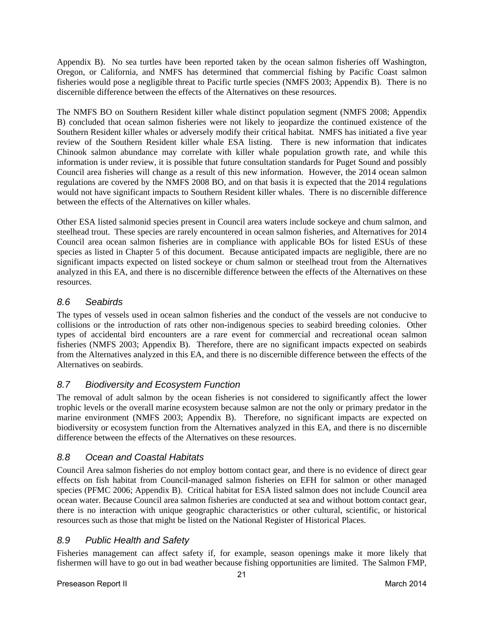Appendix B). No sea turtles have been reported taken by the ocean salmon fisheries off Washington, Oregon, or California, and NMFS has determined that commercial fishing by Pacific Coast salmon fisheries would pose a negligible threat to Pacific turtle species (NMFS 2003; Appendix B). There is no discernible difference between the effects of the Alternatives on these resources.

The NMFS BO on Southern Resident killer whale distinct population segment (NMFS 2008; Appendix B) concluded that ocean salmon fisheries were not likely to jeopardize the continued existence of the Southern Resident killer whales or adversely modify their critical habitat. NMFS has initiated a five year review of the Southern Resident killer whale ESA listing. There is new information that indicates Chinook salmon abundance may correlate with killer whale population growth rate, and while this information is under review, it is possible that future consultation standards for Puget Sound and possibly Council area fisheries will change as a result of this new information. However, the 2014 ocean salmon regulations are covered by the NMFS 2008 BO, and on that basis it is expected that the 2014 regulations would not have significant impacts to Southern Resident killer whales. There is no discernible difference between the effects of the Alternatives on killer whales.

Other ESA listed salmonid species present in Council area waters include sockeye and chum salmon, and steelhead trout. These species are rarely encountered in ocean salmon fisheries, and Alternatives for 2014 Council area ocean salmon fisheries are in compliance with applicable BOs for listed ESUs of these species as listed in Chapter 5 of this document. Because anticipated impacts are negligible, there are no significant impacts expected on listed sockeye or chum salmon or steelhead trout from the Alternatives analyzed in this EA, and there is no discernible difference between the effects of the Alternatives on these resources.

#### *8.6 Seabirds*

The types of vessels used in ocean salmon fisheries and the conduct of the vessels are not conducive to collisions or the introduction of rats other non-indigenous species to seabird breeding colonies. Other types of accidental bird encounters are a rare event for commercial and recreational ocean salmon fisheries (NMFS 2003; Appendix B). Therefore, there are no significant impacts expected on seabirds from the Alternatives analyzed in this EA, and there is no discernible difference between the effects of the Alternatives on seabirds.

## *8.7 Biodiversity and Ecosystem Function*

The removal of adult salmon by the ocean fisheries is not considered to significantly affect the lower trophic levels or the overall marine ecosystem because salmon are not the only or primary predator in the marine environment (NMFS 2003; Appendix B). Therefore, no significant impacts are expected on biodiversity or ecosystem function from the Alternatives analyzed in this EA, and there is no discernible difference between the effects of the Alternatives on these resources.

#### *8.8 Ocean and Coastal Habitats*

Council Area salmon fisheries do not employ bottom contact gear, and there is no evidence of direct gear effects on fish habitat from Council-managed salmon fisheries on EFH for salmon or other managed species (PFMC 2006; Appendix B). Critical habitat for ESA listed salmon does not include Council area ocean water. Because Council area salmon fisheries are conducted at sea and without bottom contact gear, there is no interaction with unique geographic characteristics or other cultural, scientific, or historical resources such as those that might be listed on the National Register of Historical Places.

## *8.9 Public Health and Safety*

Fisheries management can affect safety if, for example, season openings make it more likely that fishermen will have to go out in bad weather because fishing opportunities are limited. The Salmon FMP,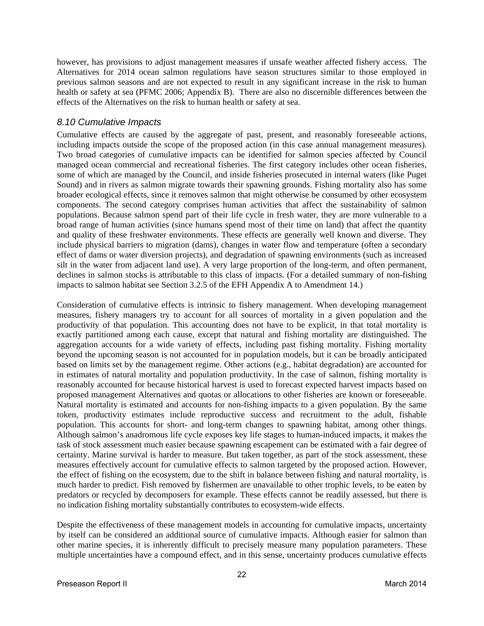however, has provisions to adjust management measures if unsafe weather affected fishery access. The Alternatives for 2014 ocean salmon regulations have season structures similar to those employed in previous salmon seasons and are not expected to result in any significant increase in the risk to human health or safety at sea (PFMC 2006; Appendix B). There are also no discernible differences between the effects of the Alternatives on the risk to human health or safety at sea.

#### *8.10 Cumulative Impacts*

Cumulative effects are caused by the aggregate of past, present, and reasonably foreseeable actions, including impacts outside the scope of the proposed action (in this case annual management measures). Two broad categories of cumulative impacts can be identified for salmon species affected by Council managed ocean commercial and recreational fisheries. The first category includes other ocean fisheries, some of which are managed by the Council, and inside fisheries prosecuted in internal waters (like Puget Sound) and in rivers as salmon migrate towards their spawning grounds. Fishing mortality also has some broader ecological effects, since it removes salmon that might otherwise be consumed by other ecosystem components. The second category comprises human activities that affect the sustainability of salmon populations. Because salmon spend part of their life cycle in fresh water, they are more vulnerable to a broad range of human activities (since humans spend most of their time on land) that affect the quantity and quality of these freshwater environments. These effects are generally well known and diverse. They include physical barriers to migration (dams), changes in water flow and temperature (often a secondary effect of dams or water diversion projects), and degradation of spawning environments (such as increased silt in the water from adjacent land use). A very large proportion of the long-term, and often permanent, declines in salmon stocks is attributable to this class of impacts. (For a detailed summary of non-fishing impacts to salmon habitat see Section 3.2.5 of the EFH Appendix A to Amendment 14.)

Consideration of cumulative effects is intrinsic to fishery management. When developing management measures, fishery managers try to account for all sources of mortality in a given population and the productivity of that population. This accounting does not have to be explicit, in that total mortality is exactly partitioned among each cause, except that natural and fishing mortality are distinguished. The aggregation accounts for a wide variety of effects, including past fishing mortality. Fishing mortality beyond the upcoming season is not accounted for in population models, but it can be broadly anticipated based on limits set by the management regime. Other actions (e.g., habitat degradation) are accounted for in estimates of natural mortality and population productivity. In the case of salmon, fishing mortality is reasonably accounted for because historical harvest is used to forecast expected harvest impacts based on proposed management Alternatives and quotas or allocations to other fisheries are known or foreseeable. Natural mortality is estimated and accounts for non-fishing impacts to a given population. By the same token, productivity estimates include reproductive success and recruitment to the adult, fishable population. This accounts for short- and long-term changes to spawning habitat, among other things. Although salmon's anadromous life cycle exposes key life stages to human-induced impacts, it makes the task of stock assessment much easier because spawning escapement can be estimated with a fair degree of certainty. Marine survival is harder to measure. But taken together, as part of the stock assessment, these measures effectively account for cumulative effects to salmon targeted by the proposed action. However, the effect of fishing on the ecosystem, due to the shift in balance between fishing and natural mortality, is much harder to predict. Fish removed by fishermen are unavailable to other trophic levels, to be eaten by predators or recycled by decomposers for example. These effects cannot be readily assessed, but there is no indication fishing mortality substantially contributes to ecosystem-wide effects.

Despite the effectiveness of these management models in accounting for cumulative impacts, uncertainty by itself can be considered an additional source of cumulative impacts. Although easier for salmon than other marine species, it is inherently difficult to precisely measure many population parameters. These multiple uncertainties have a compound effect, and in this sense, uncertainty produces cumulative effects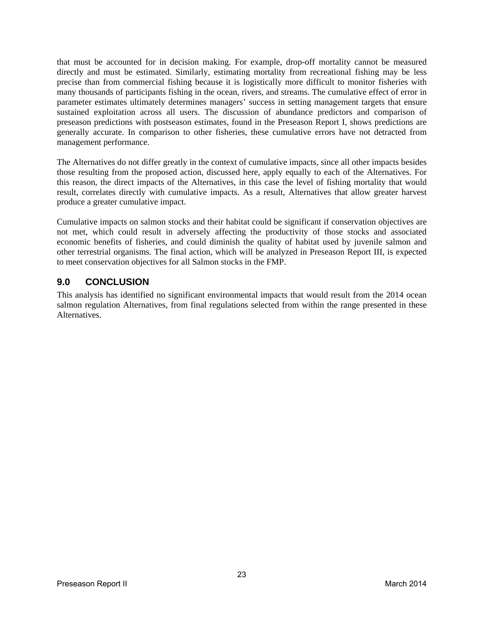that must be accounted for in decision making. For example, drop-off mortality cannot be measured directly and must be estimated. Similarly, estimating mortality from recreational fishing may be less precise than from commercial fishing because it is logistically more difficult to monitor fisheries with many thousands of participants fishing in the ocean, rivers, and streams. The cumulative effect of error in parameter estimates ultimately determines managers' success in setting management targets that ensure sustained exploitation across all users. The discussion of abundance predictors and comparison of preseason predictions with postseason estimates, found in the Preseason Report I, shows predictions are generally accurate. In comparison to other fisheries, these cumulative errors have not detracted from management performance.

The Alternatives do not differ greatly in the context of cumulative impacts, since all other impacts besides those resulting from the proposed action, discussed here, apply equally to each of the Alternatives. For this reason, the direct impacts of the Alternatives, in this case the level of fishing mortality that would result, correlates directly with cumulative impacts. As a result, Alternatives that allow greater harvest produce a greater cumulative impact.

Cumulative impacts on salmon stocks and their habitat could be significant if conservation objectives are not met, which could result in adversely affecting the productivity of those stocks and associated economic benefits of fisheries, and could diminish the quality of habitat used by juvenile salmon and other terrestrial organisms. The final action, which will be analyzed in Preseason Report III, is expected to meet conservation objectives for all Salmon stocks in the FMP.

#### **9.0 CONCLUSION**

This analysis has identified no significant environmental impacts that would result from the 2014 ocean salmon regulation Alternatives, from final regulations selected from within the range presented in these Alternatives.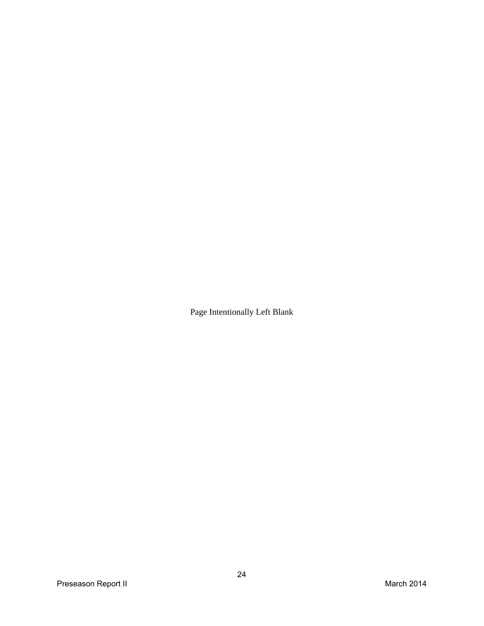Page Intentionally Left Blank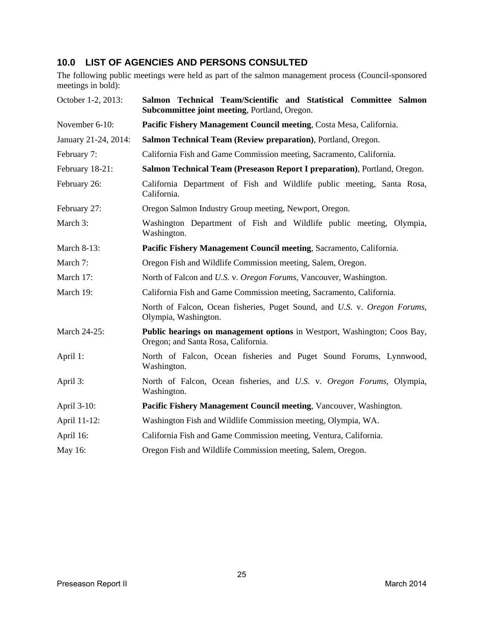# **10.0 LIST OF AGENCIES AND PERSONS CONSULTED**

The following public meetings were held as part of the salmon management process (Council-sponsored meetings in bold):

| October 1-2, 2013:   | Salmon Technical Team/Scientific and Statistical Committee Salmon<br>Subcommittee joint meeting, Portland, Oregon.     |  |  |
|----------------------|------------------------------------------------------------------------------------------------------------------------|--|--|
| November 6-10:       | Pacific Fishery Management Council meeting, Costa Mesa, California.                                                    |  |  |
| January 21-24, 2014: | Salmon Technical Team (Review preparation), Portland, Oregon.                                                          |  |  |
| February 7:          | California Fish and Game Commission meeting, Sacramento, California.                                                   |  |  |
| February 18-21:      | Salmon Technical Team (Preseason Report I preparation), Portland, Oregon.                                              |  |  |
| February 26:         | California Department of Fish and Wildlife public meeting, Santa Rosa,<br>California.                                  |  |  |
| February 27:         | Oregon Salmon Industry Group meeting, Newport, Oregon.                                                                 |  |  |
| March 3:             | Washington Department of Fish and Wildlife public meeting, Olympia,<br>Washington.                                     |  |  |
| <b>March 8-13:</b>   | Pacific Fishery Management Council meeting, Sacramento, California.                                                    |  |  |
| March 7:             | Oregon Fish and Wildlife Commission meeting, Salem, Oregon.                                                            |  |  |
| March 17:            | North of Falcon and U.S. v. Oregon Forums, Vancouver, Washington.                                                      |  |  |
| March 19:            | California Fish and Game Commission meeting, Sacramento, California.                                                   |  |  |
|                      | North of Falcon, Ocean fisheries, Puget Sound, and U.S. v. Oregon Forums,<br>Olympia, Washington.                      |  |  |
| March 24-25:         | <b>Public hearings on management options</b> in Westport, Washington; Coos Bay,<br>Oregon; and Santa Rosa, California. |  |  |
| April 1:             | North of Falcon, Ocean fisheries and Puget Sound Forums, Lynnwood,<br>Washington.                                      |  |  |
| April 3:             | North of Falcon, Ocean fisheries, and U.S. v. Oregon Forums, Olympia,<br>Washington.                                   |  |  |
| April 3-10:          | Pacific Fishery Management Council meeting, Vancouver, Washington.                                                     |  |  |
| April 11-12:         | Washington Fish and Wildlife Commission meeting, Olympia, WA.                                                          |  |  |
| April 16:            | California Fish and Game Commission meeting, Ventura, California.                                                      |  |  |
| May 16:              | Oregon Fish and Wildlife Commission meeting, Salem, Oregon.                                                            |  |  |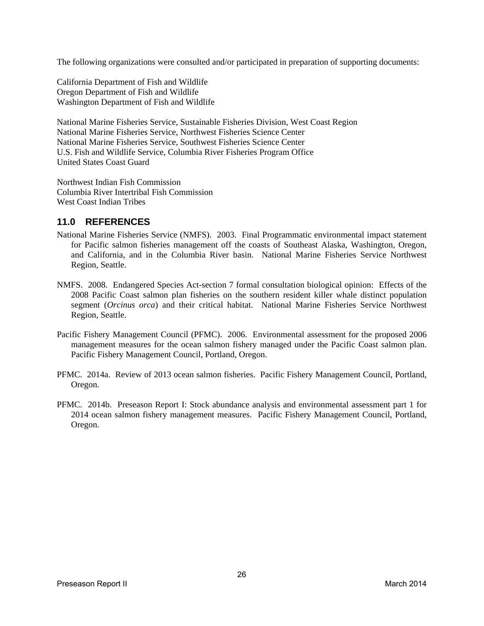The following organizations were consulted and/or participated in preparation of supporting documents:

California Department of Fish and Wildlife Oregon Department of Fish and Wildlife Washington Department of Fish and Wildlife

National Marine Fisheries Service, Sustainable Fisheries Division, West Coast Region National Marine Fisheries Service, Northwest Fisheries Science Center National Marine Fisheries Service, Southwest Fisheries Science Center U.S. Fish and Wildlife Service, Columbia River Fisheries Program Office United States Coast Guard

Northwest Indian Fish Commission Columbia River Intertribal Fish Commission West Coast Indian Tribes

#### **11.0 REFERENCES**

- National Marine Fisheries Service (NMFS). 2003. Final Programmatic environmental impact statement for Pacific salmon fisheries management off the coasts of Southeast Alaska, Washington, Oregon, and California, and in the Columbia River basin. National Marine Fisheries Service Northwest Region, Seattle.
- NMFS. 2008. Endangered Species Act-section 7 formal consultation biological opinion: Effects of the 2008 Pacific Coast salmon plan fisheries on the southern resident killer whale distinct population segment (*Orcinus orca*) and their critical habitat. National Marine Fisheries Service Northwest Region, Seattle.
- Pacific Fishery Management Council (PFMC). 2006. Environmental assessment for the proposed 2006 management measures for the ocean salmon fishery managed under the Pacific Coast salmon plan. Pacific Fishery Management Council, Portland, Oregon.
- PFMC. 2014a. Review of 2013 ocean salmon fisheries. Pacific Fishery Management Council, Portland, Oregon.
- PFMC. 2014b. Preseason Report I: Stock abundance analysis and environmental assessment part 1 for 2014 ocean salmon fishery management measures. Pacific Fishery Management Council, Portland, Oregon.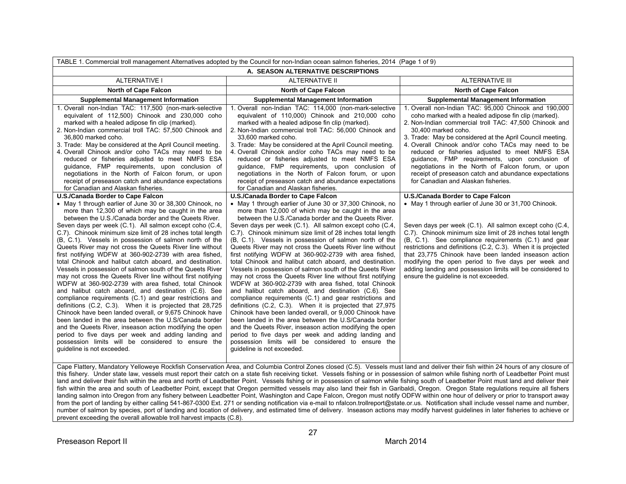| TABLE 1. Commercial troll management Alternatives adopted by the Council for non-Indian ocean salmon fisheries, 2014 (Page 1 of 9)                                                                                                                                                                                                                                                                                                                                                                                                                                                                                                                                                                                                                                                                                                                                                                                                                                                                                                                                                                                                                                                                                                                                                                                                                                                                                                                                                                                                                                                                                                                                                                                                                                                                                                                                                                                                                                                                                                                                                                                                                                                                                                                                                                                                                                                                                                                                                                                                                                                                                                                                                                                                                                                                                                                                                                                                                                                                                        |                                                                                                                                                                                                                                                                                                                                                                                                                                                                                                                                                                                                                            |                                                                                                                                                                                                                                                                                                                                                                                                                                                                                                                                                                             |  |
|---------------------------------------------------------------------------------------------------------------------------------------------------------------------------------------------------------------------------------------------------------------------------------------------------------------------------------------------------------------------------------------------------------------------------------------------------------------------------------------------------------------------------------------------------------------------------------------------------------------------------------------------------------------------------------------------------------------------------------------------------------------------------------------------------------------------------------------------------------------------------------------------------------------------------------------------------------------------------------------------------------------------------------------------------------------------------------------------------------------------------------------------------------------------------------------------------------------------------------------------------------------------------------------------------------------------------------------------------------------------------------------------------------------------------------------------------------------------------------------------------------------------------------------------------------------------------------------------------------------------------------------------------------------------------------------------------------------------------------------------------------------------------------------------------------------------------------------------------------------------------------------------------------------------------------------------------------------------------------------------------------------------------------------------------------------------------------------------------------------------------------------------------------------------------------------------------------------------------------------------------------------------------------------------------------------------------------------------------------------------------------------------------------------------------------------------------------------------------------------------------------------------------------------------------------------------------------------------------------------------------------------------------------------------------------------------------------------------------------------------------------------------------------------------------------------------------------------------------------------------------------------------------------------------------------------------------------------------------------------------------------------------------|----------------------------------------------------------------------------------------------------------------------------------------------------------------------------------------------------------------------------------------------------------------------------------------------------------------------------------------------------------------------------------------------------------------------------------------------------------------------------------------------------------------------------------------------------------------------------------------------------------------------------|-----------------------------------------------------------------------------------------------------------------------------------------------------------------------------------------------------------------------------------------------------------------------------------------------------------------------------------------------------------------------------------------------------------------------------------------------------------------------------------------------------------------------------------------------------------------------------|--|
| A. SEASON ALTERNATIVE DESCRIPTIONS                                                                                                                                                                                                                                                                                                                                                                                                                                                                                                                                                                                                                                                                                                                                                                                                                                                                                                                                                                                                                                                                                                                                                                                                                                                                                                                                                                                                                                                                                                                                                                                                                                                                                                                                                                                                                                                                                                                                                                                                                                                                                                                                                                                                                                                                                                                                                                                                                                                                                                                                                                                                                                                                                                                                                                                                                                                                                                                                                                                        |                                                                                                                                                                                                                                                                                                                                                                                                                                                                                                                                                                                                                            |                                                                                                                                                                                                                                                                                                                                                                                                                                                                                                                                                                             |  |
| <b>ALTERNATIVE I</b>                                                                                                                                                                                                                                                                                                                                                                                                                                                                                                                                                                                                                                                                                                                                                                                                                                                                                                                                                                                                                                                                                                                                                                                                                                                                                                                                                                                                                                                                                                                                                                                                                                                                                                                                                                                                                                                                                                                                                                                                                                                                                                                                                                                                                                                                                                                                                                                                                                                                                                                                                                                                                                                                                                                                                                                                                                                                                                                                                                                                      | <b>ALTERNATIVE II</b>                                                                                                                                                                                                                                                                                                                                                                                                                                                                                                                                                                                                      | <b>ALTERNATIVE III</b>                                                                                                                                                                                                                                                                                                                                                                                                                                                                                                                                                      |  |
| <b>North of Cape Falcon</b>                                                                                                                                                                                                                                                                                                                                                                                                                                                                                                                                                                                                                                                                                                                                                                                                                                                                                                                                                                                                                                                                                                                                                                                                                                                                                                                                                                                                                                                                                                                                                                                                                                                                                                                                                                                                                                                                                                                                                                                                                                                                                                                                                                                                                                                                                                                                                                                                                                                                                                                                                                                                                                                                                                                                                                                                                                                                                                                                                                                               | <b>North of Cape Falcon</b>                                                                                                                                                                                                                                                                                                                                                                                                                                                                                                                                                                                                | <b>North of Cape Falcon</b>                                                                                                                                                                                                                                                                                                                                                                                                                                                                                                                                                 |  |
| <b>Supplemental Management Information</b>                                                                                                                                                                                                                                                                                                                                                                                                                                                                                                                                                                                                                                                                                                                                                                                                                                                                                                                                                                                                                                                                                                                                                                                                                                                                                                                                                                                                                                                                                                                                                                                                                                                                                                                                                                                                                                                                                                                                                                                                                                                                                                                                                                                                                                                                                                                                                                                                                                                                                                                                                                                                                                                                                                                                                                                                                                                                                                                                                                                | <b>Supplemental Management Information</b>                                                                                                                                                                                                                                                                                                                                                                                                                                                                                                                                                                                 | <b>Supplemental Management Information</b>                                                                                                                                                                                                                                                                                                                                                                                                                                                                                                                                  |  |
| 1. Overall non-Indian TAC: 117,500 (non-mark-selective<br>equivalent of 112,500) Chinook and 230,000 coho<br>marked with a healed adipose fin clip (marked).<br>2. Non-Indian commercial troll TAC: 57,500 Chinook and<br>36,800 marked coho.<br>3. Trade: May be considered at the April Council meeting.<br>4. Overall Chinook and/or coho TACs may need to be<br>reduced or fisheries adjusted to meet NMFS ESA<br>guidance, FMP requirements, upon conclusion of<br>negotiations in the North of Falcon forum, or upon<br>receipt of preseason catch and abundance expectations<br>for Canadian and Alaskan fisheries.                                                                                                                                                                                                                                                                                                                                                                                                                                                                                                                                                                                                                                                                                                                                                                                                                                                                                                                                                                                                                                                                                                                                                                                                                                                                                                                                                                                                                                                                                                                                                                                                                                                                                                                                                                                                                                                                                                                                                                                                                                                                                                                                                                                                                                                                                                                                                                                                | 1. Overall non-Indian TAC: 114,000 (non-mark-selective<br>equivalent of 110,000) Chinook and 210,000 coho<br>marked with a healed adipose fin clip (marked).<br>2. Non-Indian commercial troll TAC: 56,000 Chinook and<br>33,600 marked coho.<br>3. Trade: May be considered at the April Council meeting.<br>4. Overall Chinook and/or coho TACs may need to be<br>reduced or fisheries adjusted to meet NMFS ESA<br>guidance, FMP requirements, upon conclusion of<br>negotiations in the North of Falcon forum, or upon<br>receipt of preseason catch and abundance expectations<br>for Canadian and Alaskan fisheries. | 1. Overall non-Indian TAC: 95,000 Chinook and 190,000<br>coho marked with a healed adipose fin clip (marked).<br>2. Non-Indian commercial troll TAC: 47,500 Chinook and<br>30,400 marked coho.<br>3. Trade: May be considered at the April Council meeting.<br>4. Overall Chinook and/or coho TACs may need to be<br>reduced or fisheries adjusted to meet NMFS ESA<br>guidance, FMP requirements, upon conclusion of<br>negotiations in the North of Falcon forum, or upon<br>receipt of preseason catch and abundance expectations<br>for Canadian and Alaskan fisheries. |  |
| <b>U.S./Canada Border to Cape Falcon</b>                                                                                                                                                                                                                                                                                                                                                                                                                                                                                                                                                                                                                                                                                                                                                                                                                                                                                                                                                                                                                                                                                                                                                                                                                                                                                                                                                                                                                                                                                                                                                                                                                                                                                                                                                                                                                                                                                                                                                                                                                                                                                                                                                                                                                                                                                                                                                                                                                                                                                                                                                                                                                                                                                                                                                                                                                                                                                                                                                                                  | U.S./Canada Border to Cape Falcon                                                                                                                                                                                                                                                                                                                                                                                                                                                                                                                                                                                          | U.S./Canada Border to Cape Falcon                                                                                                                                                                                                                                                                                                                                                                                                                                                                                                                                           |  |
| • May 1 through earlier of June 30 or 31,700 Chinook.<br>• May 1 through earlier of June 30 or 38,300 Chinook, no<br>• May 1 through earlier of June 30 or 37,300 Chinook, no<br>more than 12,300 of which may be caught in the area<br>more than 12,000 of which may be caught in the area<br>between the U.S./Canada border and the Queets River.<br>between the U.S./Canada border and the Queets River.<br>Seven days per week (C.1). All salmon except coho (C.4,<br>Seven days per week (C.1). All salmon except coho (C.4,<br>Seven days per week (C.1). All salmon except coho (C.4,<br>C.7). Chinook minimum size limit of 28 inches total length<br>C.7). Chinook minimum size limit of 28 inches total length<br>C.7). Chinook minimum size limit of 28 inches total length<br>(B, C.1). Vessels in possession of salmon north of the<br>(B, C.1). Vessels in possession of salmon north of the<br>(B, C.1). See compliance requirements (C.1) and gear<br>Queets River may not cross the Queets River line without<br>Queets River may not cross the Queets River line without<br>restrictions and definitions (C.2, C.3). When it is projected<br>first notifying WDFW at 360-902-2739 with area fished,<br>that 23,775 Chinook have been landed inseason action<br>first notifying WDFW at 360-902-2739 with area fished,<br>total Chinook and halibut catch aboard, and destination.<br>total Chinook and halibut catch aboard, and destination.<br>modifying the open period to five days per week and<br>Vessels in possession of salmon south of the Queets River<br>Vessels in possession of salmon south of the Queets River<br>adding landing and possession limits will be considered to<br>ensure the guideline is not exceeded.<br>may not cross the Queets River line without first notifying<br>may not cross the Queets River line without first notifying<br>WDFW at 360-902-2739 with area fished, total Chinook<br>WDFW at 360-902-2739 with area fished, total Chinook<br>and halibut catch aboard, and destination (C.6). See<br>and halibut catch aboard, and destination (C.6). See<br>compliance requirements (C.1) and gear restrictions and<br>compliance requirements (C.1) and gear restrictions and<br>definitions (C.2, C.3). When it is projected that 28,725<br>definitions (C.2, C.3). When it is projected that 27,975<br>Chinook have been landed overall, or 9,675 Chinook have<br>Chinook have been landed overall, or 9,000 Chinook have<br>been landed in the area between the U.S/Canada border<br>been landed in the area between the U.S/Canada border<br>and the Queets River, inseason action modifying the open<br>and the Queets River, inseason action modifying the open<br>period to five days per week and adding landing and<br>period to five days per week and adding landing and<br>possession limits will be considered to ensure the<br>possession limits will be considered to ensure the<br>guideline is not exceeded.<br>guideline is not exceeded. |                                                                                                                                                                                                                                                                                                                                                                                                                                                                                                                                                                                                                            |                                                                                                                                                                                                                                                                                                                                                                                                                                                                                                                                                                             |  |
| Cape Flattery, Mandatory Yelloweye Rockfish Conservation Area, and Columbia Control Zones closed (C.5). Vessels must land and deliver their fish within 24 hours of any closure of<br>this fishery. Under state law, vessels must report their catch on a state fish receiving ticket. Vessels fishing or in possession of salmon while fishing north of Leadbetter Point must<br>land and deliver their fish within the area and north of Leadbetter Point. Vessels fishing or in possession of salmon while fishing south of Leadbetter Point must land and deliver their<br>fish within the area and south of Leadbetter Point, except that Oregon permitted vessels may also land their fish in Garibaldi, Oregon. Oregon State regulations require all fishers<br>landing salmon into Oregon from any fishery between Leadbetter Point, Washington and Cape Falcon, Oregon must notify ODFW within one hour of delivery or prior to transport away<br>from the port of landing by either calling 541-867-0300 Ext. 271 or sending notification via e-mail to nfalcon.trollreport@state.or.us. Notification shall include vessel name and number,<br>number of salmon by species, port of landing and location of delivery, and estimated time of delivery. Inseason actions may modify harvest guidelines in later fisheries to achieve or<br>prevent exceeding the overall allowable troll harvest impacts (C.8).                                                                                                                                                                                                                                                                                                                                                                                                                                                                                                                                                                                                                                                                                                                                                                                                                                                                                                                                                                                                                                                                                                                                                                                                                                                                                                                                                                                                                                                                                                                                                                                                   |                                                                                                                                                                                                                                                                                                                                                                                                                                                                                                                                                                                                                            |                                                                                                                                                                                                                                                                                                                                                                                                                                                                                                                                                                             |  |

27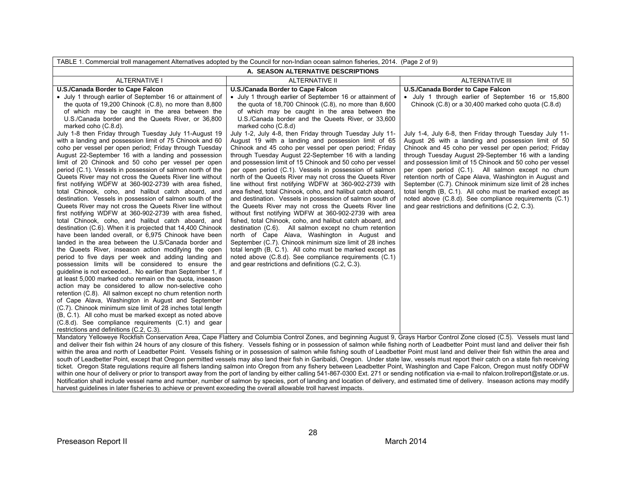| TABLE 1. Commercial troll management Alternatives adopted by the Council for non-Indian ocean salmon fisheries, 2014. (Page 2 of 9)                                                                                                                                                                                                                                                                                                                                                                                                                                                                                                                                                                                                                                                                                                                                                                                                                                                                                                                                                                                                                                                                                                                                                                                                                                                                                                                                                                                                                                                                                                                                                                                                                                                                                                                                                                                                                             |                                                                                                                                                                                                                                                                                                                                                                                                                                                                                                                                                                                                                                                                                                                                                                                                                                                                                                                                                                                                                                                                                                                                                                                                                                                                                                                                                                                                                                                |                                                                                                                                                                                                                                                                                                                                                                                                                                                                                                                                                                                                                                                                                                                                                                                                         |
|-----------------------------------------------------------------------------------------------------------------------------------------------------------------------------------------------------------------------------------------------------------------------------------------------------------------------------------------------------------------------------------------------------------------------------------------------------------------------------------------------------------------------------------------------------------------------------------------------------------------------------------------------------------------------------------------------------------------------------------------------------------------------------------------------------------------------------------------------------------------------------------------------------------------------------------------------------------------------------------------------------------------------------------------------------------------------------------------------------------------------------------------------------------------------------------------------------------------------------------------------------------------------------------------------------------------------------------------------------------------------------------------------------------------------------------------------------------------------------------------------------------------------------------------------------------------------------------------------------------------------------------------------------------------------------------------------------------------------------------------------------------------------------------------------------------------------------------------------------------------------------------------------------------------------------------------------------------------|------------------------------------------------------------------------------------------------------------------------------------------------------------------------------------------------------------------------------------------------------------------------------------------------------------------------------------------------------------------------------------------------------------------------------------------------------------------------------------------------------------------------------------------------------------------------------------------------------------------------------------------------------------------------------------------------------------------------------------------------------------------------------------------------------------------------------------------------------------------------------------------------------------------------------------------------------------------------------------------------------------------------------------------------------------------------------------------------------------------------------------------------------------------------------------------------------------------------------------------------------------------------------------------------------------------------------------------------------------------------------------------------------------------------------------------------|---------------------------------------------------------------------------------------------------------------------------------------------------------------------------------------------------------------------------------------------------------------------------------------------------------------------------------------------------------------------------------------------------------------------------------------------------------------------------------------------------------------------------------------------------------------------------------------------------------------------------------------------------------------------------------------------------------------------------------------------------------------------------------------------------------|
| A. SEASON ALTERNATIVE DESCRIPTIONS                                                                                                                                                                                                                                                                                                                                                                                                                                                                                                                                                                                                                                                                                                                                                                                                                                                                                                                                                                                                                                                                                                                                                                                                                                                                                                                                                                                                                                                                                                                                                                                                                                                                                                                                                                                                                                                                                                                              |                                                                                                                                                                                                                                                                                                                                                                                                                                                                                                                                                                                                                                                                                                                                                                                                                                                                                                                                                                                                                                                                                                                                                                                                                                                                                                                                                                                                                                                |                                                                                                                                                                                                                                                                                                                                                                                                                                                                                                                                                                                                                                                                                                                                                                                                         |
| <b>ALTERNATIVE I</b>                                                                                                                                                                                                                                                                                                                                                                                                                                                                                                                                                                                                                                                                                                                                                                                                                                                                                                                                                                                                                                                                                                                                                                                                                                                                                                                                                                                                                                                                                                                                                                                                                                                                                                                                                                                                                                                                                                                                            | <b>ALTERNATIVE II</b>                                                                                                                                                                                                                                                                                                                                                                                                                                                                                                                                                                                                                                                                                                                                                                                                                                                                                                                                                                                                                                                                                                                                                                                                                                                                                                                                                                                                                          | <b>ALTERNATIVE III</b>                                                                                                                                                                                                                                                                                                                                                                                                                                                                                                                                                                                                                                                                                                                                                                                  |
| U.S./Canada Border to Cape Falcon<br>• July 1 through earlier of September 16 or attainment of<br>the quota of 19,200 Chinook (C.8), no more than 8,800<br>of which may be caught in the area between the<br>U.S./Canada border and the Queets River, or 36,800<br>marked coho (C.8.d).<br>July 1-8 then Friday through Tuesday July 11-August 19<br>with a landing and possession limit of 75 Chinook and 60<br>coho per vessel per open period; Friday through Tuesday<br>August 22-September 16 with a landing and possession<br>limit of 20 Chinook and 50 coho per vessel per open<br>period (C.1). Vessels in possession of salmon north of the<br>Queets River may not cross the Queets River line without<br>first notifying WDFW at 360-902-2739 with area fished,<br>total Chinook, coho, and halibut catch aboard, and<br>destination. Vessels in possession of salmon south of the<br>Queets River may not cross the Queets River line without<br>first notifying WDFW at 360-902-2739 with area fished,<br>total Chinook, coho, and halibut catch aboard, and<br>destination (C.6). When it is projected that 14,400 Chinook<br>have been landed overall, or 6,975 Chinook have been<br>landed in the area between the U.S/Canada border and<br>the Queets River, inseason action modifying the open<br>period to five days per week and adding landing and<br>possession limits will be considered to ensure the<br>quideline is not exceeded No earlier than September 1, if<br>at least 5,000 marked coho remain on the quota, inseason<br>action may be considered to allow non-selective coho<br>retention (C.8). All salmon except no chum retention north<br>of Cape Alava, Washington in August and September<br>(C.7). Chinook minimum size limit of 28 inches total length<br>(B, C.1). All coho must be marked except as noted above<br>(C.8.d). See compliance requirements (C.1) and gear<br>restrictions and definitions (C.2, C.3). | <b>U.S./Canada Border to Cape Falcon</b><br>• July 1 through earlier of September 16 or attainment of<br>the quota of 18,700 Chinook (C.8), no more than 8,600<br>of which may be caught in the area between the<br>U.S./Canada border and the Queets River, or 33,600<br>marked coho (C.8.d)<br>July 1-2, July 4-8, then Friday through Tuesday July 11-<br>August 19 with a landing and possession limit of 65<br>Chinook and 45 coho per vessel per open period; Friday<br>through Tuesday August 22-September 16 with a landing<br>and possession limit of 15 Chinook and 50 coho per vessel<br>per open period (C.1). Vessels in possession of salmon<br>north of the Queets River may not cross the Queets River<br>line without first notifying WDFW at 360-902-2739 with<br>area fished, total Chinook, coho, and halibut catch aboard,<br>and destination. Vessels in possession of salmon south of<br>the Queets River may not cross the Queets River line<br>without first notifying WDFW at 360-902-2739 with area<br>fished, total Chinook, coho, and halibut catch aboard, and<br>destination (C.6). All salmon except no chum retention<br>north of Cape Alava, Washington in August and<br>September (C.7). Chinook minimum size limit of 28 inches<br>total length (B, C.1). All coho must be marked except as<br>noted above (C.8.d). See compliance requirements (C.1)<br>and gear restrictions and definitions (C.2, C.3). | U.S./Canada Border to Cape Falcon<br>• July 1 through earlier of September 16 or 15,800<br>Chinook (C.8) or a 30,400 marked coho quota (C.8.d)<br>July 1-4, July 6-8, then Friday through Tuesday July 11-<br>August 26 with a landing and possession limit of 50<br>Chinook and 45 coho per vessel per open period; Friday<br>through Tuesday August 29-September 16 with a landing<br>and possession limit of 15 Chinook and 50 coho per vessel<br>per open period (C.1). All salmon except no chum<br>retention north of Cape Alava, Washington in August and<br>September (C.7). Chinook minimum size limit of 28 inches<br>total length (B, C.1). All coho must be marked except as<br>noted above (C.8.d). See compliance requirements (C.1)<br>and gear restrictions and definitions (C.2, C.3). |
| Mandatory Yelloweye Rockfish Conservation Area, Cape Flattery and Columbia Control Zones, and beginning August 9, Grays Harbor Control Zone closed (C.5). Vessels must land<br>and deliver their fish within 24 hours of any closure of this fishery. Vessels fishing or in possession of salmon while fishing north of Leadbetter Point must land and deliver their fish                                                                                                                                                                                                                                                                                                                                                                                                                                                                                                                                                                                                                                                                                                                                                                                                                                                                                                                                                                                                                                                                                                                                                                                                                                                                                                                                                                                                                                                                                                                                                                                       |                                                                                                                                                                                                                                                                                                                                                                                                                                                                                                                                                                                                                                                                                                                                                                                                                                                                                                                                                                                                                                                                                                                                                                                                                                                                                                                                                                                                                                                |                                                                                                                                                                                                                                                                                                                                                                                                                                                                                                                                                                                                                                                                                                                                                                                                         |

and deliver their fish within 24 hours of any closure of this fishery. Vessels fishing or in possession of salmon while fishing north of Leadbetter Point must land and deliver their fish within the area and north of Leadbetter Point. Vessels fishing or in possession of salmon while fishing south of Leadbetter Point must land and deliver their fish within the area and south of Leadbetter Point, except that Oregon permitted vessels may also land their fish in Garibaldi, Oregon. Under state law, vessels must report their catch on a state fish receiving ticket. Oregon State regulations require all fishers landing salmon into Oregon from any fishery between Leadbetter Point, Washington and Cape Falcon, Oregon must notify ODFW within one hour of delivery or prior to transport away from the port of landing by either calling 541-867-0300 Ext. 271 or sending notification via e-mail to nfalcon.trollreport@state.or.us. Notification shall include vessel name and number, number of salmon by species, port of landing and location of delivery, and estimated time of delivery. Inseason actions may modify harvest guidelines in later fisheries to achieve or prevent exceeding the overall allowable troll harvest impacts.

28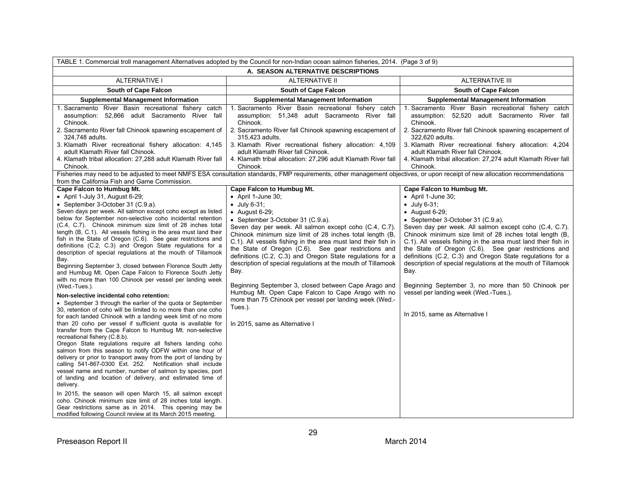| TABLE 1. Commercial troll management Alternatives adopted by the Council for non-Indian ocean salmon fisheries, 2014. (Page 3 of 9)                                                                                                                                                                                                                                                                                                                                                                                                                                                                                                                                                                                                                                                                                                                                                                                                                                                                                                                                                                                                                                                                                                                                                                                                                                                                                                                                                                                                                                                                                                                                                                                                                                                                                                              |                                                                                                                                                                                                                                                                                                                                                                                                                                                                                                                                                                                                                                                                                                                                                                |                                                                                                                                                                                                                                                                                                                                                                                                                                                                                                                                                                                                                                                                            |  |  |
|--------------------------------------------------------------------------------------------------------------------------------------------------------------------------------------------------------------------------------------------------------------------------------------------------------------------------------------------------------------------------------------------------------------------------------------------------------------------------------------------------------------------------------------------------------------------------------------------------------------------------------------------------------------------------------------------------------------------------------------------------------------------------------------------------------------------------------------------------------------------------------------------------------------------------------------------------------------------------------------------------------------------------------------------------------------------------------------------------------------------------------------------------------------------------------------------------------------------------------------------------------------------------------------------------------------------------------------------------------------------------------------------------------------------------------------------------------------------------------------------------------------------------------------------------------------------------------------------------------------------------------------------------------------------------------------------------------------------------------------------------------------------------------------------------------------------------------------------------|----------------------------------------------------------------------------------------------------------------------------------------------------------------------------------------------------------------------------------------------------------------------------------------------------------------------------------------------------------------------------------------------------------------------------------------------------------------------------------------------------------------------------------------------------------------------------------------------------------------------------------------------------------------------------------------------------------------------------------------------------------------|----------------------------------------------------------------------------------------------------------------------------------------------------------------------------------------------------------------------------------------------------------------------------------------------------------------------------------------------------------------------------------------------------------------------------------------------------------------------------------------------------------------------------------------------------------------------------------------------------------------------------------------------------------------------------|--|--|
| A. SEASON ALTERNATIVE DESCRIPTIONS                                                                                                                                                                                                                                                                                                                                                                                                                                                                                                                                                                                                                                                                                                                                                                                                                                                                                                                                                                                                                                                                                                                                                                                                                                                                                                                                                                                                                                                                                                                                                                                                                                                                                                                                                                                                               |                                                                                                                                                                                                                                                                                                                                                                                                                                                                                                                                                                                                                                                                                                                                                                |                                                                                                                                                                                                                                                                                                                                                                                                                                                                                                                                                                                                                                                                            |  |  |
| <b>ALTERNATIVE I</b>                                                                                                                                                                                                                                                                                                                                                                                                                                                                                                                                                                                                                                                                                                                                                                                                                                                                                                                                                                                                                                                                                                                                                                                                                                                                                                                                                                                                                                                                                                                                                                                                                                                                                                                                                                                                                             | <b>ALTERNATIVE II</b>                                                                                                                                                                                                                                                                                                                                                                                                                                                                                                                                                                                                                                                                                                                                          | <b>ALTERNATIVE III</b>                                                                                                                                                                                                                                                                                                                                                                                                                                                                                                                                                                                                                                                     |  |  |
| South of Cape Falcon                                                                                                                                                                                                                                                                                                                                                                                                                                                                                                                                                                                                                                                                                                                                                                                                                                                                                                                                                                                                                                                                                                                                                                                                                                                                                                                                                                                                                                                                                                                                                                                                                                                                                                                                                                                                                             | South of Cape Falcon                                                                                                                                                                                                                                                                                                                                                                                                                                                                                                                                                                                                                                                                                                                                           | <b>South of Cape Falcon</b>                                                                                                                                                                                                                                                                                                                                                                                                                                                                                                                                                                                                                                                |  |  |
| <b>Supplemental Management Information</b>                                                                                                                                                                                                                                                                                                                                                                                                                                                                                                                                                                                                                                                                                                                                                                                                                                                                                                                                                                                                                                                                                                                                                                                                                                                                                                                                                                                                                                                                                                                                                                                                                                                                                                                                                                                                       | <b>Supplemental Management Information</b>                                                                                                                                                                                                                                                                                                                                                                                                                                                                                                                                                                                                                                                                                                                     | <b>Supplemental Management Information</b>                                                                                                                                                                                                                                                                                                                                                                                                                                                                                                                                                                                                                                 |  |  |
| 1. Sacramento River Basin recreational fishery catch<br>assumption: 52,866 adult Sacramento River fall<br>Chinook.<br>2. Sacramento River fall Chinook spawning escapement of<br>324,748 adults.<br>3. Klamath River recreational fishery allocation: 4,145<br>adult Klamath River fall Chinook.<br>4. Klamath tribal allocation: 27,288 adult Klamath River fall<br>Chinook.                                                                                                                                                                                                                                                                                                                                                                                                                                                                                                                                                                                                                                                                                                                                                                                                                                                                                                                                                                                                                                                                                                                                                                                                                                                                                                                                                                                                                                                                    | 1. Sacramento River Basin recreational fishery catch<br>assumption: 51,348 adult Sacramento River fall<br>Chinook.<br>2. Sacramento River fall Chinook spawning escapement of<br>315,423 adults.<br>3. Klamath River recreational fishery allocation: 4,109<br>adult Klamath River fall Chinook.<br>4. Klamath tribal allocation: 27,296 adult Klamath River fall<br>Chinook.<br>Fisheries may need to be adjusted to meet NMFS ESA consultation standards, FMP requirements, other management objectives, or upon receipt of new allocation recommendations                                                                                                                                                                                                   | 1. Sacramento River Basin recreational fishery catch<br>assumption: 52,520 adult Sacramento River fall<br>Chinook.<br>2. Sacramento River fall Chinook spawning escapement of<br>322,620 adults.<br>3. Klamath River recreational fishery allocation: 4,204<br>adult Klamath River fall Chinook.<br>4. Klamath tribal allocation: 27,274 adult Klamath River fall<br>Chinook.                                                                                                                                                                                                                                                                                              |  |  |
| from the California Fish and Game Commission.                                                                                                                                                                                                                                                                                                                                                                                                                                                                                                                                                                                                                                                                                                                                                                                                                                                                                                                                                                                                                                                                                                                                                                                                                                                                                                                                                                                                                                                                                                                                                                                                                                                                                                                                                                                                    |                                                                                                                                                                                                                                                                                                                                                                                                                                                                                                                                                                                                                                                                                                                                                                |                                                                                                                                                                                                                                                                                                                                                                                                                                                                                                                                                                                                                                                                            |  |  |
| Cape Falcon to Humbug Mt.<br>• April 1-July 31, August 6-29;<br>• September 3-October 31 (C.9.a).<br>Seven days per week. All salmon except coho except as listed<br>below for September non-selective coho incidental retention<br>(C.4, C.7). Chinook minimum size limit of 28 inches total<br>length (B, C.1). All vessels fishing in the area must land their<br>fish in the State of Oregon (C.6). See gear restrictions and<br>definitions (C.2, C.3) and Oregon State regulations for a<br>description of special regulations at the mouth of Tillamook<br>Bay.<br>Beginning September 3, closed between Florence South Jetty<br>and Humbug Mt. Open Cape Falcon to Florence South Jetty<br>with no more than 100 Chinook per vessel per landing week<br>(Wed.-Tues.).<br>Non-selective incidental coho retention:<br>• September 3 through the earlier of the quota or September<br>30, retention of coho will be limited to no more than one coho<br>for each landed Chinook with a landing week limit of no more<br>than 20 coho per vessel if sufficient quota is available for<br>transfer from the Cape Falcon to Humbug Mt. non-selective<br>recreational fishery (C.8.b).<br>Oregon State regulations require all fishers landing coho<br>salmon from this season to notify ODFW within one hour of<br>delivery or prior to transport away from the port of landing by<br>calling 541-867-0300 Ext. 252. Notification shall include<br>vessel name and number, number of salmon by species, port<br>of landing and location of delivery, and estimated time of<br>delivery.<br>In 2015, the season will open March 15, all salmon except<br>coho. Chinook minimum size limit of 28 inches total length.<br>Gear restrictions same as in 2014. This opening may be<br>modified following Council review at its March 2015 meeting. | <b>Cape Falcon to Humbug Mt.</b><br>$\bullet$ April 1-June 30;<br>$\bullet$ July 6-31;<br>$\bullet$ August 6-29;<br>• September 3-October 31 (C.9.a).<br>Seven day per week. All salmon except coho (C.4, C.7).<br>Chinook minimum size limit of 28 inches total length (B,<br>C.1). All vessels fishing in the area must land their fish in<br>the State of Oregon (C.6). See gear restrictions and<br>definitions (C.2, C.3) and Oregon State regulations for a<br>description of special regulations at the mouth of Tillamook<br>Bay.<br>Beginning September 3, closed between Cape Arago and<br>Humbug Mt. Open Cape Falcon to Cape Arago with no<br>more than 75 Chinook per vessel per landing week (Wed.-<br>Tues.).<br>In 2015, same as Alternative I | <b>Cape Falcon to Humbug Mt.</b><br>$\bullet$ April 1-June 30;<br>$\bullet$ July 6-31;<br>$\bullet$ August 6-29;<br>• September 3-October 31 (C.9.a).<br>Seven day per week. All salmon except coho (C.4, C.7).<br>Chinook minimum size limit of 28 inches total length (B,<br>C.1). All vessels fishing in the area must land their fish in<br>the State of Oregon (C.6). See gear restrictions and<br>definitions (C.2, C.3) and Oregon State regulations for a<br>description of special regulations at the mouth of Tillamook<br>Bay.<br>Beginning September 3, no more than 50 Chinook per<br>vessel per landing week (Wed.-Tues.).<br>In 2015, same as Alternative I |  |  |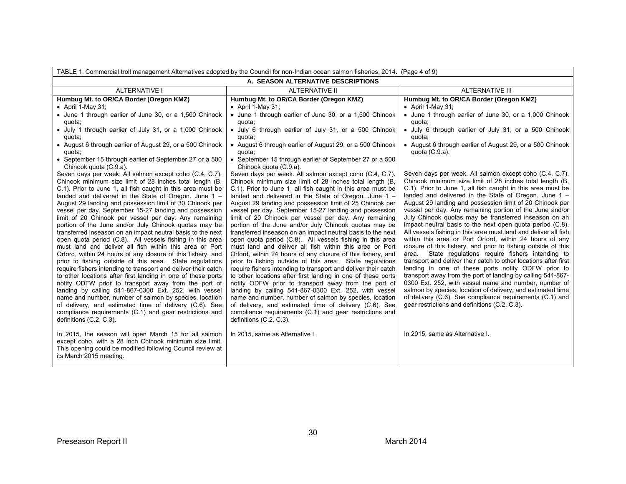| A. SEASON ALTERNATIVE DESCRIPTIONS                                                                                                                                                                                                                                                                                                                                                                                                                                                                                                                                                                                                                                                                                                                                                                                                                                                                                                                                                                                                                                                                                                                                                                                                                                                                                                                                                                                                                                                                                                                                                                                                                                                                                                                                                                                                                                                                                                                                                                                                                                                                                                                                                                                                                                                                                                                                                                                                                                                                                                                                                                                                                                                                                                                                                                                                                                                                                                                                                                                                                                                                                                                                                                                                                                                                                                                                                                                                                                                                                                                                                                                                                                                                                                          | TABLE 1. Commercial troll management Alternatives adopted by the Council for non-Indian ocean salmon fisheries, 2014. (Page 4 of 9) |                       |                                                                                                                                                                                                                                                                                                                                                                                                                                                                                                                                                                                                                                                                                                                                                                                                                                                                                                                                                                                                                                                                                                                                                                                                                                                                                                            |  |  |  |
|---------------------------------------------------------------------------------------------------------------------------------------------------------------------------------------------------------------------------------------------------------------------------------------------------------------------------------------------------------------------------------------------------------------------------------------------------------------------------------------------------------------------------------------------------------------------------------------------------------------------------------------------------------------------------------------------------------------------------------------------------------------------------------------------------------------------------------------------------------------------------------------------------------------------------------------------------------------------------------------------------------------------------------------------------------------------------------------------------------------------------------------------------------------------------------------------------------------------------------------------------------------------------------------------------------------------------------------------------------------------------------------------------------------------------------------------------------------------------------------------------------------------------------------------------------------------------------------------------------------------------------------------------------------------------------------------------------------------------------------------------------------------------------------------------------------------------------------------------------------------------------------------------------------------------------------------------------------------------------------------------------------------------------------------------------------------------------------------------------------------------------------------------------------------------------------------------------------------------------------------------------------------------------------------------------------------------------------------------------------------------------------------------------------------------------------------------------------------------------------------------------------------------------------------------------------------------------------------------------------------------------------------------------------------------------------------------------------------------------------------------------------------------------------------------------------------------------------------------------------------------------------------------------------------------------------------------------------------------------------------------------------------------------------------------------------------------------------------------------------------------------------------------------------------------------------------------------------------------------------------------------------------------------------------------------------------------------------------------------------------------------------------------------------------------------------------------------------------------------------------------------------------------------------------------------------------------------------------------------------------------------------------------------------------------------------------------------------------------------------------|-------------------------------------------------------------------------------------------------------------------------------------|-----------------------|------------------------------------------------------------------------------------------------------------------------------------------------------------------------------------------------------------------------------------------------------------------------------------------------------------------------------------------------------------------------------------------------------------------------------------------------------------------------------------------------------------------------------------------------------------------------------------------------------------------------------------------------------------------------------------------------------------------------------------------------------------------------------------------------------------------------------------------------------------------------------------------------------------------------------------------------------------------------------------------------------------------------------------------------------------------------------------------------------------------------------------------------------------------------------------------------------------------------------------------------------------------------------------------------------------|--|--|--|
|                                                                                                                                                                                                                                                                                                                                                                                                                                                                                                                                                                                                                                                                                                                                                                                                                                                                                                                                                                                                                                                                                                                                                                                                                                                                                                                                                                                                                                                                                                                                                                                                                                                                                                                                                                                                                                                                                                                                                                                                                                                                                                                                                                                                                                                                                                                                                                                                                                                                                                                                                                                                                                                                                                                                                                                                                                                                                                                                                                                                                                                                                                                                                                                                                                                                                                                                                                                                                                                                                                                                                                                                                                                                                                                                             |                                                                                                                                     |                       |                                                                                                                                                                                                                                                                                                                                                                                                                                                                                                                                                                                                                                                                                                                                                                                                                                                                                                                                                                                                                                                                                                                                                                                                                                                                                                            |  |  |  |
|                                                                                                                                                                                                                                                                                                                                                                                                                                                                                                                                                                                                                                                                                                                                                                                                                                                                                                                                                                                                                                                                                                                                                                                                                                                                                                                                                                                                                                                                                                                                                                                                                                                                                                                                                                                                                                                                                                                                                                                                                                                                                                                                                                                                                                                                                                                                                                                                                                                                                                                                                                                                                                                                                                                                                                                                                                                                                                                                                                                                                                                                                                                                                                                                                                                                                                                                                                                                                                                                                                                                                                                                                                                                                                                                             | <b>ALTERNATIVE I</b>                                                                                                                | <b>ALTERNATIVE II</b> | <b>ALTERNATIVE III</b>                                                                                                                                                                                                                                                                                                                                                                                                                                                                                                                                                                                                                                                                                                                                                                                                                                                                                                                                                                                                                                                                                                                                                                                                                                                                                     |  |  |  |
| Humbug Mt. to OR/CA Border (Oregon KMZ)<br>Humbug Mt. to OR/CA Border (Oregon KMZ)<br>Humbug Mt. to OR/CA Border (Oregon KMZ)<br>• April 1-May 31;<br>• April 1-May 31;<br>• April 1-May 31:<br>• June 1 through earlier of June 30, or a 1,500 Chinook<br>• June 1 through earlier of June 30, or a 1,500 Chinook<br>quota;<br>quota;<br>quota:<br>• July 1 through earlier of July 31, or a 1,000 Chinook<br>• July 6 through earlier of July 31, or a 500 Chinook<br>quota:<br>quota;<br>quota:<br>• August 6 through earlier of August 29, or a 500 Chinook<br>• August 6 through earlier of August 29, or a 500 Chinook<br>quota $(C.9.a)$ .<br>quota:<br>quota:<br>• September 15 through earlier of September 27 or a 500<br>• September 15 through earlier of September 27 or a 500<br>Chinook quota (C.9.a).<br>Chinook quota (C.9.a).<br>Seven days per week. All salmon except coho (C.4, C.7).<br>Seven days per week. All salmon except coho (C.4, C.7).<br>Chinook minimum size limit of 28 inches total length (B,<br>Chinook minimum size limit of 28 inches total length (B,<br>C.1). Prior to June 1, all fish caught in this area must be<br>C.1). Prior to June 1, all fish caught in this area must be<br>landed and delivered in the State of Oregon. June 1 -<br>landed and delivered in the State of Oregon. June 1 -<br>August 29 landing and possession limit of 25 Chinook per<br>August 29 landing and possession limit of 30 Chinook per<br>vessel per day. September 15-27 landing and possession<br>vessel per day. September 15-27 landing and possession<br>limit of 20 Chinook per vessel per day. Any remaining<br>limit of 20 Chinook per vessel per day. Any remaining<br>portion of the June and/or July Chinook quotas may be<br>portion of the June and/or July Chinook quotas may be<br>transferred inseason on an impact neutral basis to the next<br>transferred inseason on an impact neutral basis to the next<br>open quota period (C.8). All vessels fishing in this area<br>open quota period (C.8). All vessels fishing in this area<br>must land and deliver all fish within this area or Port<br>must land and deliver all fish within this area or Port<br>Orford, within 24 hours of any closure of this fishery, and<br>Orford, within 24 hours of any closure of this fishery, and<br>area.<br>prior to fishing outside of this area. State regulations<br>prior to fishing outside of this area. State regulations<br>require fishers intending to transport and deliver their catch<br>require fishers intending to transport and deliver their catch<br>to other locations after first landing in one of these ports<br>to other locations after first landing in one of these ports<br>notify ODFW prior to transport away from the port of<br>notify ODFW prior to transport away from the port of<br>landing by calling 541-867-0300 Ext. 252, with vessel<br>landing by calling 541-867-0300 Ext. 252, with vessel<br>name and number, number of salmon by species, location<br>name and number, number of salmon by species, location<br>gear restrictions and definitions (C.2, C.3).<br>of delivery, and estimated time of delivery (C.6). See<br>of delivery, and estimated time of delivery (C.6). See<br>compliance requirements (C.1) and gear restrictions and<br>compliance requirements (C.1) and gear restrictions and<br>definitions (C.2, C.3).<br>definitions $(C.2, C.3)$ .<br>In 2015, same as Alternative I.<br>In 2015, the season will open March 15 for all salmon<br>In 2015, same as Alternative I.<br>except coho, with a 28 inch Chinook minimum size limit.<br>This opening could be modified following Council review at<br>its March 2015 meeting. |                                                                                                                                     |                       | • June 1 through earlier of June 30, or a 1,000 Chinook<br>• July 6 through earlier of July 31, or a 500 Chinook<br>• August 6 through earlier of August 29, or a 500 Chinook<br>Seven days per week. All salmon except coho (C.4, C.7).<br>Chinook minimum size limit of 28 inches total length (B,<br>C.1). Prior to June 1, all fish caught in this area must be<br>landed and delivered in the State of Oregon. June $1 -$<br>August 29 landing and possession limit of 20 Chinook per<br>vessel per day. Any remaining portion of the June and/or<br>July Chinook quotas may be transferred inseason on an<br>impact neutral basis to the next open quota period (C.8).<br>All vessels fishing in this area must land and deliver all fish<br>within this area or Port Orford, within 24 hours of any<br>closure of this fishery, and prior to fishing outside of this<br>State regulations reguire fishers intending to<br>transport and deliver their catch to other locations after first<br>landing in one of these ports notify ODFW prior to<br>transport away from the port of landing by calling 541-867-<br>0300 Ext. 252, with vessel name and number, number of<br>salmon by species, location of delivery, and estimated time<br>of delivery (C.6). See compliance requirements (C.1) and |  |  |  |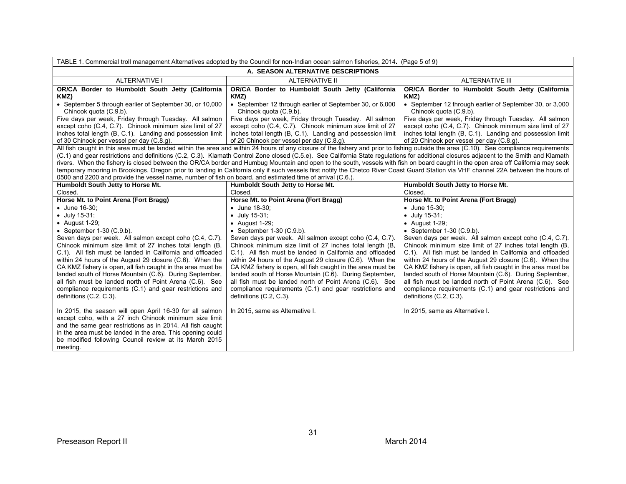| TABLE 1. Commercial troll management Alternatives adopted by the Council for non-Indian ocean salmon fisheries, 2014. (Page 5 of 9) |                                                                                                                                                                                                                                                                                                                                                                                                                                                                                                                                                                                                                                                                                                                                                                  |                                                                                                                    |  |  |
|-------------------------------------------------------------------------------------------------------------------------------------|------------------------------------------------------------------------------------------------------------------------------------------------------------------------------------------------------------------------------------------------------------------------------------------------------------------------------------------------------------------------------------------------------------------------------------------------------------------------------------------------------------------------------------------------------------------------------------------------------------------------------------------------------------------------------------------------------------------------------------------------------------------|--------------------------------------------------------------------------------------------------------------------|--|--|
| A. SEASON ALTERNATIVE DESCRIPTIONS                                                                                                  |                                                                                                                                                                                                                                                                                                                                                                                                                                                                                                                                                                                                                                                                                                                                                                  |                                                                                                                    |  |  |
| <b>ALTERNATIVE I</b>                                                                                                                | <b>ALTERNATIVE II</b>                                                                                                                                                                                                                                                                                                                                                                                                                                                                                                                                                                                                                                                                                                                                            | <b>ALTERNATIVE III</b>                                                                                             |  |  |
| OR/CA Border to Humboldt South Jetty (California<br>KMZ)                                                                            | OR/CA Border to Humboldt South Jetty (California<br>KMZ)                                                                                                                                                                                                                                                                                                                                                                                                                                                                                                                                                                                                                                                                                                         | OR/CA Border to Humboldt South Jetty (California<br>KMZ)                                                           |  |  |
| • September 5 through earlier of September 30, or 10,000<br>Chinook quota (C.9.b).                                                  | • September 12 through earlier of September 30, or 6,000<br>Chinook quota (C.9.b).                                                                                                                                                                                                                                                                                                                                                                                                                                                                                                                                                                                                                                                                               | • September 12 through earlier of September 30, or 3,000<br>Chinook quota (C.9.b).                                 |  |  |
| Five days per week, Friday through Tuesday. All salmon<br>except coho (C.4, C.7). Chinook minimum size limit of 27                  | Five days per week, Friday through Tuesday. All salmon<br>except coho (C.4, C.7). Chinook minimum size limit of 27                                                                                                                                                                                                                                                                                                                                                                                                                                                                                                                                                                                                                                               | Five days per week, Friday through Tuesday. All salmon<br>except coho (C.4, C.7). Chinook minimum size limit of 27 |  |  |
| inches total length (B, C.1). Landing and possession limit<br>of 30 Chinook per vessel per day (C.8.g).                             | inches total length (B, C.1). Landing and possession limit<br>of 20 Chinook per vessel per day (C.8.g).                                                                                                                                                                                                                                                                                                                                                                                                                                                                                                                                                                                                                                                          | inches total length (B, C.1). Landing and possession limit<br>of 20 Chinook per vessel per day (C.8.g).            |  |  |
| 0500 and 2200 and provide the vessel name, number of fish on board, and estimated time of arrival (C.6.).                           | All fish caught in this area must be landed within the area and within 24 hours of any closure of the fishery and prior to fishing outside the area (C.10). See compliance requirements<br>(C.1) and gear restrictions and definitions (C.2, C.3). Klamath Control Zone closed (C.5.e). See California State regulations for additional closures adjacent to the Smith and Klamath<br>rivers. When the fishery is closed between the OR/CA border and Humbug Mountain and open to the south, vessels with fish on board caught in the open area off California may seek<br>temporary mooring in Brookings, Oregon prior to landing in California only if such vessels first notify the Chetco River Coast Guard Station via VHF channel 22A between the hours of |                                                                                                                    |  |  |
| Humboldt South Jetty to Horse Mt.<br>Closed.                                                                                        | Humboldt South Jetty to Horse Mt.<br>Closed.                                                                                                                                                                                                                                                                                                                                                                                                                                                                                                                                                                                                                                                                                                                     | Humboldt South Jetty to Horse Mt.<br>Closed.                                                                       |  |  |
| Horse Mt. to Point Arena (Fort Bragg)                                                                                               | Horse Mt. to Point Arena (Fort Bragg)                                                                                                                                                                                                                                                                                                                                                                                                                                                                                                                                                                                                                                                                                                                            | Horse Mt. to Point Arena (Fort Bragg)                                                                              |  |  |
| • June 16-30;                                                                                                                       | • June 18-30;                                                                                                                                                                                                                                                                                                                                                                                                                                                                                                                                                                                                                                                                                                                                                    | • June 15-30;                                                                                                      |  |  |
| $\bullet$ July 15-31;                                                                                                               | $\bullet$ July 15-31;                                                                                                                                                                                                                                                                                                                                                                                                                                                                                                                                                                                                                                                                                                                                            | $\bullet$ July 15-31;                                                                                              |  |  |
| $\bullet$ August 1-29;                                                                                                              | $\bullet$ August 1-29;                                                                                                                                                                                                                                                                                                                                                                                                                                                                                                                                                                                                                                                                                                                                           | $\bullet$ August 1-29;                                                                                             |  |  |
| • September 1-30 $(C.9.b)$ .                                                                                                        | • September $1-30$ (C.9.b).                                                                                                                                                                                                                                                                                                                                                                                                                                                                                                                                                                                                                                                                                                                                      | • September $1-30$ (C.9.b).                                                                                        |  |  |
| Seven days per week. All salmon except coho (C.4, C.7).                                                                             | Seven days per week. All salmon except coho (C.4, C.7).                                                                                                                                                                                                                                                                                                                                                                                                                                                                                                                                                                                                                                                                                                          | Seven days per week. All salmon except coho (C.4, C.7).                                                            |  |  |
| Chinook minimum size limit of 27 inches total length (B,                                                                            | Chinook minimum size limit of 27 inches total length (B,                                                                                                                                                                                                                                                                                                                                                                                                                                                                                                                                                                                                                                                                                                         | Chinook minimum size limit of 27 inches total length (B,                                                           |  |  |
| C.1). All fish must be landed in California and offloaded                                                                           | C.1). All fish must be landed in California and offloaded                                                                                                                                                                                                                                                                                                                                                                                                                                                                                                                                                                                                                                                                                                        | C.1). All fish must be landed in California and offloaded                                                          |  |  |
| within 24 hours of the August 29 closure (C.6). When the                                                                            | within 24 hours of the August 29 closure (C.6). When the                                                                                                                                                                                                                                                                                                                                                                                                                                                                                                                                                                                                                                                                                                         | within 24 hours of the August 29 closure (C.6). When the                                                           |  |  |
| CA KMZ fishery is open, all fish caught in the area must be                                                                         | CA KMZ fishery is open, all fish caught in the area must be                                                                                                                                                                                                                                                                                                                                                                                                                                                                                                                                                                                                                                                                                                      | CA KMZ fishery is open, all fish caught in the area must be                                                        |  |  |
| landed south of Horse Mountain (C.6). During September,                                                                             | landed south of Horse Mountain (C.6). During September,                                                                                                                                                                                                                                                                                                                                                                                                                                                                                                                                                                                                                                                                                                          | landed south of Horse Mountain (C.6). During September,                                                            |  |  |
| all fish must be landed north of Point Arena (C.6). See<br>compliance requirements (C.1) and gear restrictions and                  | all fish must be landed north of Point Arena (C.6). See<br>compliance requirements (C.1) and gear restrictions and                                                                                                                                                                                                                                                                                                                                                                                                                                                                                                                                                                                                                                               | all fish must be landed north of Point Arena (C.6). See<br>compliance requirements (C.1) and gear restrictions and |  |  |
| definitions $(C.2, C.3)$ .                                                                                                          | definitions $(C.2, C.3)$ .                                                                                                                                                                                                                                                                                                                                                                                                                                                                                                                                                                                                                                                                                                                                       | definitions (C.2, C.3).                                                                                            |  |  |
|                                                                                                                                     |                                                                                                                                                                                                                                                                                                                                                                                                                                                                                                                                                                                                                                                                                                                                                                  |                                                                                                                    |  |  |
| In 2015, the season will open April 16-30 for all salmon<br>except coho, with a 27 inch Chinook minimum size limit                  | In 2015, same as Alternative I.                                                                                                                                                                                                                                                                                                                                                                                                                                                                                                                                                                                                                                                                                                                                  | In 2015, same as Alternative I.                                                                                    |  |  |
| and the same gear restrictions as in 2014. All fish caught                                                                          |                                                                                                                                                                                                                                                                                                                                                                                                                                                                                                                                                                                                                                                                                                                                                                  |                                                                                                                    |  |  |
| in the area must be landed in the area. This opening could                                                                          |                                                                                                                                                                                                                                                                                                                                                                                                                                                                                                                                                                                                                                                                                                                                                                  |                                                                                                                    |  |  |
| be modified following Council review at its March 2015                                                                              |                                                                                                                                                                                                                                                                                                                                                                                                                                                                                                                                                                                                                                                                                                                                                                  |                                                                                                                    |  |  |
| meeting.                                                                                                                            |                                                                                                                                                                                                                                                                                                                                                                                                                                                                                                                                                                                                                                                                                                                                                                  |                                                                                                                    |  |  |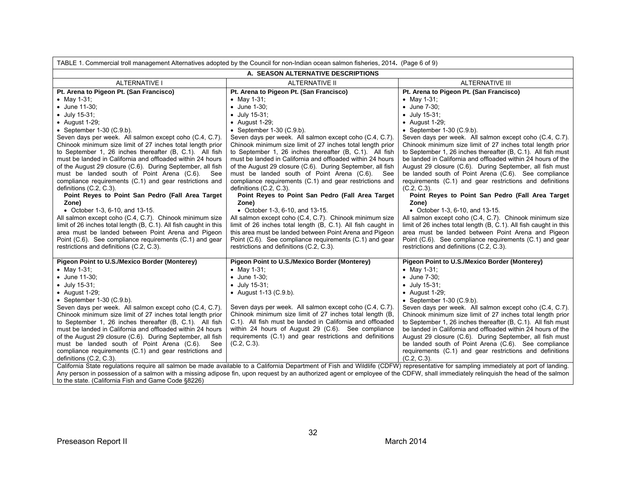| TABLE 1. Commercial troll management Alternatives adopted by the Council for non-Indian ocean salmon fisheries, 2014. (Page 6 of 9)                                                                                                                                                                                                                                                                                                                                                                                                                                                                                                                                                                                                                                                                                                                                                                                                                                                                               |                                                                                                                                                                                                                                                                                                                                                                                                                                                                                                                                                                                                                                                                                                                                                                                                                                                                                                                                                                                                               |                                                                                                                                                                                                                                                                                                                                                                                                                                                                                                                                                                                                                                                                                                                                                                                                                                                                                                                                                                                                                  |  |  |
|-------------------------------------------------------------------------------------------------------------------------------------------------------------------------------------------------------------------------------------------------------------------------------------------------------------------------------------------------------------------------------------------------------------------------------------------------------------------------------------------------------------------------------------------------------------------------------------------------------------------------------------------------------------------------------------------------------------------------------------------------------------------------------------------------------------------------------------------------------------------------------------------------------------------------------------------------------------------------------------------------------------------|---------------------------------------------------------------------------------------------------------------------------------------------------------------------------------------------------------------------------------------------------------------------------------------------------------------------------------------------------------------------------------------------------------------------------------------------------------------------------------------------------------------------------------------------------------------------------------------------------------------------------------------------------------------------------------------------------------------------------------------------------------------------------------------------------------------------------------------------------------------------------------------------------------------------------------------------------------------------------------------------------------------|------------------------------------------------------------------------------------------------------------------------------------------------------------------------------------------------------------------------------------------------------------------------------------------------------------------------------------------------------------------------------------------------------------------------------------------------------------------------------------------------------------------------------------------------------------------------------------------------------------------------------------------------------------------------------------------------------------------------------------------------------------------------------------------------------------------------------------------------------------------------------------------------------------------------------------------------------------------------------------------------------------------|--|--|
| A. SEASON ALTERNATIVE DESCRIPTIONS                                                                                                                                                                                                                                                                                                                                                                                                                                                                                                                                                                                                                                                                                                                                                                                                                                                                                                                                                                                |                                                                                                                                                                                                                                                                                                                                                                                                                                                                                                                                                                                                                                                                                                                                                                                                                                                                                                                                                                                                               |                                                                                                                                                                                                                                                                                                                                                                                                                                                                                                                                                                                                                                                                                                                                                                                                                                                                                                                                                                                                                  |  |  |
| <b>ALTERNATIVE I</b>                                                                                                                                                                                                                                                                                                                                                                                                                                                                                                                                                                                                                                                                                                                                                                                                                                                                                                                                                                                              | <b>ALTERNATIVE II</b>                                                                                                                                                                                                                                                                                                                                                                                                                                                                                                                                                                                                                                                                                                                                                                                                                                                                                                                                                                                         | <b>ALTERNATIVE III</b>                                                                                                                                                                                                                                                                                                                                                                                                                                                                                                                                                                                                                                                                                                                                                                                                                                                                                                                                                                                           |  |  |
| Pt. Arena to Pigeon Pt. (San Francisco)<br>• May 1-31;<br>• June 11-30;<br>$\bullet$ July 15-31;<br>$\bullet$ August 1-29;<br>• September $1-30$ (C.9.b).<br>Seven days per week. All salmon except coho (C.4, C.7).<br>Chinook minimum size limit of 27 inches total length prior<br>to September 1, 26 inches thereafter (B, C.1). All fish<br>must be landed in California and offloaded within 24 hours<br>of the August 29 closure (C.6). During September, all fish<br>must be landed south of Point Arena (C.6).<br>See<br>compliance requirements (C.1) and gear restrictions and<br>definitions (C.2, C.3).<br>Point Reyes to Point San Pedro (Fall Area Target<br>Zone)<br>• October 1-3, 6-10, and 13-15.<br>All salmon except coho (C.4, C.7). Chinook minimum size<br>limit of 26 inches total length (B, C.1). All fish caught in this<br>area must be landed between Point Arena and Pigeon<br>Point (C.6). See compliance requirements (C.1) and gear<br>restrictions and definitions (C.2, C.3). | Pt. Arena to Pigeon Pt. (San Francisco)<br>• May 1-31;<br>• June 1-30;<br>$\bullet$ July 15-31;<br>$\bullet$ August 1-29;<br>• September $1-30$ (C.9.b).<br>Seven days per week. All salmon except coho (C.4, C.7).<br>Chinook minimum size limit of 27 inches total length prior<br>to September 1, 26 inches thereafter (B, C.1). All fish<br>must be landed in California and offloaded within 24 hours<br>of the August 29 closure (C.6). During September, all fish<br>must be landed south of Point Arena (C.6). See<br>compliance requirements (C.1) and gear restrictions and<br>definitions (C.2, C.3).<br>Point Reyes to Point San Pedro (Fall Area Target<br>Zone)<br>• October 1-3, 6-10, and 13-15.<br>All salmon except coho (C.4, C.7). Chinook minimum size<br>limit of 26 inches total length (B, C.1). All fish caught in<br>this area must be landed between Point Arena and Pigeon<br>Point (C.6). See compliance requirements (C.1) and gear<br>restrictions and definitions (C.2, C.3). | Pt. Arena to Pigeon Pt. (San Francisco)<br>• May 1-31;<br>• June 7-30;<br>$\bullet$ July 15-31;<br>$\bullet$ August 1-29;<br>• September $1-30$ (C.9.b).<br>Seven days per week. All salmon except coho (C.4, C.7).<br>Chinook minimum size limit of 27 inches total length prior<br>to September 1, 26 inches thereafter (B, C.1). All fish must<br>be landed in California and offloaded within 24 hours of the<br>August 29 closure (C.6). During September, all fish must<br>be landed south of Point Arena (C.6). See compliance<br>requirements (C.1) and gear restrictions and definitions<br>$(C.2, C.3)$ .<br>Point Reyes to Point San Pedro (Fall Area Target<br>Zone)<br>• October 1-3, 6-10, and 13-15.<br>All salmon except coho (C.4, C.7). Chinook minimum size<br>limit of 26 inches total length (B, C.1). All fish caught in this<br>area must be landed between Point Arena and Pigeon<br>Point (C.6). See compliance requirements (C.1) and gear<br>restrictions and definitions (C.2, C.3). |  |  |
| Pigeon Point to U.S./Mexico Border (Monterey)<br>• May 1-31;<br>• June 11-30;<br>$\bullet$ July 15-31;<br>$\bullet$ August 1-29;<br>• September 1-30 $(C.9.b)$ .<br>Seven days per week. All salmon except coho (C.4, C.7).<br>Chinook minimum size limit of 27 inches total length prior<br>to September 1, 26 inches thereafter (B, C.1). All fish<br>must be landed in California and offloaded within 24 hours<br>of the August 29 closure (C.6). During September, all fish<br>must be landed south of Point Arena (C.6).<br>See<br>compliance requirements (C.1) and gear restrictions and<br>definitions (C.2, C.3).                                                                                                                                                                                                                                                                                                                                                                                       | Pigeon Point to U.S./Mexico Border (Monterey)<br>• May 1-31;<br>• June 1-30;<br>$\bullet$ July 15-31;<br>• August 1-13 (C.9.b).<br>Seven days per week. All salmon except coho (C.4, C.7).<br>Chinook minimum size limit of 27 inches total length (B,<br>C.1). All fish must be landed in California and offloaded<br>within 24 hours of August 29 (C.6). See compliance<br>requirements (C.1) and gear restrictions and definitions<br>$(C.2, C.3)$ .<br>California State regulations require all salmon be made available to a California Department of Fish and Wildlife (CDFW) representative for sampling immediately at port of landing.                                                                                                                                                                                                                                                                                                                                                               | Pigeon Point to U.S./Mexico Border (Monterey)<br>• May 1-31;<br>• June 7-30;<br>$\bullet$ July 15-31;<br>$\bullet$ August 1-29;<br>• September 1-30 $(C.9.b)$ .<br>Seven days per week. All salmon except coho (C.4, C.7).<br>Chinook minimum size limit of 27 inches total length prior<br>to September 1, 26 inches thereafter (B, C.1). All fish must<br>be landed in California and offloaded within 24 hours of the<br>August 29 closure (C.6). During September, all fish must<br>be landed south of Point Arena (C.6). See compliance<br>requirements (C.1) and gear restrictions and definitions<br>$(C.2, C.3)$ .                                                                                                                                                                                                                                                                                                                                                                                       |  |  |
| to the state. (California Fish and Game Code §8226)                                                                                                                                                                                                                                                                                                                                                                                                                                                                                                                                                                                                                                                                                                                                                                                                                                                                                                                                                               | Any person in possession of a salmon with a missing adipose fin, upon request by an authorized agent or employee of the CDFW, shall immediately relinquish the head of the salmon                                                                                                                                                                                                                                                                                                                                                                                                                                                                                                                                                                                                                                                                                                                                                                                                                             |                                                                                                                                                                                                                                                                                                                                                                                                                                                                                                                                                                                                                                                                                                                                                                                                                                                                                                                                                                                                                  |  |  |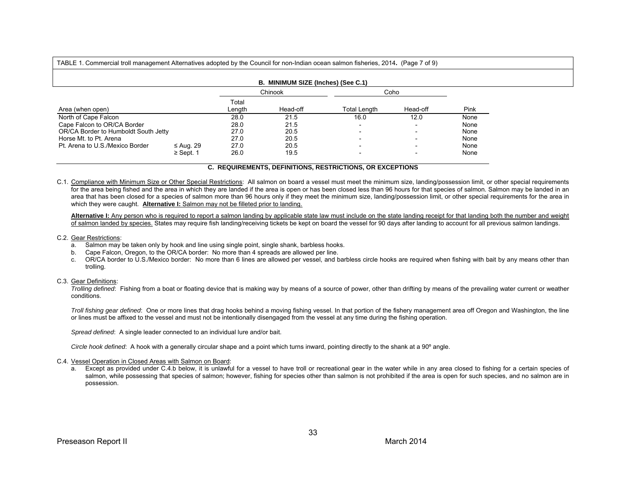TABLE 1. Commercial troll management Alternatives adopted by the Council for non-Indian ocean salmon fisheries, 2014**.** (Page 7 of 9)

|                                      |                | B. MINIMUM SIZE (Inches) (See C.1) |          |                     |                          |      |
|--------------------------------------|----------------|------------------------------------|----------|---------------------|--------------------------|------|
|                                      |                |                                    | Chinook  |                     | Coho                     |      |
| Area (when open)                     |                | Total<br>Length                    | Head-off | <b>Total Length</b> | Head-off                 | Pink |
| North of Cape Falcon                 |                | 28.0                               | 21.5     | 16.0                | 12.0                     | None |
| Cape Falcon to OR/CA Border          |                | 28.0                               | 21.5     | <b>1</b>            | $\overline{\phantom{0}}$ | None |
| OR/CA Border to Humboldt South Jetty |                | 27.0                               | 20.5     |                     | $\overline{\phantom{0}}$ | None |
| Horse Mt. to Pt. Arena               |                | 27.0                               | 20.5     |                     | $\overline{\phantom{0}}$ | None |
| Pt. Arena to U.S./Mexico Border      | $\leq$ Aug. 29 | 27.0                               | 20.5     |                     |                          | None |
|                                      | $\ge$ Sept. 1  | 26.0                               | 19.5     |                     | $\overline{\phantom{a}}$ | None |

### **C. REQUIREMENTS, DEFINITIONS, RESTRICTIONS, OR EXCEPTIONS**

C.1. Compliance with Minimum Size or Other Special Restrictions: All salmon on board a vessel must meet the minimum size, landing/possession limit, or other special requirements for the area being fished and the area in which they are landed if the area is open or has been closed less than 96 hours for that species of salmon. Salmon may be landed in an area that has been closed for a species of salmon more than 96 hours only if they meet the minimum size, landing/possession limit, or other special requirements for the area in which they were caught. **Alternative I:** Salmon may not be filleted prior to landing.

Alternative I: Any person who is required to report a salmon landing by applicable state law must include on the state landing receipt for that landing both the number and weight of salmon landed by species. States may require fish landing/receiving tickets be kept on board the vessel for 90 days after landing to account for all previous salmon landings.

#### C.2. Gear Restrictions:

- a. Salmon may be taken only by hook and line using single point, single shank, barbless hooks.
- b. Cape Falcon, Oregon, to the OR/CA border: No more than 4 spreads are allowed per line.
- c. OR/CA border to U.S./Mexico border: No more than 6 lines are allowed per vessel, and barbless circle hooks are required when fishing with bait by any means other than trolling.

### C.3. Gear Definitions:

*Trolling defined*: Fishing from a boat or floating device that is making way by means of a source of power, other than drifting by means of the prevailing water current or weather conditions.

*Troll fishing gear defined*: One or more lines that drag hooks behind a moving fishing vessel. In that portion of the fishery management area off Oregon and Washington, the line or lines must be affixed to the vessel and must not be intentionally disengaged from the vessel at any time during the fishing operation.

*Spread defined*: A single leader connected to an individual lure and/or bait.

*Circle hook defined*: A hook with a generally circular shape and a point which turns inward, pointing directly to the shank at a 90º angle.

### C.4. Vessel Operation in Closed Areas with Salmon on Board:

a. Except as provided under C.4.b below, it is unlawful for a vessel to have troll or recreational gear in the water while in any area closed to fishing for a certain species of salmon, while possessing that species of salmon; however, fishing for species other than salmon is not prohibited if the area is open for such species, and no salmon are in possession.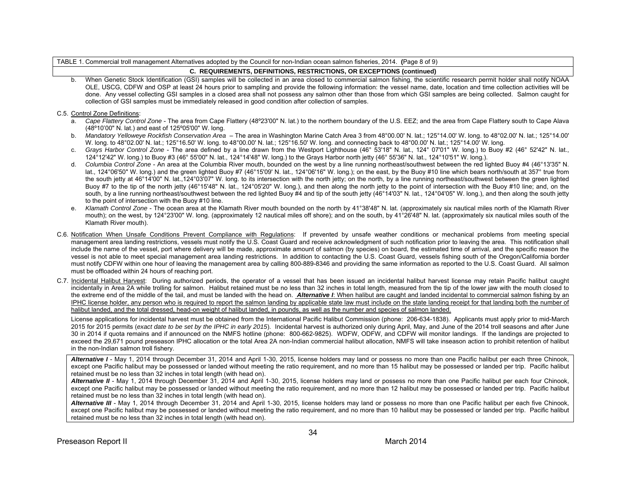TABLE 1. Commercial troll management Alternatives adopted by the Council for non-Indian ocean salmon fisheries, 2014. **(**Page 8 of 9)

## **C. REQUIREMENTS, DEFINITIONS, RESTRICTIONS, OR EXCEPTIONS (continued)**

b. When Genetic Stock Identification (GSI) samples will be collected in an area closed to commercial salmon fishing, the scientific research permit holder shall notify NOAA OLE, USCG, CDFW and OSP at least 24 hours prior to sampling and provide the following information: the vessel name, date, location and time collection activities will be done. Any vessel collecting GSI samples in a closed area shall not possess any salmon other than those from which GSI samples are being collected. Salmon caught for collection of GSI samples must be immediately released in good condition after collection of samples.

## C.5. Control Zone Definitions:

- a. *Cape Flattery Control Zone*  The area from Cape Flattery (48º23'00" N. lat.) to the northern boundary of the U.S. EEZ; and the area from Cape Flattery south to Cape Alava (48º10'00" N. lat.) and east of 125º05'00" W. long.
- b. *Mandatory Yelloweye Rockfish Conservation Area* The area in Washington Marine Catch Area 3 from 48°00.00' N. lat.; 125°14.00' W. long. to 48°02.00' N. lat.; 125°14.00' W. long. to 48°02.00' N. lat.; 125°16.50' W. long. to 48°00.00' N. lat.; 125°16.50' W. long. and connecting back to 48°00.00' N. lat.; 125°14.00' W. long.
- c. *Grays Harbor Control Zone* The area defined by a line drawn from the Westport Lighthouse (46° 53'18" N. lat., 124° 07'01" W. long.) to Buoy #2 (46° 52'42" N. lat., 124°12'42" W. long.) to Buoy #3 (46° 55'00" N. lat., 124°14'48" W. long.) to the Grays Harbor north jetty (46° 55'36" N. lat., 124°10'51" W. long.).
- d. *Columbia Control Zone* An area at the Columbia River mouth, bounded on the west by a line running northeast/southwest between the red lighted Buoy #4 (46°13'35" N. lat., 124°06'50" W. long.) and the green lighted Buoy #7 (46°15'09' N. lat., 124°06'16" W. long.); on the east, by the Buoy #10 line which bears north/south at 357° true from the south jetty at 46°14'00" N. lat.,124°03'07" W. long. to its intersection with the north jetty; on the north, by a line running northeast/southwest between the green lighted Buoy #7 to the tip of the north jetty (46°15'48" N. lat., 124°05'20" W. long.), and then along the north jetty to the point of intersection with the Buoy #10 line; and, on the south, by a line running northeast/southwest between the red lighted Buoy #4 and tip of the south jetty (46°14'03" N. lat., 124°04'05" W. long.), and then along the south jetty to the point of intersection with the Buoy #10 line.
- e. *Klamath Control Zone* The ocean area at the Klamath River mouth bounded on the north by 41°38'48" N. lat. (approximately six nautical miles north of the Klamath River mouth); on the west, by 124°23'00" W. long. (approximately 12 nautical miles off shore); and on the south, by 41°26'48" N. lat. (approximately six nautical miles south of the Klamath River mouth).
- C.6. Notification When Unsafe Conditions Prevent Compliance with Regulations: If prevented by unsafe weather conditions or mechanical problems from meeting special management area landing restrictions, vessels must notify the U.S. Coast Guard and receive acknowledgment of such notification prior to leaving the area. This notification shall include the name of the vessel, port where delivery will be made, approximate amount of salmon (by species) on board, the estimated time of arrival, and the specific reason the vessel is not able to meet special management area landing restrictions. In addition to contacting the U.S. Coast Guard, vessels fishing south of the Oregon/California border must notify CDFW within one hour of leaving the management area by calling 800-889-8346 and providing the same information as reported to the U.S. Coast Guard. All salmon must be offloaded within 24 hours of reaching port.
- C.7. Incidental Halibut Harvest: During authorized periods, the operator of a vessel that has been issued an incidental halibut harvest license may retain Pacific halibut caught incidentally in Area 2A while trolling for salmon. Halibut retained must be no less than 32 inches in total length, measured from the tip of the lower jaw with the mouth closed to the extreme end of the middle of the tail, and must be landed with the head on. Alternative I: When halibut are caught and landed incidental to commercial salmon fishing by an IPHC license holder, any person who is required to report the salmon landing by applicable state law must include on the state landing receipt for that landing both the number of halibut landed, and the total dressed, head-on weight of halibut landed, in pounds, as well as the number and species of salmon landed.

 License applications for incidental harvest must be obtained from the International Pacific Halibut Commission (phone: 206-634-1838). Applicants must apply prior to mid-March 2015 for 2015 permits (*exact date to be set by the IPHC in early 2015*). Incidental harvest is authorized only during April, May, and June of the 2014 troll seasons and after June 30 in 2014 if quota remains and if announced on the NMFS hotline (phone: 800-662-9825). WDFW, ODFW, and CDFW will monitor landings. If the landings are projected to exceed the 29,671 pound preseason IPHC allocation or the total Area 2A non-Indian commercial halibut allocation, NMFS will take inseason action to prohibit retention of halibut in the non-Indian salmon troll fishery.

Alternative I - May 1, 2014 through December 31, 2014 and April 1-30, 2015, license holders may land or possess no more than one Pacific halibut per each three Chinook, except one Pacific halibut may be possessed or landed without meeting the ratio requirement, and no more than 15 halibut may be possessed or landed per trip. Pacific halibut retained must be no less than 32 inches in total length (with head on).

*Alternative II* - May 1, 2014 through December 31, 2014 and April 1-30, 2015, license holders may land or possess no more than one Pacific halibut per each four Chinook, except one Pacific halibut may be possessed or landed without meeting the ratio requirement, and no more than 12 halibut may be possessed or landed per trip. Pacific halibut retained must be no less than 32 inches in total length (with head on).

*Alternative III* - May 1, 2014 through December 31, 2014 and April 1-30, 2015, license holders may land or possess no more than one Pacific halibut per each five Chinook, except one Pacific halibut may be possessed or landed without meeting the ratio requirement, and no more than 10 halibut may be possessed or landed per trip. Pacific halibut retained must be no less than 32 inches in total length (with head on).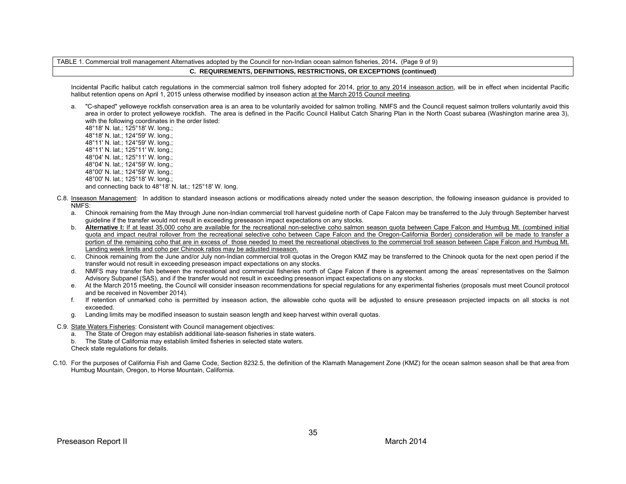TABLE 1. Commercial troll management Alternatives adopted by the Council for non-Indian ocean salmon fisheries, 2014**.** (Page 9 of 9) **C. REQUIREMENTS, DEFINITIONS, RESTRICTIONS, OR EXCEPTIONS (continued)** 

Incidental Pacific halibut catch regulations in the commercial salmon troll fishery adopted for 2014, prior to any 2014 inseason action, will be in effect when incidental Pacific halibut retention opens on April 1, 2015 unless otherwise modified by inseason action at the March 2015 Council meeting.

a. "C-shaped" yelloweye rockfish conservation area is an area to be voluntarily avoided for salmon trolling. NMFS and the Council request salmon trollers voluntarily avoid this area in order to protect yelloweye rockfish. The area is defined in the Pacific Council Halibut Catch Sharing Plan in the North Coast subarea (Washington marine area 3), with the following coordinates in the order listed:

48°18' N. lat.; 125°18' W. long.; 48°18' N. lat.; 124°59' W. long.; 48°11' N. lat.; 124°59' W. long.; 48°11' N. lat.; 125°11' W. long.; 48°04' N. lat.; 125°11' W. long.; 48°04' N. lat.; 124°59' W. long.; 48°00' N. lat.; 124°59' W. long.; 48°00' N. lat.; 125°18' W. long.; and connecting back to 48°18' N. lat.; 125°18' W. long.

- C.8. Inseason Management: In addition to standard inseason actions or modifications already noted under the season description, the following inseason guidance is provided to NMFS:
	- a. Chinook remaining from the May through June non-Indian commercial troll harvest guideline north of Cape Falcon may be transferred to the July through September harvest guideline if the transfer would not result in exceeding preseason impact expectations on any stocks.
	- b. **Alternative I:** If at least 35,000 coho are available for the recreational non-selective coho salmon season quota between Cape Falcon and Humbug Mt. (combined initial quota and impact neutral rollover from the recreational selective coho between Cape Falcon and the Oregon-California Border) consideration will be made to transfer a portion of the remaining coho that are in excess of those needed to meet the recreational objectives to the commercial troll season between Cape Falcon and Humbug Mt. Landing week limits and coho per Chinook ratios may be adjusted inseason.
	- c. Chinook remaining from the June and/or July non-Indian commercial troll quotas in the Oregon KMZ may be transferred to the Chinook quota for the next open period if the transfer would not result in exceeding preseason impact expectations on any stocks.
	- d. NMFS may transfer fish between the recreational and commercial fisheries north of Cape Falcon if there is agreement among the areas' representatives on the Salmon Advisory Subpanel (SAS), and if the transfer would not result in exceeding preseason impact expectations on any stocks.
	- e. At the March 2015 meeting, the Council will consider inseason recommendations for special regulations for any experimental fisheries (proposals must meet Council protocol and be received in November 2014).
	- f. If retention of unmarked coho is permitted by inseason action, the allowable coho quota will be adjusted to ensure preseason projected impacts on all stocks is not exceeded.
	- g. Landing limits may be modified inseason to sustain season length and keep harvest within overall quotas.
- C.9. State Waters Fisheries: Consistent with Council management objectives:
	- a. The State of Oregon may establish additional late-season fisheries in state waters.
	- b. The State of California may establish limited fisheries in selected state waters.
	- Check state regulations for details.
- C.10. For the purposes of California Fish and Game Code, Section 8232.5, the definition of the Klamath Management Zone (KMZ) for the ocean salmon season shall be that area from Humbug Mountain, Oregon, to Horse Mountain, California.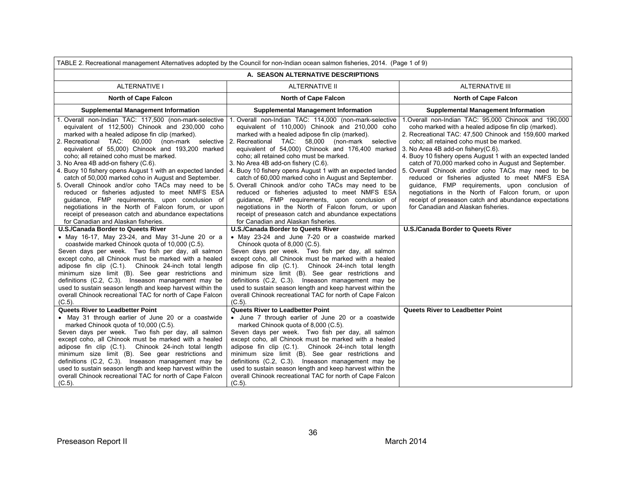| TABLE 2. Recreational management Alternatives adopted by the Council for non-Indian ocean salmon fisheries, 2014. (Page 1 of 9)                                                                                                                                                                                                                                                                                                                                                                                                                                                                                                                                                                                                                                                                                                                                                                                                                                                                    |                                                                                                                                                                                                                                                                                                                                                                                                                                                                                                                                                                                                                                                                                                                                                                                                                                                                                                                                                                                  |                                                                                                                                                                                                                                                                                                                                                                                                                                                                                                                                                                                                                                                                                                                                             |  |
|----------------------------------------------------------------------------------------------------------------------------------------------------------------------------------------------------------------------------------------------------------------------------------------------------------------------------------------------------------------------------------------------------------------------------------------------------------------------------------------------------------------------------------------------------------------------------------------------------------------------------------------------------------------------------------------------------------------------------------------------------------------------------------------------------------------------------------------------------------------------------------------------------------------------------------------------------------------------------------------------------|----------------------------------------------------------------------------------------------------------------------------------------------------------------------------------------------------------------------------------------------------------------------------------------------------------------------------------------------------------------------------------------------------------------------------------------------------------------------------------------------------------------------------------------------------------------------------------------------------------------------------------------------------------------------------------------------------------------------------------------------------------------------------------------------------------------------------------------------------------------------------------------------------------------------------------------------------------------------------------|---------------------------------------------------------------------------------------------------------------------------------------------------------------------------------------------------------------------------------------------------------------------------------------------------------------------------------------------------------------------------------------------------------------------------------------------------------------------------------------------------------------------------------------------------------------------------------------------------------------------------------------------------------------------------------------------------------------------------------------------|--|
|                                                                                                                                                                                                                                                                                                                                                                                                                                                                                                                                                                                                                                                                                                                                                                                                                                                                                                                                                                                                    | A. SEASON ALTERNATIVE DESCRIPTIONS                                                                                                                                                                                                                                                                                                                                                                                                                                                                                                                                                                                                                                                                                                                                                                                                                                                                                                                                               |                                                                                                                                                                                                                                                                                                                                                                                                                                                                                                                                                                                                                                                                                                                                             |  |
| <b>ALTERNATIVE I</b>                                                                                                                                                                                                                                                                                                                                                                                                                                                                                                                                                                                                                                                                                                                                                                                                                                                                                                                                                                               | <b>ALTERNATIVE II</b>                                                                                                                                                                                                                                                                                                                                                                                                                                                                                                                                                                                                                                                                                                                                                                                                                                                                                                                                                            | <b>ALTERNATIVE III</b>                                                                                                                                                                                                                                                                                                                                                                                                                                                                                                                                                                                                                                                                                                                      |  |
| <b>North of Cape Falcon</b>                                                                                                                                                                                                                                                                                                                                                                                                                                                                                                                                                                                                                                                                                                                                                                                                                                                                                                                                                                        | <b>North of Cape Falcon</b>                                                                                                                                                                                                                                                                                                                                                                                                                                                                                                                                                                                                                                                                                                                                                                                                                                                                                                                                                      | <b>North of Cape Falcon</b>                                                                                                                                                                                                                                                                                                                                                                                                                                                                                                                                                                                                                                                                                                                 |  |
| <b>Supplemental Management Information</b>                                                                                                                                                                                                                                                                                                                                                                                                                                                                                                                                                                                                                                                                                                                                                                                                                                                                                                                                                         | <b>Supplemental Management Information</b>                                                                                                                                                                                                                                                                                                                                                                                                                                                                                                                                                                                                                                                                                                                                                                                                                                                                                                                                       | <b>Supplemental Management Information</b>                                                                                                                                                                                                                                                                                                                                                                                                                                                                                                                                                                                                                                                                                                  |  |
| 1. Overall non-Indian TAC: 117,500 (non-mark-selective<br>equivalent of 112,500) Chinook and 230,000 coho<br>marked with a healed adipose fin clip (marked).<br>2. Recreational TAC: 60,000 (non-mark selective<br>equivalent of 55,000) Chinook and 193,200 marked<br>coho; all retained coho must be marked.<br>3. No Area 4B add-on fishery (C.6).<br>4. Buoy 10 fishery opens August 1 with an expected landed<br>catch of 50,000 marked coho in August and September.<br>5. Overall Chinook and/or coho TACs may need to be<br>reduced or fisheries adjusted to meet NMFS ESA<br>guidance, FMP requirements, upon conclusion of<br>negotiations in the North of Falcon forum, or upon<br>receipt of preseason catch and abundance expectations<br>for Canadian and Alaskan fisheries.<br><b>U.S./Canada Border to Queets River</b><br>• May 16-17, May 23-24, and May 31-June 20 or a<br>coastwide marked Chinook quota of 10,000 (C.5).<br>Seven days per week. Two fish per day, all salmon | Overall non-Indian TAC: 114,000 (non-mark-selective<br>equivalent of 110,000) Chinook and 210,000 coho<br>marked with a healed adipose fin clip (marked).<br>2. Recreational TAC: 58,000<br>(non-mark selective<br>equivalent of 54,000) Chinook and 176,400 marked<br>coho; all retained coho must be marked.<br>3. No Area 4B add-on fishery (C.6).<br>4. Buoy 10 fishery opens August 1 with an expected landed<br>catch of 60,000 marked coho in August and September.<br>5. Overall Chinook and/or coho TACs may need to be<br>reduced or fisheries adjusted to meet NMFS ESA<br>guidance, FMP requirements, upon conclusion of<br>negotiations in the North of Falcon forum, or upon<br>receipt of preseason catch and abundance expectations<br>for Canadian and Alaskan fisheries.<br><b>U.S./Canada Border to Queets River</b><br>• May 23-24 and June 7-20 or a coastwide marked<br>Chinook quota of 8,000 (C.5).<br>Seven days per week. Two fish per day, all salmon | 1. Overall non-Indian TAC: 95,000 Chinook and 190,000<br>coho marked with a healed adipose fin clip (marked).<br>2. Recreational TAC: 47,500 Chinook and 159,600 marked<br>coho; all retained coho must be marked.<br>3. No Area 4B add-on fishery (C.6).<br>4. Buoy 10 fishery opens August 1 with an expected landed<br>catch of 70,000 marked coho in August and September.<br>5. Overall Chinook and/or coho TACs may need to be<br>reduced or fisheries adjusted to meet NMFS ESA<br>guidance, FMP requirements, upon conclusion of<br>negotiations in the North of Falcon forum, or upon<br>receipt of preseason catch and abundance expectations<br>for Canadian and Alaskan fisheries.<br><b>U.S./Canada Border to Queets River</b> |  |
| except coho, all Chinook must be marked with a healed<br>adipose fin clip (C.1). Chinook 24-inch total length                                                                                                                                                                                                                                                                                                                                                                                                                                                                                                                                                                                                                                                                                                                                                                                                                                                                                      | except coho, all Chinook must be marked with a healed<br>adipose fin clip (C.1). Chinook 24-inch total length                                                                                                                                                                                                                                                                                                                                                                                                                                                                                                                                                                                                                                                                                                                                                                                                                                                                    |                                                                                                                                                                                                                                                                                                                                                                                                                                                                                                                                                                                                                                                                                                                                             |  |
| minimum size limit (B). See gear restrictions and<br>definitions (C.2, C.3). Inseason management may be<br>used to sustain season length and keep harvest within the<br>overall Chinook recreational TAC for north of Cape Falcon<br>$(C.5)$ .                                                                                                                                                                                                                                                                                                                                                                                                                                                                                                                                                                                                                                                                                                                                                     | minimum size limit (B). See gear restrictions and<br>definitions (C.2, C.3). Inseason management may be<br>used to sustain season length and keep harvest within the<br>overall Chinook recreational TAC for north of Cape Falcon<br>$(C.5)$ .                                                                                                                                                                                                                                                                                                                                                                                                                                                                                                                                                                                                                                                                                                                                   |                                                                                                                                                                                                                                                                                                                                                                                                                                                                                                                                                                                                                                                                                                                                             |  |
| Queets River to Leadbetter Point<br>• May 31 through earlier of June 20 or a coastwide<br>marked Chinook quota of 10,000 (C.5).<br>Seven days per week. Two fish per day, all salmon<br>except coho, all Chinook must be marked with a healed<br>adipose fin clip (C.1). Chinook 24-inch total length<br>minimum size limit (B). See gear restrictions and<br>definitions (C.2, C.3). Inseason management may be<br>used to sustain season length and keep harvest within the<br>overall Chinook recreational TAC for north of Cape Falcon<br>$(C.5)$ .                                                                                                                                                                                                                                                                                                                                                                                                                                            | Queets River to Leadbetter Point<br>• June 7 through earlier of June 20 or a coastwide<br>marked Chinook quota of 8,000 (C.5).<br>Seven days per week. Two fish per day, all salmon<br>except coho, all Chinook must be marked with a healed<br>adipose fin clip (C.1). Chinook 24-inch total length<br>minimum size limit (B). See gear restrictions and<br>definitions (C.2, C.3). Inseason management may be<br>used to sustain season length and keep harvest within the<br>overall Chinook recreational TAC for north of Cape Falcon<br>$(C.5)$ .                                                                                                                                                                                                                                                                                                                                                                                                                           | Queets River to Leadbetter Point                                                                                                                                                                                                                                                                                                                                                                                                                                                                                                                                                                                                                                                                                                            |  |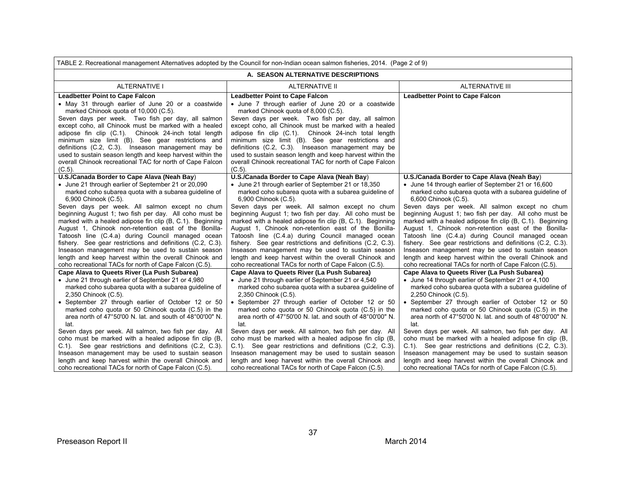| TABLE 2. Recreational management Alternatives adopted by the Council for non-Indian ocean salmon fisheries, 2014. (Page 2 of 9)                                                                                                                                                                                                                                                                                                                                                                                                                                                                                                                                                                                             |                                                                                                                                                                                                                                                                                                                                                                                                                                                                                                                                                                                                                                                                                                                             |                                                                                                                                                                                                                                                                                                                                                                                                                                                                                                                                                                                                                                                                                                                                                |  |
|-----------------------------------------------------------------------------------------------------------------------------------------------------------------------------------------------------------------------------------------------------------------------------------------------------------------------------------------------------------------------------------------------------------------------------------------------------------------------------------------------------------------------------------------------------------------------------------------------------------------------------------------------------------------------------------------------------------------------------|-----------------------------------------------------------------------------------------------------------------------------------------------------------------------------------------------------------------------------------------------------------------------------------------------------------------------------------------------------------------------------------------------------------------------------------------------------------------------------------------------------------------------------------------------------------------------------------------------------------------------------------------------------------------------------------------------------------------------------|------------------------------------------------------------------------------------------------------------------------------------------------------------------------------------------------------------------------------------------------------------------------------------------------------------------------------------------------------------------------------------------------------------------------------------------------------------------------------------------------------------------------------------------------------------------------------------------------------------------------------------------------------------------------------------------------------------------------------------------------|--|
|                                                                                                                                                                                                                                                                                                                                                                                                                                                                                                                                                                                                                                                                                                                             | A. SEASON ALTERNATIVE DESCRIPTIONS                                                                                                                                                                                                                                                                                                                                                                                                                                                                                                                                                                                                                                                                                          |                                                                                                                                                                                                                                                                                                                                                                                                                                                                                                                                                                                                                                                                                                                                                |  |
| <b>ALTERNATIVE I</b>                                                                                                                                                                                                                                                                                                                                                                                                                                                                                                                                                                                                                                                                                                        | <b>ALTERNATIVE II</b>                                                                                                                                                                                                                                                                                                                                                                                                                                                                                                                                                                                                                                                                                                       | <b>ALTERNATIVE III</b>                                                                                                                                                                                                                                                                                                                                                                                                                                                                                                                                                                                                                                                                                                                         |  |
| <b>Leadbetter Point to Cape Falcon</b><br>• May 31 through earlier of June 20 or a coastwide<br>marked Chinook quota of 10,000 (C.5).<br>Seven days per week. Two fish per day, all salmon<br>except coho, all Chinook must be marked with a healed<br>adipose fin clip (C.1). Chinook 24-inch total length<br>minimum size limit (B). See gear restrictions and<br>definitions (C.2, C.3). Inseason management may be<br>used to sustain season length and keep harvest within the<br>overall Chinook recreational TAC for north of Cape Falcon<br>$(C.5)$ .                                                                                                                                                               | <b>Leadbetter Point to Cape Falcon</b><br>• June 7 through earlier of June 20 or a coastwide<br>marked Chinook quota of 8,000 (C.5).<br>Seven days per week. Two fish per day, all salmon<br>except coho, all Chinook must be marked with a healed<br>adipose fin clip (C.1). Chinook 24-inch total length<br>minimum size limit (B). See gear restrictions and<br>definitions (C.2, C.3). Inseason management may be<br>used to sustain season length and keep harvest within the<br>overall Chinook recreational TAC for north of Cape Falcon<br>$(C.5)$ .                                                                                                                                                                | <b>Leadbetter Point to Cape Falcon</b>                                                                                                                                                                                                                                                                                                                                                                                                                                                                                                                                                                                                                                                                                                         |  |
| U.S./Canada Border to Cape Alava (Neah Bay)<br>• June 21 through earlier of September 21 or 20,090<br>marked coho subarea quota with a subarea guideline of<br>6,900 Chinook (C.5).<br>Seven days per week. All salmon except no chum<br>beginning August 1; two fish per day. All coho must be<br>marked with a healed adipose fin clip (B, C.1). Beginning<br>August 1, Chinook non-retention east of the Bonilla-<br>Tatoosh line (C.4.a) during Council managed ocean<br>fishery. See gear restrictions and definitions (C.2, C.3).<br>Inseason management may be used to sustain season<br>length and keep harvest within the overall Chinook and<br>coho recreational TACs for north of Cape Falcon (C.5).            | U.S./Canada Border to Cape Alava (Neah Bay)<br>• June 21 through earlier of September 21 or 18,350<br>marked coho subarea quota with a subarea guideline of<br>6,900 Chinook (C.5).<br>Seven days per week. All salmon except no chum<br>beginning August 1; two fish per day. All coho must be<br>marked with a healed adipose fin clip (B, C.1). Beginning<br>August 1, Chinook non-retention east of the Bonilla-<br>Tatoosh line (C.4.a) during Council managed ocean<br>fishery. See gear restrictions and definitions (C.2, C.3).<br>Inseason management may be used to sustain season<br>length and keep harvest within the overall Chinook and<br>coho recreational TACs for north of Cape Falcon (C.5).            | U.S./Canada Border to Cape Alava (Neah Bay)<br>• June 14 through earlier of September 21 or 16,600<br>marked coho subarea quota with a subarea guideline of<br>6,600 Chinook (C.5).<br>Seven days per week. All salmon except no chum<br>beginning August 1; two fish per day. All coho must be<br>marked with a healed adipose fin clip (B, C.1). Beginning<br>August 1, Chinook non-retention east of the Bonilla-<br>Tatoosh line (C.4.a) during Council managed ocean<br>fishery. See gear restrictions and definitions (C.2, C.3).<br>Inseason management may be used to sustain season<br>length and keep harvest within the overall Chinook and<br>coho recreational TACs for north of Cape Falcon (C.5).                               |  |
| Cape Alava to Queets River (La Push Subarea)<br>• June 21 through earlier of September 21 or 4,980<br>marked coho subarea quota with a subarea guideline of<br>2,350 Chinook (C.5).<br>• September 27 through earlier of October 12 or 50<br>marked coho quota or 50 Chinook quota (C.5) in the<br>area north of 47°50'00 N. lat. and south of 48°00'00" N.<br>lat.<br>Seven days per week. All salmon, two fish per day. All<br>coho must be marked with a healed adipose fin clip (B,<br>C.1). See gear restrictions and definitions (C.2, C.3).<br>Inseason management may be used to sustain season<br>length and keep harvest within the overall Chinook and<br>coho recreational TACs for north of Cape Falcon (C.5). | Cape Alava to Queets River (La Push Subarea)<br>• June 21 through earlier of September 21 or 4,540<br>marked coho subarea quota with a subarea guideline of<br>2,350 Chinook (C.5).<br>• September 27 through earlier of October 12 or 50<br>marked coho quota or 50 Chinook quota (C.5) in the<br>area north of 47°50'00 N. lat. and south of 48°00'00" N.<br>lat.<br>Seven days per week. All salmon, two fish per day. All<br>coho must be marked with a healed adipose fin clip (B,<br>C.1). See gear restrictions and definitions (C.2, C.3).<br>Inseason management may be used to sustain season<br>length and keep harvest within the overall Chinook and<br>coho recreational TACs for north of Cape Falcon (C.5). | Cape Alava to Queets River (La Push Subarea)<br>• June 14 through earlier of September 21 or 4,100<br>marked coho subarea quota with a subarea guideline of<br>2,250 Chinook (C.5).<br>• September 27 through earlier of October 12 or 50<br>marked coho quota or 50 Chinook quota (C.5) in the<br>area north of $47^{\circ}50'00$ N. lat. and south of $48^{\circ}00'00''$ N.<br>lat.<br>Seven days per week. All salmon, two fish per day. All<br>coho must be marked with a healed adipose fin clip (B,<br>C.1). See gear restrictions and definitions (C.2, C.3).<br>Inseason management may be used to sustain season<br>length and keep harvest within the overall Chinook and<br>coho recreational TACs for north of Cape Falcon (C.5). |  |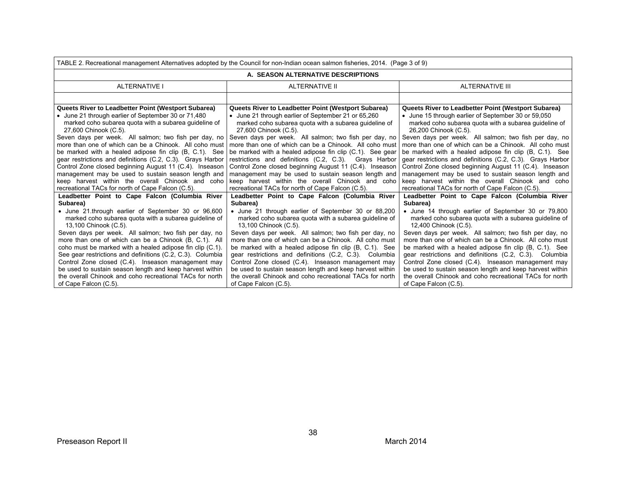| TABLE 2. Recreational management Alternatives adopted by the Council for non-Indian ocean salmon fisheries, 2014. (Page 3 of 9)                                                                                                                                                                                                                                                                                                                                                                                                                                                                               |                                                                                                                                                                                                                                                                                                                                                                                                                                                                                                                                                                                                            |                                                                                                                                                                                                                                                                                                                                                                                                                                                                                                                                                                                                               |  |
|---------------------------------------------------------------------------------------------------------------------------------------------------------------------------------------------------------------------------------------------------------------------------------------------------------------------------------------------------------------------------------------------------------------------------------------------------------------------------------------------------------------------------------------------------------------------------------------------------------------|------------------------------------------------------------------------------------------------------------------------------------------------------------------------------------------------------------------------------------------------------------------------------------------------------------------------------------------------------------------------------------------------------------------------------------------------------------------------------------------------------------------------------------------------------------------------------------------------------------|---------------------------------------------------------------------------------------------------------------------------------------------------------------------------------------------------------------------------------------------------------------------------------------------------------------------------------------------------------------------------------------------------------------------------------------------------------------------------------------------------------------------------------------------------------------------------------------------------------------|--|
|                                                                                                                                                                                                                                                                                                                                                                                                                                                                                                                                                                                                               | A. SEASON ALTERNATIVE DESCRIPTIONS                                                                                                                                                                                                                                                                                                                                                                                                                                                                                                                                                                         |                                                                                                                                                                                                                                                                                                                                                                                                                                                                                                                                                                                                               |  |
| <b>ALTERNATIVE I</b>                                                                                                                                                                                                                                                                                                                                                                                                                                                                                                                                                                                          | <b>ALTERNATIVE II</b>                                                                                                                                                                                                                                                                                                                                                                                                                                                                                                                                                                                      | <b>ALTERNATIVE III</b>                                                                                                                                                                                                                                                                                                                                                                                                                                                                                                                                                                                        |  |
|                                                                                                                                                                                                                                                                                                                                                                                                                                                                                                                                                                                                               |                                                                                                                                                                                                                                                                                                                                                                                                                                                                                                                                                                                                            |                                                                                                                                                                                                                                                                                                                                                                                                                                                                                                                                                                                                               |  |
| Queets River to Leadbetter Point (Westport Subarea)<br>• June 21 through earlier of September 30 or 71,480<br>marked coho subarea quota with a subarea guideline of<br>27,600 Chinook (C.5).<br>Seven days per week. All salmon; two fish per day, no<br>more than one of which can be a Chinook. All coho must<br>be marked with a healed adipose fin clip (B, C.1). See<br>gear restrictions and definitions (C.2, C.3). Grays Harbor<br>Control Zone closed beginning August 11 (C.4). Inseason<br>management may be used to sustain season length and<br>keep harvest within the overall Chinook and coho | Queets River to Leadbetter Point (Westport Subarea)<br>• June 21 through earlier of September 21 or 65,260<br>marked coho subarea quota with a subarea guideline of<br>27,600 Chinook (C.5).<br>Seven days per week. All salmon; two fish per day, no<br>more than one of which can be a Chinook. All coho must<br>be marked with a healed adipose fin clip (C.1). See gear<br>restrictions and definitions (C.2, C.3). Grays Harbor<br>Control Zone closed beginning August 11 (C.4). Inseason<br>management may be used to sustain season length and<br>keep harvest within the overall Chinook and coho | Queets River to Leadbetter Point (Westport Subarea)<br>• June 15 through earlier of September 30 or 59,050<br>marked coho subarea quota with a subarea guideline of<br>26,200 Chinook (C.5).<br>Seven days per week. All salmon; two fish per day, no<br>more than one of which can be a Chinook. All coho must<br>be marked with a healed adipose fin clip (B, C.1). See<br>gear restrictions and definitions (C.2, C.3). Grays Harbor<br>Control Zone closed beginning August 11 (C.4). Inseason<br>management may be used to sustain season length and<br>keep harvest within the overall Chinook and coho |  |
| recreational TACs for north of Cape Falcon (C.5).<br>Leadbetter Point to Cape Falcon (Columbia River                                                                                                                                                                                                                                                                                                                                                                                                                                                                                                          | recreational TACs for north of Cape Falcon (C.5).<br>Leadbetter Point to Cape Falcon (Columbia River                                                                                                                                                                                                                                                                                                                                                                                                                                                                                                       | recreational TACs for north of Cape Falcon (C.5).<br>Leadbetter Point to Cape Falcon (Columbia River                                                                                                                                                                                                                                                                                                                                                                                                                                                                                                          |  |
| Subarea)                                                                                                                                                                                                                                                                                                                                                                                                                                                                                                                                                                                                      | Subarea)                                                                                                                                                                                                                                                                                                                                                                                                                                                                                                                                                                                                   | Subarea)                                                                                                                                                                                                                                                                                                                                                                                                                                                                                                                                                                                                      |  |
| • June 21.through earlier of September 30 or 96,600<br>marked coho subarea quota with a subarea quideline of<br>13,100 Chinook (C.5).<br>Seven days per week. All salmon; two fish per day, no<br>more than one of which can be a Chinook (B, C.1). All<br>coho must be marked with a healed adipose fin clip (C.1).<br>See gear restrictions and definitions (C.2, C.3). Columbia<br>Control Zone closed (C.4). Inseason management may<br>be used to sustain season length and keep harvest within<br>the overall Chinook and coho recreational TACs for north<br>of Cape Falcon (C.5).                     | • June 21 through earlier of September 30 or 88,200<br>marked coho subarea quota with a subarea quideline of<br>13.100 Chinook (C.5).<br>Seven days per week. All salmon; two fish per day, no<br>more than one of which can be a Chinook. All coho must<br>be marked with a healed adipose fin clip (B, C.1). See<br>gear restrictions and definitions (C.2, C.3). Columbia<br>Control Zone closed (C.4). Inseason management may<br>be used to sustain season length and keep harvest within<br>the overall Chinook and coho recreational TACs for north<br>of Cape Falcon (C.5).                        | • June 14 through earlier of September 30 or 79,800<br>marked coho subarea quota with a subarea quideline of<br>12,400 Chinook (C.5).<br>Seven days per week. All salmon; two fish per day, no<br>more than one of which can be a Chinook. All coho must<br>be marked with a healed adipose fin clip (B, C.1). See<br>gear restrictions and definitions (C.2, C.3). Columbia<br>Control Zone closed (C.4). Inseason management may<br>be used to sustain season length and keep harvest within<br>the overall Chinook and coho recreational TACs for north<br>of Cape Falcon (C.5).                           |  |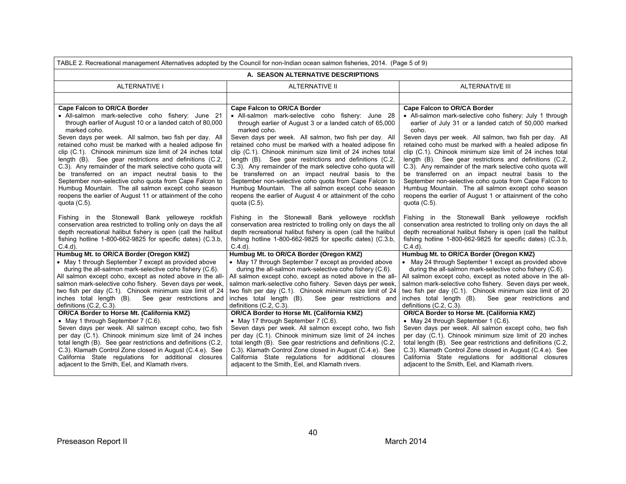| TABLE 2. Recreational management Alternatives adopted by the Council for non-Indian ocean salmon fisheries, 2014. (Page 5 of 9) |                                                               |                                                               |  |
|---------------------------------------------------------------------------------------------------------------------------------|---------------------------------------------------------------|---------------------------------------------------------------|--|
|                                                                                                                                 | A. SEASON ALTERNATIVE DESCRIPTIONS                            |                                                               |  |
| <b>ALTERNATIVE I</b>                                                                                                            | <b>ALTERNATIVE II</b>                                         | <b>ALTERNATIVE III</b>                                        |  |
|                                                                                                                                 |                                                               |                                                               |  |
| <b>Cape Falcon to OR/CA Border</b>                                                                                              | <b>Cape Falcon to OR/CA Border</b>                            | <b>Cape Falcon to OR/CA Border</b>                            |  |
| • All-salmon mark-selective coho fishery: June 21                                                                               | · All-salmon mark-selective coho fishery: June 28             | • All-salmon mark-selective coho fishery: July 1 through      |  |
| through earlier of August 10 or a landed catch of 80,000                                                                        | through earlier of August 3 or a landed catch of 65,000       | earlier of July 31 or a landed catch of 50,000 marked         |  |
| marked coho.                                                                                                                    | marked coho.                                                  | coho.                                                         |  |
| Seven days per week. All salmon, two fish per day. All                                                                          | Seven days per week. All salmon, two fish per day. All        | Seven days per week. All salmon, two fish per day. All        |  |
| retained coho must be marked with a healed adipose fin                                                                          | retained coho must be marked with a healed adipose fin        | retained coho must be marked with a healed adipose fin        |  |
| clip (C.1). Chinook minimum size limit of 24 inches total                                                                       | clip (C.1). Chinook minimum size limit of 24 inches total     | clip (C.1). Chinook minimum size limit of 24 inches total     |  |
| length (B). See gear restrictions and definitions (C.2,                                                                         | length (B). See gear restrictions and definitions (C.2,       | length (B). See gear restrictions and definitions (C.2,       |  |
| C.3). Any remainder of the mark selective coho quota will                                                                       | C.3). Any remainder of the mark selective coho quota will     | C.3). Any remainder of the mark selective coho quota will     |  |
| be transferred on an impact neutral basis to the                                                                                | be transferred on an impact neutral basis to the              | be transferred on an impact neutral basis to the              |  |
| September non-selective coho quota from Cape Falcon to                                                                          | September non-selective coho quota from Cape Falcon to        | September non-selective coho quota from Cape Falcon to        |  |
| Humbug Mountain. The all salmon except coho season                                                                              | Humbug Mountain. The all salmon except coho season            | Humbug Mountain. The all salmon except coho season            |  |
| reopens the earlier of August 11 or attainment of the coho                                                                      | reopens the earlier of August 4 or attainment of the coho     | reopens the earlier of August 1 or attainment of the coho     |  |
| quota $(C.5)$ .                                                                                                                 | quota $(C.5)$ .                                               | quota (C.5).                                                  |  |
| Fishing in the Stonewall Bank yelloweye rockfish                                                                                | Fishing in the Stonewall Bank yelloweye rockfish              | Fishing in the Stonewall Bank yelloweye rockfish              |  |
| conservation area restricted to trolling only on days the all                                                                   | conservation area restricted to trolling only on days the all | conservation area restricted to trolling only on days the all |  |
| depth recreational halibut fishery is open (call the halibut                                                                    | depth recreational halibut fishery is open (call the halibut  | depth recreational halibut fishery is open (call the halibut  |  |
| fishing hotline 1-800-662-9825 for specific dates) (C.3.b.                                                                      | fishing hotline 1-800-662-9825 for specific dates) (C.3.b,    | fishing hotline 1-800-662-9825 for specific dates) (C.3.b,    |  |
| $C.4.d$ ).                                                                                                                      | C.4d)                                                         | $C.4d$ ).                                                     |  |
| Humbug Mt. to OR/CA Border (Oregon KMZ)                                                                                         | Humbug Mt. to OR/CA Border (Oregon KMZ)                       | Humbug Mt. to OR/CA Border (Oregon KMZ)                       |  |
| • May 1 through September 7 except as provided above                                                                            | • May 17 through September 7 except as provided above         | • May 24 through September 1 except as provided above         |  |
| during the all-salmon mark-selective coho fishery (C.6).                                                                        | during the all-salmon mark-selective coho fishery (C.6).      | during the all-salmon mark-selective coho fishery (C.6).      |  |
| All salmon except coho, except as noted above in the all-                                                                       | All salmon except coho, except as noted above in the all-     | All salmon except coho, except as noted above in the all-     |  |
| salmon mark-selective coho fishery. Seven days per week,                                                                        | salmon mark-selective coho fishery. Seven days per week,      | salmon mark-selective coho fishery. Seven days per week,      |  |
| two fish per day (C.1). Chinook minimum size limit of 24                                                                        | two fish per day (C.1). Chinook minimum size limit of 24      | two fish per day (C.1). Chinook minimum size limit of 20      |  |
| inches total length (B). See gear restrictions and                                                                              | inches total length (B). See gear restrictions and            | inches total length (B). See gear restrictions and            |  |
| definitions (C.2, C.3).                                                                                                         | definitions (C.2, C.3).                                       | definitions (C.2, C.3).                                       |  |
| OR/CA Border to Horse Mt. (California KMZ)                                                                                      | OR/CA Border to Horse Mt. (California KMZ)                    | OR/CA Border to Horse Mt. (California KMZ)                    |  |
| • May 1 through September 7 (C.6).                                                                                              | • May 17 through September 7 (C.6).                           | • May 24 through September 1 $(C.6)$ .                        |  |
| Seven days per week. All salmon except coho, two fish                                                                           | Seven days per week. All salmon except coho, two fish         | Seven days per week. All salmon except coho, two fish         |  |
| per day (C.1). Chinook minimum size limit of 24 inches                                                                          | per day (C.1). Chinook minimum size limit of 24 inches        | per day (C.1). Chinook minimum size limit of 20 inches        |  |
| total length (B). See gear restrictions and definitions (C.2,                                                                   | total length (B). See gear restrictions and definitions (C.2, | total length (B). See gear restrictions and definitions (C.2, |  |
| C.3). Klamath Control Zone closed in August (C.4.e). See                                                                        | C.3). Klamath Control Zone closed in August (C.4.e). See      | C.3). Klamath Control Zone closed in August (C.4.e). See      |  |
| California State regulations for additional closures                                                                            | California State regulations for additional closures          | California State regulations for additional closures          |  |
| adjacent to the Smith, Eel, and Klamath rivers.                                                                                 | adjacent to the Smith, Eel, and Klamath rivers.               | adjacent to the Smith, Eel, and Klamath rivers.               |  |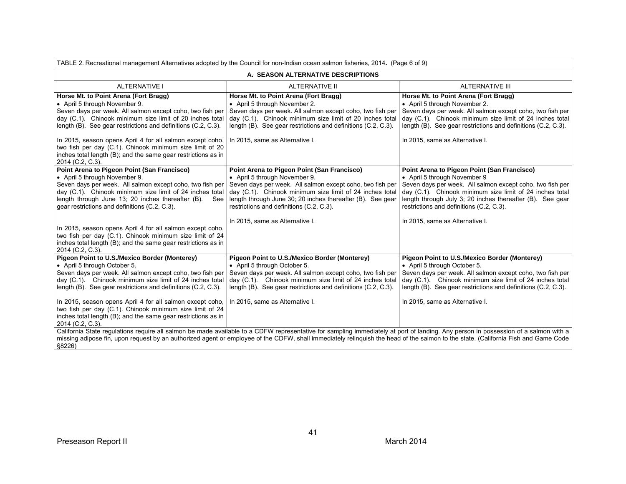| TABLE 2. Recreational management Alternatives adopted by the Council for non-Indian ocean salmon fisheries, 2014. (Page 6 of 9)                                                                                                                                                                                                                                                                                                                                                                                                  |                                                                                                                                                                                                                                                                                                                                                                           |                                                                                                                                                                                                                                                                                                                                                  |  |
|----------------------------------------------------------------------------------------------------------------------------------------------------------------------------------------------------------------------------------------------------------------------------------------------------------------------------------------------------------------------------------------------------------------------------------------------------------------------------------------------------------------------------------|---------------------------------------------------------------------------------------------------------------------------------------------------------------------------------------------------------------------------------------------------------------------------------------------------------------------------------------------------------------------------|--------------------------------------------------------------------------------------------------------------------------------------------------------------------------------------------------------------------------------------------------------------------------------------------------------------------------------------------------|--|
|                                                                                                                                                                                                                                                                                                                                                                                                                                                                                                                                  | A. SEASON ALTERNATIVE DESCRIPTIONS                                                                                                                                                                                                                                                                                                                                        |                                                                                                                                                                                                                                                                                                                                                  |  |
| <b>ALTERNATIVE I</b>                                                                                                                                                                                                                                                                                                                                                                                                                                                                                                             | <b>ALTERNATIVE II</b>                                                                                                                                                                                                                                                                                                                                                     | <b>ALTERNATIVE III</b>                                                                                                                                                                                                                                                                                                                           |  |
| Horse Mt. to Point Arena (Fort Bragg)<br>• April 5 through November 9.<br>Seven days per week. All salmon except coho, two fish per<br>day (C.1). Chinook minimum size limit of 20 inches total<br>length (B). See gear restrictions and definitions (C.2, C.3).<br>In 2015, season opens April 4 for all salmon except coho,<br>two fish per day (C.1). Chinook minimum size limit of 20<br>inches total length (B); and the same gear restrictions as in<br>2014 (C.2, C.3).                                                   | Horse Mt. to Point Arena (Fort Bragg)<br>• April 5 through November 2.<br>Seven days per week. All salmon except coho, two fish per<br>day (C.1). Chinook minimum size limit of 20 inches total<br>length (B). See gear restrictions and definitions (C.2, C.3).<br>In 2015, same as Alternative I.                                                                       | Horse Mt. to Point Arena (Fort Bragg)<br>• April 5 through November 2.<br>Seven days per week. All salmon except coho, two fish per<br>day (C.1). Chinook minimum size limit of 24 inches total<br>length (B). See gear restrictions and definitions (C.2, C.3).<br>In 2015, same as Alternative I.                                              |  |
| Point Arena to Pigeon Point (San Francisco)<br>• April 5 through November 9.<br>Seven days per week. All salmon except coho, two fish per<br>day (C.1). Chinook minimum size limit of 24 inches total<br>length through June 13; 20 inches thereafter (B).<br>See<br>gear restrictions and definitions (C.2, C.3).<br>In 2015, season opens April 4 for all salmon except coho,<br>two fish per day (C.1). Chinook minimum size limit of 24<br>inches total length (B); and the same gear restrictions as in<br>2014 (C.2, C.3). | Point Arena to Pigeon Point (San Francisco)<br>• April 5 through November 9.<br>Seven days per week. All salmon except coho, two fish per<br>day (C.1). Chinook minimum size limit of 24 inches total<br>length through June 30; 20 inches thereafter (B). See gear<br>restrictions and definitions (C.2, C.3).<br>In 2015, same as Alternative I.                        | Point Arena to Pigeon Point (San Francisco)<br>• April 5 through November 9<br>Seven days per week. All salmon except coho, two fish per<br>day (C.1). Chinook minimum size limit of 24 inches total<br>length through July 3; 20 inches thereafter (B). See gear<br>restrictions and definitions (C.2, C.3).<br>In 2015, same as Alternative I. |  |
| Pigeon Point to U.S./Mexico Border (Monterey)<br>• April 5 through October 5.<br>Seven days per week. All salmon except coho, two fish per<br>day (C.1). Chinook minimum size limit of 24 inches total<br>length (B). See gear restrictions and definitions (C.2, C.3).<br>In 2015, season opens April 4 for all salmon except coho,   In 2015, same as Alternative I.<br>two fish per day (C.1). Chinook minimum size limit of 24<br>inches total length (B); and the same gear restrictions as in<br>2014 (C.2, C.3).          | Pigeon Point to U.S./Mexico Border (Monterey)<br>• April 5 through October 5.<br>Seven days per week. All salmon except coho, two fish per<br>day (C.1). Chinook minimum size limit of 24 inches total<br>length (B). See gear restrictions and definitions (C.2, C.3).                                                                                                   | Pigeon Point to U.S./Mexico Border (Monterey)<br>• April 5 through October 5.<br>Seven days per week. All salmon except coho, two fish per<br>day (C.1). Chinook minimum size limit of 24 inches total<br>length (B). See gear restrictions and definitions (C.2, C.3).<br>In 2015, same as Alternative I.                                       |  |
| \$8226)                                                                                                                                                                                                                                                                                                                                                                                                                                                                                                                          | California State regulations require all salmon be made available to a CDFW representative for sampling immediately at port of landing. Any person in possession of a salmon with a<br>missing adipose fin, upon request by an authorized agent or employee of the CDFW, shall immediately relinquish the head of the salmon to the state. (California Fish and Game Code |                                                                                                                                                                                                                                                                                                                                                  |  |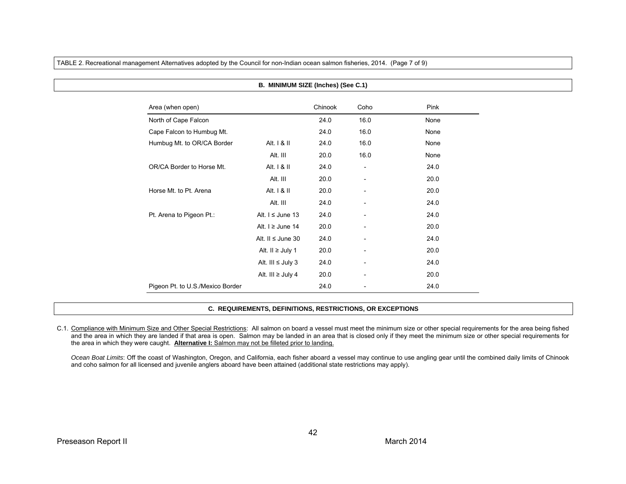|  | TABLE 2. Recreational management Alternatives adopted by the Council for non-Indian ocean salmon fisheries, 2014. (Page 7 of 9) |  |  |  |  |
|--|---------------------------------------------------------------------------------------------------------------------------------|--|--|--|--|
|--|---------------------------------------------------------------------------------------------------------------------------------|--|--|--|--|

|                                  | B. MINIMUM SIZE (Inches) (See C.1) |         |                          |      |  |
|----------------------------------|------------------------------------|---------|--------------------------|------|--|
| Area (when open)                 |                                    | Chinook | Coho                     | Pink |  |
| North of Cape Falcon             |                                    | 24.0    | 16.0                     | None |  |
| Cape Falcon to Humbug Mt.        |                                    | 24.0    | 16.0                     | None |  |
| Humbug Mt. to OR/CA Border       | Alt. I & II                        | 24.0    | 16.0                     | None |  |
|                                  | Alt. III                           | 20.0    | 16.0                     | None |  |
| OR/CA Border to Horse Mt.        | Alt. 1 & II                        | 24.0    | $\overline{\phantom{a}}$ | 24.0 |  |
|                                  | Alt. III                           | 20.0    |                          | 20.0 |  |
| Horse Mt. to Pt. Arena           | Alt. I & II                        | 20.0    |                          | 20.0 |  |
|                                  | Alt. III                           | 24.0    |                          | 24.0 |  |
| Pt. Arena to Pigeon Pt.:         | Alt. $I \leq$ June 13              | 24.0    |                          | 24.0 |  |
|                                  | Alt. $I \geq$ June 14              | 20.0    |                          | 20.0 |  |
|                                  | Alt. $II \leq$ June 30             | 24.0    | -                        | 24.0 |  |
|                                  | Alt. II $\ge$ July 1               | 20.0    | $\overline{\phantom{a}}$ | 20.0 |  |
|                                  | Alt. III $\le$ July 3              | 24.0    | -                        | 24.0 |  |
|                                  | Alt. III $\ge$ July 4              | 20.0    |                          | 20.0 |  |
| Pigeon Pt. to U.S./Mexico Border |                                    | 24.0    |                          | 24.0 |  |

### **C. REQUIREMENTS, DEFINITIONS, RESTRICTIONS, OR EXCEPTIONS**

C.1. Compliance with Minimum Size and Other Special Restrictions: All salmon on board a vessel must meet the minimum size or other special requirements for the area being fished and the area in which they are landed if that area is open. Salmon may be landed in an area that is closed only if they meet the minimum size or other special requirements for the area in which they were caught. **Alternative I:** Salmon may not be filleted prior to landing.

*Ocean Boat Limits*: Off the coast of Washington, Oregon, and California, each fisher aboard a vessel may continue to use angling gear until the combined daily limits of Chinook and coho salmon for all licensed and juvenile anglers aboard have been attained (additional state restrictions may apply).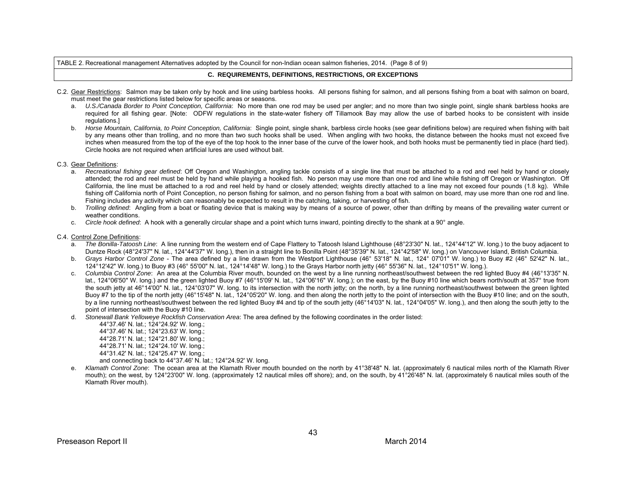TABLE 2. Recreational management Alternatives adopted by the Council for non-Indian ocean salmon fisheries, 2014. (Page 8 of 9)

## **C. REQUIREMENTS, DEFINITIONS, RESTRICTIONS, OR EXCEPTIONS**

- C.2. Gear Restrictions: Salmon may be taken only by hook and line using barbless hooks. All persons fishing for salmon, and all persons fishing from a boat with salmon on board, must meet the gear restrictions listed below for specific areas or seasons.
	- a. *U.S./Canada Border to Point Conception, California*: No more than one rod may be used per angler; and no more than two single point, single shank barbless hooks are required for all fishing gear. [Note: ODFW regulations in the state-water fishery off Tillamook Bay may allow the use of barbed hooks to be consistent with inside regulations.]
	- b. *Horse Mountain, California, to Point Conception, California*: Single point, single shank, barbless circle hooks (see gear definitions below) are required when fishing with bait by any means other than trolling, and no more than two such hooks shall be used. When angling with two hooks, the distance between the hooks must not exceed five inches when measured from the top of the eye of the top hook to the inner base of the curve of the lower hook, and both hooks must be permanently tied in place (hard tied). Circle hooks are not required when artificial lures are used without bait.

## C.3. Gear Definitions:

- a. *Recreational fishing gear defined*: Off Oregon and Washington, angling tackle consists of a single line that must be attached to a rod and reel held by hand or closely attended; the rod and reel must be held by hand while playing a hooked fish. No person may use more than one rod and line while fishing off Oregon or Washington. Off California, the line must be attached to a rod and reel held by hand or closely attended; weights directly attached to a line may not exceed four pounds (1.8 kg). While fishing off California north of Point Conception, no person fishing for salmon, and no person fishing from a boat with salmon on board, may use more than one rod and line. Fishing includes any activity which can reasonably be expected to result in the catching, taking, or harvesting of fish.
- b. *Trolling defined*: Angling from a boat or floating device that is making way by means of a source of power, other than drifting by means of the prevailing water current or weather conditions.
- c. *Circle hook defined*: A hook with a generally circular shape and a point which turns inward, pointing directly to the shank at a 90° angle.

## C.4. Control Zone Definitions:

- a. *The Bonilla-Tatoosh Line*: A line running from the western end of Cape Flattery to Tatoosh Island Lighthouse (48°23'30" N. lat., 124°44'12" W. long.) to the buoy adjacent to Duntze Rock (48°24'37" N. lat., 124°44'37" W. long.), then in a straight line to Bonilla Point (48°35'39" N. lat., 124°42'58" W. long.) on Vancouver Island, British Columbia.
- b. *Grays Harbor Control Zone* The area defined by a line drawn from the Westport Lighthouse (46° 53'18" N. lat., 124° 07'01" W. long.) to Buoy #2 (46° 52'42" N. lat., 124°12'42" W. long.) to Buoy #3 (46° 55'00" N. lat., 124°14'48" W. long.) to the Grays Harbor north jetty (46° 55'36" N. lat., 124°10'51" W. long.).
- c. *Columbia Control Zone*: An area at the Columbia River mouth, bounded on the west by a line running northeast/southwest between the red lighted Buoy #4 (46°13'35" N. lat., 124°06'50" W. long.) and the green lighted Buoy #7 (46°15'09' N. lat., 124°06'16" W. long.); on the east, by the Buoy #10 line which bears north/south at 357° true from the south jetty at 46°14'00" N. lat., 124°03'07" W. long. to its intersection with the north jetty; on the north, by a line running northeast/southwest between the green lighted Buoy #7 to the tip of the north jetty (46°15'48" N. lat., 124°05'20" W. long. and then along the north jetty to the point of intersection with the Buoy #10 line; and on the south, by a line running northeast/southwest between the red lighted Buoy #4 and tip of the south jetty (46°14'03" N. lat., 124°04'05" W. long.), and then along the south jetty to the point of intersection with the Buoy #10 line.
- d. *Stonewall Bank Yelloweye Rockfish Conservation Area*: The area defined by the following coordinates in the order listed:

 44°37.46' N. lat.; 124°24.92' W. long.; 44°37.46' N. lat.; 124°23.63' W. long.; 44°28.71' N. lat.; 124°21.80' W. long.; 44°28.71' N. lat.; 124°24.10' W. long.; 44°31.42' N. lat.; 124°25.47' W. long.; and connecting back to 44°37.46' N. lat.; 124°24.92' W. long.

e. *Klamath Control Zone*: The ocean area at the Klamath River mouth bounded on the north by 41°38'48" N. lat. (approximately 6 nautical miles north of the Klamath River mouth); on the west, by 124°23'00" W. long. (approximately 12 nautical miles off shore); and, on the south, by 41°26'48" N. lat. (approximately 6 nautical miles south of the Klamath River mouth).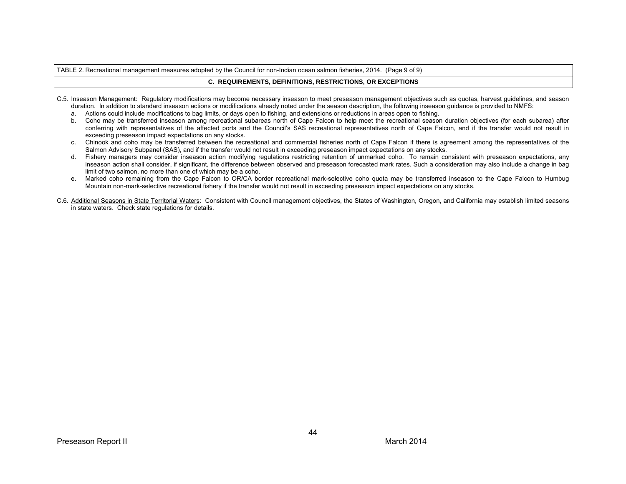TABLE 2. Recreational management measures adopted by the Council for non-Indian ocean salmon fisheries, 2014. (Page 9 of 9)

## **C. REQUIREMENTS, DEFINITIONS, RESTRICTIONS, OR EXCEPTIONS**

- C.5. Inseason Management: Regulatory modifications may become necessary inseason to meet preseason management objectives such as quotas, harvest guidelines, and season duration. In addition to standard inseason actions or modifications already noted under the season description, the following inseason guidance is provided to NMFS:
	- a. Actions could include modifications to bag limits, or days open to fishing, and extensions or reductions in areas open to fishing.
	- b. Coho may be transferred inseason among recreational subareas north of Cape Falcon to help meet the recreational season duration objectives (for each subarea) after conferring with representatives of the affected ports and the Council's SAS recreational representatives north of Cape Falcon, and if the transfer would not result in exceeding preseason impact expectations on any stocks.
	- c. Chinook and coho may be transferred between the recreational and commercial fisheries north of Cape Falcon if there is agreement among the representatives of the Salmon Advisory Subpanel (SAS), and if the transfer would not result in exceeding preseason impact expectations on any stocks.
	- d. Fishery managers may consider inseason action modifying regulations restricting retention of unmarked coho. To remain consistent with preseason expectations, any inseason action shall consider, if significant, the difference between observed and preseason forecasted mark rates. Such a consideration may also include a change in bag limit of two salmon, no more than one of which may be a coho.
	- e. Marked coho remaining from the Cape Falcon to OR/CA border recreational mark-selective coho quota may be transferred inseason to the Cape Falcon to Humbug Mountain non-mark-selective recreational fishery if the transfer would not result in exceeding preseason impact expectations on any stocks.
- C.6. Additional Seasons in State Territorial Waters: Consistent with Council management objectives, the States of Washington, Oregon, and California may establish limited seasons in state waters. Check state regulations for details.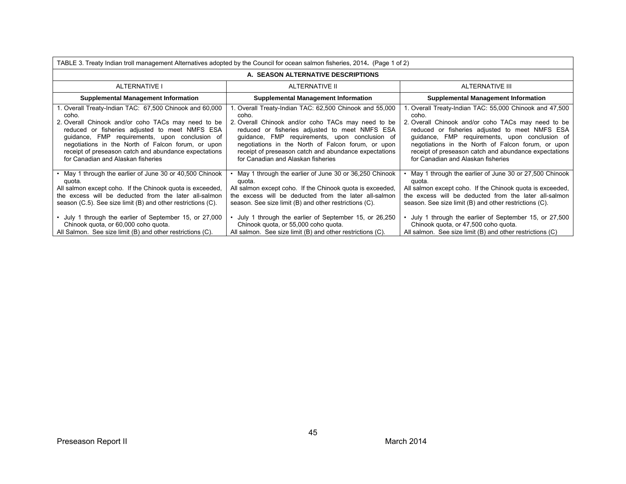| TABLE 3. Treaty Indian troll management Alternatives adopted by the Council for ocean salmon fisheries, 2014. (Page 1 of 2)                                                                                                                                                                                                                                                                                               |                                                                                                                                                                                                                                                                                                                                                                                                                     |                                                                                                                                                                                                                                                                                                                                                                                                                  |  |  |  |  |  |  |  |
|---------------------------------------------------------------------------------------------------------------------------------------------------------------------------------------------------------------------------------------------------------------------------------------------------------------------------------------------------------------------------------------------------------------------------|---------------------------------------------------------------------------------------------------------------------------------------------------------------------------------------------------------------------------------------------------------------------------------------------------------------------------------------------------------------------------------------------------------------------|------------------------------------------------------------------------------------------------------------------------------------------------------------------------------------------------------------------------------------------------------------------------------------------------------------------------------------------------------------------------------------------------------------------|--|--|--|--|--|--|--|
|                                                                                                                                                                                                                                                                                                                                                                                                                           | A. SEASON ALTERNATIVE DESCRIPTIONS                                                                                                                                                                                                                                                                                                                                                                                  |                                                                                                                                                                                                                                                                                                                                                                                                                  |  |  |  |  |  |  |  |
| <b>ALTERNATIVE I</b>                                                                                                                                                                                                                                                                                                                                                                                                      | <b>ALTERNATIVE II</b>                                                                                                                                                                                                                                                                                                                                                                                               | ALTERNATIVE III                                                                                                                                                                                                                                                                                                                                                                                                  |  |  |  |  |  |  |  |
| <b>Supplemental Management Information</b>                                                                                                                                                                                                                                                                                                                                                                                | <b>Supplemental Management Information</b>                                                                                                                                                                                                                                                                                                                                                                          | <b>Supplemental Management Information</b>                                                                                                                                                                                                                                                                                                                                                                       |  |  |  |  |  |  |  |
| 1. Overall Treaty-Indian TAC: 67,500 Chinook and 60,000<br>coho.<br>2. Overall Chinook and/or coho TACs may need to be<br>reduced or fisheries adjusted to meet NMFS ESA<br>guidance, FMP requirements, upon conclusion of<br>negotiations in the North of Falcon forum, or upon<br>receipt of preseason catch and abundance expectations<br>for Canadian and Alaskan fisheries                                           | 1. Overall Treaty-Indian TAC: 62,500 Chinook and 55,000<br>coho.<br>2. Overall Chinook and/or coho TACs may need to be<br>reduced or fisheries adjusted to meet NMFS ESA<br>guidance, FMP requirements, upon conclusion of<br>negotiations in the North of Falcon forum, or upon<br>receipt of preseason catch and abundance expectations<br>for Canadian and Alaskan fisheries                                     | 1. Overall Treaty-Indian TAC: 55,000 Chinook and 47,500<br>coho.<br>2. Overall Chinook and/or coho TACs may need to be<br>reduced or fisheries adjusted to meet NMFS ESA<br>guidance, FMP requirements, upon conclusion of<br>negotiations in the North of Falcon forum, or upon<br>receipt of preseason catch and abundance expectations<br>for Canadian and Alaskan fisheries                                  |  |  |  |  |  |  |  |
| • May 1 through the earlier of June 30 or 40,500 Chinook<br>quota.<br>All salmon except coho. If the Chinook quota is exceeded,<br>the excess will be deducted from the later all-salmon<br>season (C.5). See size limit (B) and other restrictions (C).<br>• July 1 through the earlier of September 15, or 27,000<br>Chinook quota, or 60,000 coho quota.<br>All Salmon. See size limit (B) and other restrictions (C). | • May 1 through the earlier of June 30 or 36,250 Chinook<br>quota.<br>All salmon except coho. If the Chinook quota is exceeded,<br>the excess will be deducted from the later all-salmon<br>season. See size limit (B) and other restrictions (C).<br>• July 1 through the earlier of September 15, or 26,250<br>Chinook quota, or 55,000 coho quota.<br>All salmon. See size limit (B) and other restrictions (C). | May 1 through the earlier of June 30 or 27,500 Chinook<br>quota.<br>All salmon except coho. If the Chinook quota is exceeded,<br>the excess will be deducted from the later all-salmon<br>season. See size limit (B) and other restrictions (C).<br>• July 1 through the earlier of September 15, or 27,500<br>Chinook quota, or 47,500 coho quota.<br>All salmon. See size limit (B) and other restrictions (C) |  |  |  |  |  |  |  |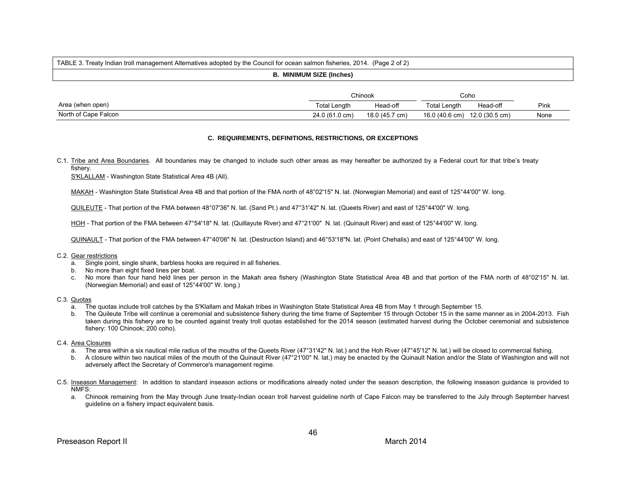TABLE 3. Treaty Indian troll management Alternatives adopted by the Council for ocean salmon fisheries, 2014. (Page 2 of 2)

## **B. MINIMUM SIZE (Inches)**

|                      |                | Chinook        |                | Coho           |      |
|----------------------|----------------|----------------|----------------|----------------|------|
| Area (when open)     | Total Length   | Head-off       | Total Length   | Head-off       | Pink |
| North of Cape Falcon | 24.0 (61.0 cm) | 18.0 (45.7 cm) | 16.0 (40.6 cm) | 12.0 (30.5 cm) | None |

# **C. REQUIREMENTS, DEFINITIONS, RESTRICTIONS, OR EXCEPTIONS**

C.1. Tribe and Area Boundaries. All boundaries may be changed to include such other areas as may hereafter be authorized by a Federal court for that tribe's treaty fishery.

S'KLALLAM - Washington State Statistical Area 4B (All).

MAKAH - Washington State Statistical Area 4B and that portion of the FMA north of 48°02'15" N. lat. (Norwegian Memorial) and east of 125°44'00" W. long.

QUILEUTE - That portion of the FMA between 48°07'36" N. lat. (Sand Pt.) and 47°31'42" N. lat. (Queets River) and east of 125°44'00" W. long.

HOH - That portion of the FMA between 47°54'18" N. lat. (Quillayute River) and 47°21'00" N. lat. (Quinault River) and east of 125°44'00" W. long.

QUINAULT - That portion of the FMA between 47°40'06" N. lat. (Destruction Island) and 46°53'18"N. lat. (Point Chehalis) and east of 125°44'00" W. long.

## C.2. Gear restrictions

- a. Single point, single shank, barbless hooks are required in all fisheries.
- b. No more than eight fixed lines per boat.
- c. No more than four hand held lines per person in the Makah area fishery (Washington State Statistical Area 4B and that portion of the FMA north of 48°02'15" N. lat. (Norwegian Memorial) and east of 125°44'00" W. long.)

## C.3. <u>Quotas</u>

- a. The quotas include troll catches by the S'Klallam and Makah tribes in Washington State Statistical Area 4B from May 1 through September 15.
- b. The Quileute Tribe will continue a ceremonial and subsistence fishery during the time frame of September 15 through October 15 in the same manner as in 2004-2013. Fish taken during this fishery are to be counted against treaty troll quotas established for the 2014 season (estimated harvest during the October ceremonial and subsistence fishery: 100 Chinook; 200 coho).

# C.4. Area Closures

- a. The area within a six nautical mile radius of the mouths of the Queets River (47°31'42" N. lat.) and the Hoh River (47°45'12" N. lat.) will be closed to commercial fishing.
- b. A closure within two nautical miles of the mouth of the Quinault River (47°21'00" N. lat.) may be enacted by the Quinault Nation and/or the State of Washington and will not adversely affect the Secretary of Commerce's management regime.
- C.5. Inseason Management: In addition to standard inseason actions or modifications already noted under the season description, the following inseason guidance is provided to NMFS:
	- a. Chinook remaining from the May through June treaty-Indian ocean troll harvest guideline north of Cape Falcon may be transferred to the July through September harvest guideline on a fishery impact equivalent basis.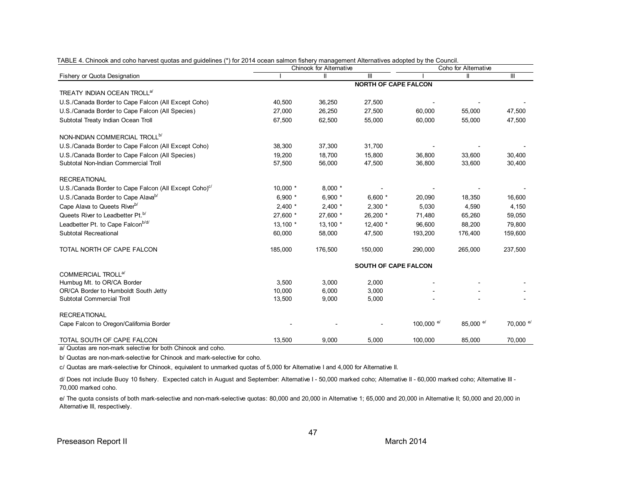| $\overline{I}$ and $\overline{I}$ . Online the contract the second called galaximes ( ) for $\overline{I}$ and $\overline{I}$ colliner instruction instruction $\overline{I}$ are instructed as a copied by | Chinook for Alternative     | Coho for Alternative |                             |               |           |                        |  |  |  |  |  |  |
|-------------------------------------------------------------------------------------------------------------------------------------------------------------------------------------------------------------|-----------------------------|----------------------|-----------------------------|---------------|-----------|------------------------|--|--|--|--|--|--|
| Fishery or Quota Designation                                                                                                                                                                                |                             | Ш                    | Ш                           |               | Ш         | Ш                      |  |  |  |  |  |  |
|                                                                                                                                                                                                             | <b>NORTH OF CAPE FALCON</b> |                      |                             |               |           |                        |  |  |  |  |  |  |
| TREATY INDIAN OCEAN TROLL <sup>a/</sup>                                                                                                                                                                     |                             |                      |                             |               |           |                        |  |  |  |  |  |  |
| U.S./Canada Border to Cape Falcon (All Except Coho)                                                                                                                                                         | 40,500                      | 36,250               | 27,500                      |               |           |                        |  |  |  |  |  |  |
| U.S./Canada Border to Cape Falcon (All Species)                                                                                                                                                             | 27,000                      | 26,250               | 27,500                      | 60,000        | 55,000    | 47,500                 |  |  |  |  |  |  |
| Subtotal Treaty Indian Ocean Troll                                                                                                                                                                          | 67,500                      | 62,500               | 55,000                      | 60,000        | 55.000    | 47,500                 |  |  |  |  |  |  |
| NON-INDIAN COMMERCIAL TROLL <sup>b/</sup>                                                                                                                                                                   |                             |                      |                             |               |           |                        |  |  |  |  |  |  |
| U.S./Canada Border to Cape Falcon (All Except Coho)                                                                                                                                                         | 38,300                      | 37,300               | 31,700                      |               |           |                        |  |  |  |  |  |  |
| U.S./Canada Border to Cape Falcon (All Species)                                                                                                                                                             | 19,200                      | 18,700               | 15,800                      | 36,800        | 33,600    | 30,400                 |  |  |  |  |  |  |
| Subtotal Non-Indian Commercial Troll                                                                                                                                                                        | 57,500                      | 56,000               | 47,500                      | 36,800        | 33,600    | 30,400                 |  |  |  |  |  |  |
| <b>RECREATIONAL</b>                                                                                                                                                                                         |                             |                      |                             |               |           |                        |  |  |  |  |  |  |
| U.S./Canada Border to Cape Falcon (All Except Coho) <sup>c/</sup>                                                                                                                                           | $10.000*$                   | $8,000*$             |                             |               |           |                        |  |  |  |  |  |  |
| U.S./Canada Border to Cape Alava <sup>b/</sup>                                                                                                                                                              | 6.900 $*$                   | 6.900 $*$            | 6.600 $*$                   | 20,090        | 18,350    | 16,600                 |  |  |  |  |  |  |
| Cape Alava to Queets Riverb/                                                                                                                                                                                | $2,400*$                    | $2,400 *$            | $2,300*$                    | 5,030         | 4,590     | 4,150                  |  |  |  |  |  |  |
| Queets River to Leadbetter Pt. <sup>b/</sup>                                                                                                                                                                | 27,600 *                    | 27,600 *             | 26,200 *                    | 71,480        | 65,260    | 59,050                 |  |  |  |  |  |  |
| Leadbetter Pt. to Cape Falconb/d/                                                                                                                                                                           | 13,100 *                    | 13,100 *             | 12,400 *                    | 96,600        | 88,200    | 79,800                 |  |  |  |  |  |  |
| Subtotal Recreational                                                                                                                                                                                       | 60,000                      | 58,000               | 47,500                      | 193,200       | 176,400   | 159,600                |  |  |  |  |  |  |
| TOTAL NORTH OF CAPE FALCON                                                                                                                                                                                  | 185,000                     | 176,500              | 150,000                     | 290,000       | 265,000   | 237,500                |  |  |  |  |  |  |
|                                                                                                                                                                                                             |                             |                      | <b>SOUTH OF CAPE FALCON</b> |               |           |                        |  |  |  |  |  |  |
| COMMERCIAL TROLL <sup>a/</sup>                                                                                                                                                                              |                             |                      |                             |               |           |                        |  |  |  |  |  |  |
| Humbug Mt. to OR/CA Border                                                                                                                                                                                  | 3,500                       | 3,000                | 2,000                       |               |           |                        |  |  |  |  |  |  |
| OR/CA Border to Humboldt South Jetty                                                                                                                                                                        | 10,000                      | 6,000                | 3,000                       |               |           |                        |  |  |  |  |  |  |
| Subtotal Commercial Troll                                                                                                                                                                                   | 13,500                      | 9,000                | 5,000                       |               |           |                        |  |  |  |  |  |  |
| <b>RECREATIONAL</b>                                                                                                                                                                                         |                             |                      |                             |               |           |                        |  |  |  |  |  |  |
| Cape Falcon to Oregon/California Border                                                                                                                                                                     |                             |                      |                             | 100,000 $e$ / | 85,000 e/ | $70,000$ <sup>e/</sup> |  |  |  |  |  |  |
| TOTAL SOUTH OF CAPE FALCON                                                                                                                                                                                  | 13,500                      | 9,000                | 5,000                       | 100,000       | 85,000    | 70,000                 |  |  |  |  |  |  |

TABLE 4. Chinook and coho harvest quotas and guidelines (\*) for 2014 ocean salmon fishery management Alternatives adopted by the Council.

a/ Quotas are non-mark selective for both Chinook and coho.

b/ Quotas are non-mark-selective for Chinook and mark-selective for coho.

c/ Quotas are mark-selective for Chinook, equivalent to unmarked quotas of 5,000 for Alternative I and 4,000 for Alternative II.

d/ Does not include Buoy 10 fishery. Expected catch in August and September: Alternative I - 50,000 marked coho; Alternative II - 60,000 marked coho; Alternative III -70,000 marked coho.

e/ The quota consists of both mark-selective and non-mark-selective quotas: 80,000 and 20,000 in Alternative 1; 65,000 and 20,000 in Alternative II; 50,000 and 20,000 in Alternative III, respectively.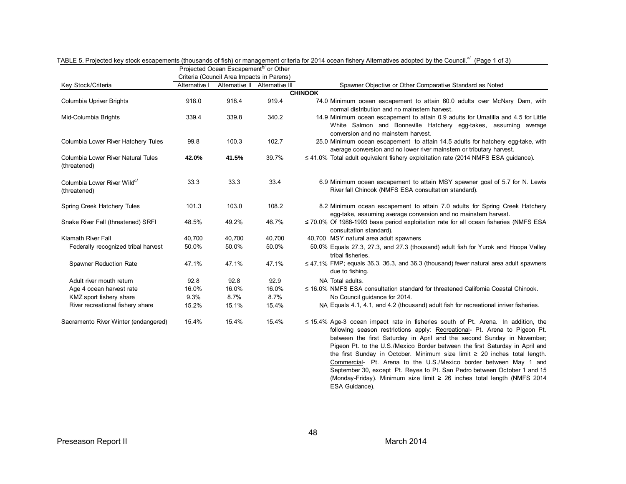|                                                         |               | Projected Ocean Escapement <sup>b/</sup> or Other |                                |                                                                                                                                                                                                                                                                                                                                                                                                                                                                                  |
|---------------------------------------------------------|---------------|---------------------------------------------------|--------------------------------|----------------------------------------------------------------------------------------------------------------------------------------------------------------------------------------------------------------------------------------------------------------------------------------------------------------------------------------------------------------------------------------------------------------------------------------------------------------------------------|
|                                                         |               | Criteria (Council Area Impacts in Parens)         |                                |                                                                                                                                                                                                                                                                                                                                                                                                                                                                                  |
| Key Stock/Criteria                                      | Alternative I |                                                   | Alternative II Alternative III | Spawner Objective or Other Comparative Standard as Noted                                                                                                                                                                                                                                                                                                                                                                                                                         |
|                                                         |               |                                                   |                                | <b>CHINOOK</b>                                                                                                                                                                                                                                                                                                                                                                                                                                                                   |
| <b>Columbia Upriver Brights</b>                         | 918.0         | 918.4                                             | 919.4                          | 74.0 Minimum ocean escapement to attain 60.0 adults over McNary Dam, with<br>normal distribution and no mainstem harvest.                                                                                                                                                                                                                                                                                                                                                        |
| Mid-Columbia Brights                                    | 339.4         | 339.8                                             | 340.2                          | 14.9 Minimum ocean escapement to attain 0.9 adults for Umatilla and 4.5 for Little<br>White Salmon and Bonneville Hatchery egg-takes, assuming average<br>conversion and no mainstem harvest.                                                                                                                                                                                                                                                                                    |
| Columbia Lower River Hatchery Tules                     | 99.8          | 100.3                                             | 102.7                          | 25.0 Minimum ocean escapement to attain 14.5 adults for hatchery egg-take, with<br>average conversion and no lower river mainstem or tributary harvest.                                                                                                                                                                                                                                                                                                                          |
| Columbia Lower River Natural Tules<br>(threatened)      | 42.0%         | 41.5%                                             | 39.7%                          | $\leq$ 41.0% Total adult equivalent fishery exploitation rate (2014 NMFS ESA guidance).                                                                                                                                                                                                                                                                                                                                                                                          |
| Columbia Lower River Wild <sup>c/</sup><br>(threatened) | 33.3          | 33.3                                              | 33.4                           | 6.9 Minimum ocean escapement to attain MSY spawner goal of 5.7 for N. Lewis<br>River fall Chinook (NMFS ESA consultation standard).                                                                                                                                                                                                                                                                                                                                              |
| Spring Creek Hatchery Tules                             | 101.3         | 103.0                                             | 108.2                          | 8.2 Minimum ocean escapement to attain 7.0 adults for Spring Creek Hatchery<br>egg-take, assuming average conversion and no mainstem harvest.                                                                                                                                                                                                                                                                                                                                    |
| Snake River Fall (threatened) SRFI                      | 48.5%         | 49.2%                                             | 46.7%                          | $\leq$ 70.0% Of 1988-1993 base period exploitation rate for all ocean fisheries (NMFS ESA<br>consultation standard).                                                                                                                                                                                                                                                                                                                                                             |
| <b>Klamath River Fall</b>                               | 40,700        | 40,700                                            | 40,700                         | 40,700 MSY natural area adult spawners                                                                                                                                                                                                                                                                                                                                                                                                                                           |
| Federally recognized tribal harvest                     | 50.0%         | 50.0%                                             | 50.0%                          | 50.0% Equals 27.3, 27.3, and 27.3 (thousand) adult fish for Yurok and Hoopa Valley<br>tribal fisheries.                                                                                                                                                                                                                                                                                                                                                                          |
| <b>Spawner Reduction Rate</b>                           | 47.1%         | 47.1%                                             | 47.1%                          | $\leq$ 47.1% FMP; equals 36.3, 36.3, and 36.3 (thousand) fewer natural area adult spawners<br>due to fishing.                                                                                                                                                                                                                                                                                                                                                                    |
| Adult river mouth return                                | 92.8          | 92.8                                              | 92.9                           | NA Total adults.                                                                                                                                                                                                                                                                                                                                                                                                                                                                 |
| Age 4 ocean harvest rate                                | 16.0%         | 16.0%                                             | 16.0%                          | $\leq$ 16.0% NMFS ESA consultation standard for threatened California Coastal Chinook.                                                                                                                                                                                                                                                                                                                                                                                           |
| KMZ sport fishery share                                 | 9.3%          | 8.7%                                              | 8.7%                           | No Council quidance for 2014.                                                                                                                                                                                                                                                                                                                                                                                                                                                    |
| River recreational fishery share                        | 15.2%         | 15.1%                                             | 15.4%                          | NA Equals 4.1, 4.1, and 4.2 (thousand) adult fish for recreational inriver fisheries.                                                                                                                                                                                                                                                                                                                                                                                            |
| Sacramento River Winter (endangered)                    | 15.4%         | 15.4%                                             | 15.4%                          | $\leq$ 15.4% Age-3 ocean impact rate in fisheries south of Pt. Arena. In addition, the<br>following season restrictions apply: Recreational- Pt. Arena to Pigeon Pt.<br>between the first Saturday in April and the second Sunday in November;<br>Pigeon Pt. to the U.S./Mexico Border between the first Saturday in April and<br>the first Sunday in October. Minimum size limit ≥ 20 inches total length.<br>Commercial- Pt. Arena to the U.S./Mexico border between May 1 and |

## TABLE 5. Projected key stock escapements (thousands of fish) or management criteria for 2014 ocean fishery Alternatives adopted by the Council.<sup>a'</sup> (Page 1 of 3)

ESA Guidance).

September 30, except Pt. Reyes to Pt. San Pedro between October 1 and 15 (Monday-Friday). Minimum size limit <sup>≥</sup> 26 inches total length (NMFS 2014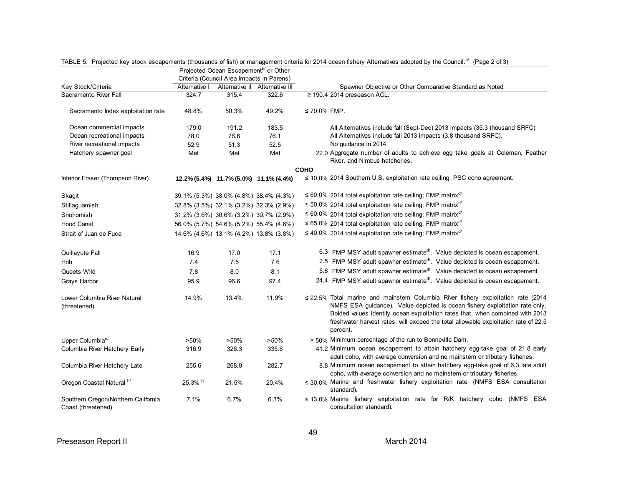|                                                           |               | Projected Ocean Escapement <sup>b/</sup> or Other |                                        |                                                                                                                                                                                                                                                                                                                                                          |  |  |  |  |  |
|-----------------------------------------------------------|---------------|---------------------------------------------------|----------------------------------------|----------------------------------------------------------------------------------------------------------------------------------------------------------------------------------------------------------------------------------------------------------------------------------------------------------------------------------------------------------|--|--|--|--|--|
|                                                           |               | Criteria (Council Area Impacts in Parens)         |                                        |                                                                                                                                                                                                                                                                                                                                                          |  |  |  |  |  |
| Key Stock/Criteria                                        | Alternative I |                                                   | Alternative II Alternative III         | Spawner Objective or Other Comparative Standard as Noted                                                                                                                                                                                                                                                                                                 |  |  |  |  |  |
| Sacramento River Fall                                     | 324.7         | 315.4                                             | 322.6                                  | $\geq$ 190.4 2014 preseason ACL.                                                                                                                                                                                                                                                                                                                         |  |  |  |  |  |
| Sacramento Index exploitation rate                        | 48.8%         | 50.3%                                             | 49.2%                                  | ≤ 70.0% FMP.                                                                                                                                                                                                                                                                                                                                             |  |  |  |  |  |
| Ocean commercial impacts                                  | 179.0         | 191.2                                             | 183.5                                  | All Alternatives include fall (Sept-Dec) 2013 impacts (35.3 thousand SRFC).                                                                                                                                                                                                                                                                              |  |  |  |  |  |
| Ocean recreational impacts                                | 78.0          | 76.6                                              | 76.1                                   | All Alternatives include fall 2013 impacts (3.8 thousand SRFC).                                                                                                                                                                                                                                                                                          |  |  |  |  |  |
| River recreational impacts                                | 52.9          | 51.3                                              | 52.5                                   | No quidance in 2014.                                                                                                                                                                                                                                                                                                                                     |  |  |  |  |  |
| Hatchery spawner goal                                     | Met           | Met                                               | Met                                    | 22.0 Aggregate number of adults to achieve egg take goals at Coleman, Feather<br>River, and Nimbus hatcheries.                                                                                                                                                                                                                                           |  |  |  |  |  |
|                                                           |               |                                                   |                                        | <b>COHO</b>                                                                                                                                                                                                                                                                                                                                              |  |  |  |  |  |
| Interior Fraser (Thompson River)                          |               | 12.2% (5.4%) 11.7% (5.0%) 11.1% (4.4%)            |                                        | $\leq$ 10.0% 2014 Southern U.S. exploitation rate ceiling; PSC coho agreement.                                                                                                                                                                                                                                                                           |  |  |  |  |  |
| Skagit                                                    |               |                                                   | 39.1% (5.3%) 38.0% (4.8%) 38.4% (4.3%) | $\leq$ 60.0% 2014 total exploitation rate ceiling; FMP matrix <sup>d/</sup>                                                                                                                                                                                                                                                                              |  |  |  |  |  |
| Stillaguamish                                             |               |                                                   | 32.8% (3.5%) 32.1% (3.2%) 32.3% (2.9%) | $\leq$ 50.0% 2014 total exploitation rate ceiling; FMP matrix <sup>d/</sup>                                                                                                                                                                                                                                                                              |  |  |  |  |  |
| Snohomish                                                 |               |                                                   | 31.2% (3.6%) 30.6% (3.2%) 30.7% (2.9%) | $\leq$ 60.0% 2014 total exploitation rate ceiling; FMP matrix <sup>d/</sup>                                                                                                                                                                                                                                                                              |  |  |  |  |  |
| <b>Hood Canal</b>                                         |               |                                                   | 56.0% (5.7%) 54.6% (5.2%) 55.4% (4.6%) | $\leq$ 65.0% 2014 total exploitation rate ceiling; FMP matrix <sup>d/</sup>                                                                                                                                                                                                                                                                              |  |  |  |  |  |
| Strait of Juan de Fuca                                    |               |                                                   | 14.6% (4.6%) 13.1% (4.2%) 13.8% (3.8%) | $\leq$ 40.0% 2014 total exploitation rate ceiling; FMP matrix <sup>d/</sup>                                                                                                                                                                                                                                                                              |  |  |  |  |  |
| Quillayute Fall                                           | 16.9          | 17.0                                              | 17.1                                   | 6.3 FMP MSY adult spawner estimate <sup>d</sup> . Value depicted is ocean escapement.                                                                                                                                                                                                                                                                    |  |  |  |  |  |
| Hoh.                                                      | 7.4           | 7.5                                               | 7.6                                    | 2.5 FMP MSY adult spawner estimate <sup>d</sup> . Value depicted is ocean escapement.                                                                                                                                                                                                                                                                    |  |  |  |  |  |
| Queets Wild                                               | 7.8           | 8.0                                               | 8.1                                    | 5.8 FMP MSY adult spawner estimated. Value depicted is ocean escapement.                                                                                                                                                                                                                                                                                 |  |  |  |  |  |
| Grays Harbor                                              | 95.9          | 96.6                                              | 97.4                                   | 24.4 FMP MSY adult spawner estimate <sup>d</sup> . Value depicted is ocean escapement.                                                                                                                                                                                                                                                                   |  |  |  |  |  |
| Lower Columbia River Natural<br>(threatened)              | 14.9%         | 13.4%                                             | 11.9%                                  | $\leq$ 22.5% Total marine and mainstem Columbia River fishery exploitation rate (2014<br>NMFS ESA guidance). Value depicted is ocean fishery exploitation rate only.<br>Bolded values identify ocean exploitation rates that, when combined with 2013<br>freshwater harvest rates, will exceed the total allowable exploitation rate of 22.5<br>percent. |  |  |  |  |  |
| Upper Columbia <sup>e/</sup>                              | $>50\%$       | $>50\%$                                           | $>50\%$                                | $\geq$ 50% Minimum percentage of the run to Bonneville Dam.                                                                                                                                                                                                                                                                                              |  |  |  |  |  |
| Columbia River Hatchery Early                             | 316.9         | 326.3                                             | 335.6                                  | 41.2 Minimum ocean escapement to attain hatchery egg-take goal of 21.8 early<br>adult coho, with average conversion and no mainstem or tributary fisheries.                                                                                                                                                                                              |  |  |  |  |  |
| Columbia River Hatchery Late                              | 255.6         | 268.9                                             | 282.7                                  | 8.8 Minimum ocean escapement to attain hatchery egg-take goal of 6.3 late adult<br>coho, with average conversion and no mainstem or tributary fisheries.                                                                                                                                                                                                 |  |  |  |  |  |
| Oregon Coastal Natural b/                                 | 25.3% f/      | 21.5%                                             | 20.4%                                  | $\leq$ 30.0% Marine and freshwater fishery exploitation rate (NMFS ESA consultation<br>standard).                                                                                                                                                                                                                                                        |  |  |  |  |  |
| Southern Oregon/Northern California<br>Coast (threatened) | 7.1%          | 6.7%                                              | 6.3%                                   | $\leq$ 13.0% Marine fishery exploitation rate for R/K hatchery coho (NMFS ESA<br>consultation standard).                                                                                                                                                                                                                                                 |  |  |  |  |  |

TABLE 5. Projected key stock escapements (thousands of fish) or management criteria for 2014 ocean fishery Alternatives adopted by the Council.<sup>a/</sup> (Page 2 of 3)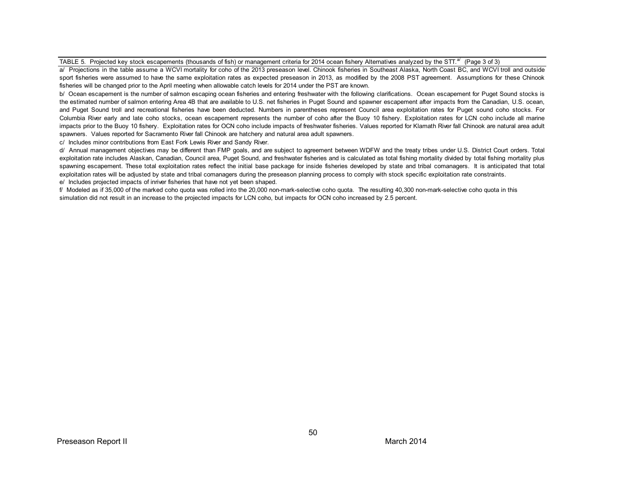### TABLE 5. Projected key stock escapements (thousands of fish) or management criteria for 2014 ocean fishery Alternatives analyzed by the STT.<sup>a/</sup> (Page 3 of 3)

a/ Projections in the table assume a WCVI mortality for coho of the 2013 preseason level. Chinook fisheries in Southeast Alaska, North Coast BC, and WCVI troll and outside sport fisheries were assumed to have the same exploitation rates as expected preseason in 2013, as modified by the 2008 PST agreement. Assumptions for these Chinook fisheries will be changed prior to the April meeting when allowable catch levels for 2014 under the PST are known.

b/ Ocean escapement is the number of salmon escaping ocean fisheries and entering freshwater with the following clarifications. Ocean escapement for Puget Sound stocks is the estimated number of salmon entering Area 4B that are available to U.S. net fisheries in Puget Sound and spawner escapement after impacts from the Canadian, U.S. ocean, and Puget Sound troll and recreational fisheries have been deducted. Numbers in parentheses represent Council area exploitation rates for Puget sound coho stocks. For Columbia River early and late coho stocks, ocean escapement represents the number of coho after the Buoy 10 fishery. Exploitation rates for LCN coho include all marine impacts prior to the Buoy 10 fishery. Exploitation rates for OCN coho include impacts of freshwater fisheries. Values reported for Klamath River fall Chinook are natural area adult spawners. Values reported for Sacramento River fall Chinook are hatchery and natural area adult spawners.

c/ Includes minor contributions from East Fork Lewis River and Sandy River.

e/ Includes projected impacts of inriver fisheries that have not yet been shaped. d/ Annual management objectives may be different than FMP goals, and are subject to agreement between WDFW and the treaty tribes under U.S. District Court orders. Total exploitation rate includes Alaskan, Canadian, Council area, Puget Sound, and freshwater fisheries and is calculated as total fishing mortality divided by total fishing mortality plus spawning escapement. These total exploitation rates reflect the initial base package for inside fisheries developed by state and tribal comanagers. It is anticipated that total exploitation rates will be adjusted by state and tribal comanagers during the preseason planning process to comply with stock specific exploitation rate constraints.

50

f/ Modeled as if 35,000 of the marked coho quota was rolled into the 20,000 non-mark-selective coho quota. The resulting 40,300 non-mark-selective coho quota in this simulation did not result in an increase to the projected impacts for LCN coho, but impacts for OCN coho increased by 2.5 percent.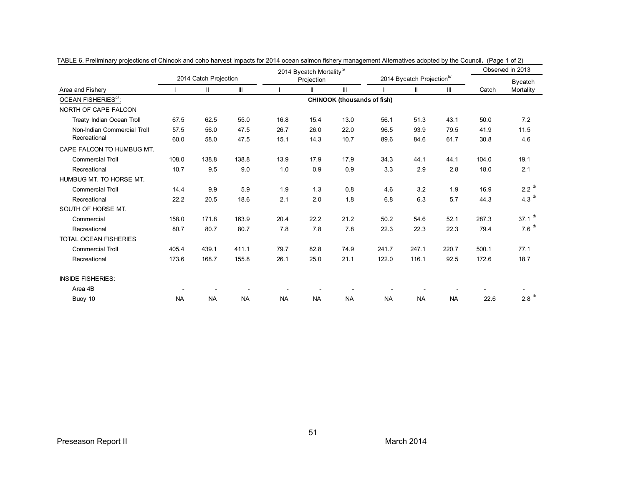|                                 |           |                       |           |           | 2014 Bycatch Mortality <sup>a/</sup> |                                    |           |                                       |           |       | Observed in 2013            |
|---------------------------------|-----------|-----------------------|-----------|-----------|--------------------------------------|------------------------------------|-----------|---------------------------------------|-----------|-------|-----------------------------|
|                                 |           | 2014 Catch Projection |           |           | Projection                           |                                    |           | 2014 Bycatch Projection <sup>b/</sup> |           | Catch | <b>Bycatch</b><br>Mortality |
| Area and Fishery                |           | Ш                     | III       |           | Ш                                    | Ш                                  |           | Ш                                     | III       |       |                             |
| OCEAN FISHERIES <sup>c/</sup> : |           |                       |           |           |                                      | <b>CHINOOK (thousands of fish)</b> |           |                                       |           |       |                             |
| NORTH OF CAPE FALCON            |           |                       |           |           |                                      |                                    |           |                                       |           |       |                             |
| Treaty Indian Ocean Troll       | 67.5      | 62.5                  | 55.0      | 16.8      | 15.4                                 | 13.0                               | 56.1      | 51.3                                  | 43.1      | 50.0  | 7.2                         |
| Non-Indian Commercial Troll     | 57.5      | 56.0                  | 47.5      | 26.7      | 26.0                                 | 22.0                               | 96.5      | 93.9                                  | 79.5      | 41.9  | 11.5                        |
| Recreational                    | 60.0      | 58.0                  | 47.5      | 15.1      | 14.3                                 | 10.7                               | 89.6      | 84.6                                  | 61.7      | 30.8  | 4.6                         |
| CAPE FALCON TO HUMBUG MT.       |           |                       |           |           |                                      |                                    |           |                                       |           |       |                             |
| <b>Commercial Troll</b>         | 108.0     | 138.8                 | 138.8     | 13.9      | 17.9                                 | 17.9                               | 34.3      | 44.1                                  | 44.1      | 104.0 | 19.1                        |
| Recreational                    | 10.7      | 9.5                   | 9.0       | 1.0       | 0.9                                  | 0.9                                | 3.3       | 2.9                                   | 2.8       | 18.0  | 2.1                         |
| HUMBUG MT. TO HORSE MT.         |           |                       |           |           |                                      |                                    |           |                                       |           |       |                             |
| <b>Commercial Troll</b>         | 14.4      | 9.9                   | 5.9       | 1.9       | 1.3                                  | 0.8                                | 4.6       | 3.2                                   | 1.9       | 16.9  | $2.2$ d/                    |
| Recreational                    | 22.2      | 20.5                  | 18.6      | 2.1       | 2.0                                  | 1.8                                | 6.8       | 6.3                                   | 5.7       | 44.3  | 4.3 $d/$                    |
| SOUTH OF HORSE MT.              |           |                       |           |           |                                      |                                    |           |                                       |           |       |                             |
| Commercial                      | 158.0     | 171.8                 | 163.9     | 20.4      | 22.2                                 | 21.2                               | 50.2      | 54.6                                  | 52.1      | 287.3 | 37.1 $d/$                   |
| Recreational                    | 80.7      | 80.7                  | 80.7      | 7.8       | 7.8                                  | 7.8                                | 22.3      | 22.3                                  | 22.3      | 79.4  | 7.6 $d/$                    |
| <b>TOTAL OCEAN FISHERIES</b>    |           |                       |           |           |                                      |                                    |           |                                       |           |       |                             |
| <b>Commercial Troll</b>         | 405.4     | 439.1                 | 411.1     | 79.7      | 82.8                                 | 74.9                               | 241.7     | 247.1                                 | 220.7     | 500.1 | 77.1                        |
| Recreational                    | 173.6     | 168.7                 | 155.8     | 26.1      | 25.0                                 | 21.1                               | 122.0     | 116.1                                 | 92.5      | 172.6 | 18.7                        |
| <b>INSIDE FISHERIES:</b>        |           |                       |           |           |                                      |                                    |           |                                       |           |       |                             |
| Area 4B                         |           |                       |           |           |                                      |                                    |           |                                       |           |       |                             |
| Buoy 10                         | <b>NA</b> | <b>NA</b>             | <b>NA</b> | <b>NA</b> | <b>NA</b>                            | <b>NA</b>                          | <b>NA</b> | <b>NA</b>                             | <b>NA</b> | 22.6  | $2.8$ d/                    |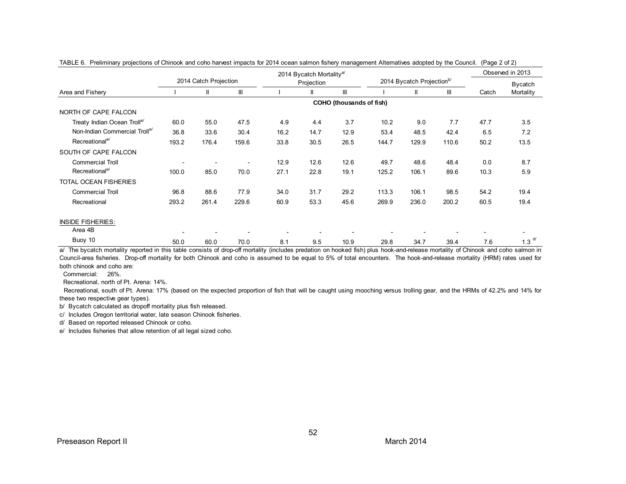|                                           |                       |       |       |            | 2014 Bycatch Mortality <sup>a/</sup> |                          |                                       |       |       |       | Observed in 2013  |
|-------------------------------------------|-----------------------|-------|-------|------------|--------------------------------------|--------------------------|---------------------------------------|-------|-------|-------|-------------------|
|                                           | 2014 Catch Projection |       |       | Projection |                                      |                          | 2014 Bycatch Projection <sup>b/</sup> |       |       |       | Bycatch           |
| Area and Fishery                          |                       |       | Ш     |            | Ш                                    | Ш                        |                                       |       | III   | Catch | Mortality         |
|                                           |                       |       |       |            |                                      | COHO (thousands of fish) |                                       |       |       |       |                   |
| NORTH OF CAPE FALCON                      |                       |       |       |            |                                      |                          |                                       |       |       |       |                   |
| Treaty Indian Ocean Trolle/               | 60.0                  | 55.0  | 47.5  | 4.9        | 4.4                                  | 3.7                      | 10.2                                  | 9.0   | 7.7   | 47.7  | 3.5               |
| Non-Indian Commercial Troll <sup>e/</sup> | 36.8                  | 33.6  | 30.4  | 16.2       | 14.7                                 | 12.9                     | 53.4                                  | 48.5  | 42.4  | 6.5   | 7.2               |
| Recreational <sup>e/</sup>                | 193.2                 | 176.4 | 159.6 | 33.8       | 30.5                                 | 26.5                     | 144.7                                 | 129.9 | 110.6 | 50.2  | 13.5              |
| SOUTH OF CAPE FALCON                      |                       |       |       |            |                                      |                          |                                       |       |       |       |                   |
| <b>Commercial Troll</b>                   |                       |       |       | 12.9       | 12.6                                 | 12.6                     | 49.7                                  | 48.6  | 48.4  | 0.0   | 8.7               |
| Recreational <sup>e/</sup>                | 100.0                 | 85.0  | 70.0  | 27.1       | 22.8                                 | 19.1                     | 125.2                                 | 106.1 | 89.6  | 10.3  | 5.9               |
| <b>TOTAL OCEAN FISHERIES</b>              |                       |       |       |            |                                      |                          |                                       |       |       |       |                   |
| <b>Commercial Troll</b>                   | 96.8                  | 88.6  | 77.9  | 34.0       | 31.7                                 | 29.2                     | 113.3                                 | 106.1 | 98.5  | 54.2  | 19.4              |
| Recreational                              | 293.2                 | 261.4 | 229.6 | 60.9       | 53.3                                 | 45.6                     | 269.9                                 | 236.0 | 200.2 | 60.5  | 19.4              |
| <b>INSIDE FISHERIES:</b>                  |                       |       |       |            |                                      |                          |                                       |       |       |       |                   |
| Area 4B                                   |                       |       |       |            |                                      |                          |                                       |       |       |       |                   |
| Buoy 10                                   | 50.0                  | 60.0  | 70.0  | 8.1        | 9.5                                  | 10.9                     | 29.8                                  | 34.7  | 39.4  | 7.6   | 1.3 <sup>d/</sup> |

|  |  | TABLE 6. Preliminary projections of Chinook and coho harvest impacts for 2014 ocean salmon fishery management Alternatives adopted by the Council. (Page 2 of 2) |  |  |
|--|--|------------------------------------------------------------------------------------------------------------------------------------------------------------------|--|--|
|  |  |                                                                                                                                                                  |  |  |

a/ The bycatch mortality reported in this table consists of drop-off mortality (includes predation on hooked fish) plus hook-and-release mortality of Chinook and coho salmon in Council-area fisheries. Drop-off mortality for both Chinook and coho is assumed to be equal to 5% of total encounters. The hook-and-release mortality (HRM) rates used for both chinook and coho are:

Commercial: 26%.

Recreational, north of Pt. Arena: 14%.

Recreational, south of Pt. Arena: 17% (based on the expected proportion of fish that will be caught using mooching versus trolling gear, and the HRMs of 42.2% and 14% for these two respective gear types).

52

b/ Bycatch calculated as dropoff mortality plus fish released.

c/ Includes Oregon territorial water, late season Chinook fisheries.

d/ Based on reported released Chinook or coho.

e/ Includes fisheries that allow retention of all legal sized coho.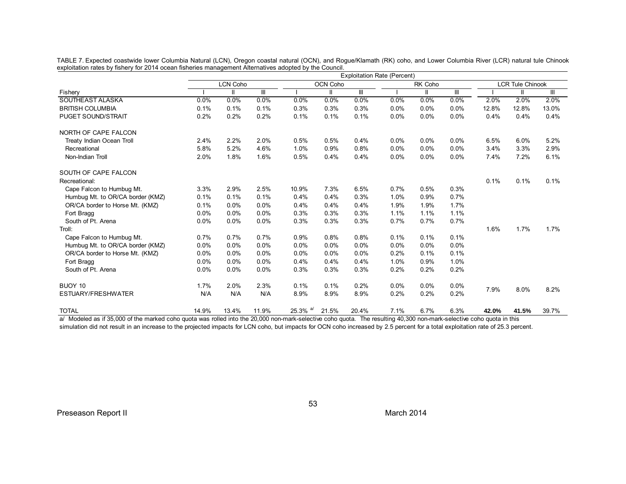| <b>Exploitation Rate (Percent)</b> |       |         |             |       |       |          |         |      |       |       |                                 |
|------------------------------------|-------|---------|-------------|-------|-------|----------|---------|------|-------|-------|---------------------------------|
|                                    |       |         |             |       |       |          | RK Coho |      |       |       |                                 |
|                                    | Ш     | Ш       |             | Ш     | III   |          |         | Ш    |       |       | III                             |
| 0.0%                               | 0.0%  | 0.0%    | 0.0%        | 0.0%  | 0.0%  | 0.0%     | 0.0%    | 0.0% | 2.0%  | 2.0%  | 2.0%                            |
| 0.1%                               | 0.1%  | 0.1%    | 0.3%        | 0.3%  | 0.3%  | 0.0%     | 0.0%    | 0.0% | 12.8% | 12.8% | 13.0%                           |
| 0.2%                               | 0.2%  | 0.2%    | 0.1%        | 0.1%  | 0.1%  | 0.0%     | 0.0%    | 0.0% | 0.4%  | 0.4%  | 0.4%                            |
|                                    |       |         |             |       |       |          |         |      |       |       |                                 |
| 2.4%                               | 2.2%  | 2.0%    | 0.5%        | 0.5%  | 0.4%  | 0.0%     | 0.0%    | 0.0% | 6.5%  | 6.0%  | 5.2%                            |
| 5.8%                               | 5.2%  | 4.6%    | 1.0%        | 0.9%  | 0.8%  | 0.0%     | 0.0%    | 0.0% | 3.4%  | 3.3%  | 2.9%                            |
| 2.0%                               | 1.8%  | 1.6%    | 0.5%        | 0.4%  | 0.4%  | 0.0%     | 0.0%    | 0.0% | 7.4%  | 7.2%  | 6.1%                            |
|                                    |       |         |             |       |       |          |         |      |       |       |                                 |
|                                    |       |         |             |       |       |          |         |      | 0.1%  | 0.1%  | 0.1%                            |
| 3.3%                               | 2.9%  | 2.5%    | 10.9%       | 7.3%  | 6.5%  | 0.7%     | 0.5%    | 0.3% |       |       |                                 |
| 0.1%                               | 0.1%  | 0.1%    | 0.4%        | 0.4%  | 0.3%  | 1.0%     | 0.9%    | 0.7% |       |       |                                 |
| 0.1%                               | 0.0%  | 0.0%    | 0.4%        | 0.4%  | 0.4%  | 1.9%     | 1.9%    | 1.7% |       |       |                                 |
| 0.0%                               | 0.0%  | 0.0%    | 0.3%        | 0.3%  | 0.3%  | 1.1%     | 1.1%    | 1.1% |       |       |                                 |
| 0.0%                               | 0.0%  | 0.0%    | 0.3%        | 0.3%  | 0.3%  | 0.7%     | 0.7%    | 0.7% |       |       |                                 |
|                                    |       |         |             |       |       |          |         |      | 1.6%  | 1.7%  | 1.7%                            |
| 0.7%                               | 0.7%  | 0.7%    | 0.9%        | 0.8%  | 0.8%  | 0.1%     | 0.1%    | 0.1% |       |       |                                 |
| 0.0%                               | 0.0%  | 0.0%    | 0.0%        | 0.0%  | 0.0%  | 0.0%     | 0.0%    | 0.0% |       |       |                                 |
| 0.0%                               | 0.0%  | 0.0%    | 0.0%        | 0.0%  | 0.0%  | 0.2%     | 0.1%    | 0.1% |       |       |                                 |
| 0.0%                               | 0.0%  | 0.0%    | 0.4%        | 0.4%  | 0.4%  | 1.0%     | 0.9%    | 1.0% |       |       |                                 |
| 0.0%                               | 0.0%  | $0.0\%$ | 0.3%        | 0.3%  | 0.3%  | 0.2%     | 0.2%    | 0.2% |       |       |                                 |
| 1.7%                               | 2.0%  | 2.3%    | 0.1%        | 0.1%  | 0.2%  | 0.0%     | 0.0%    | 0.0% |       |       |                                 |
| N/A                                | N/A   | N/A     | 8.9%        | 8.9%  | 8.9%  | 0.2%     | 0.2%    | 0.2% |       |       | 8.2%                            |
| 14.9%                              | 13.4% | 11.9%   | $25.3\%$ a/ | 21.5% | 20.4% | 7.1%     | 6.7%    | 6.3% | 42.0% | 41.5% | 39.7%                           |
|                                    |       |         | LCN Coho    |       |       | OCN Coho |         |      |       | 7.9%  | <b>LCR Tule Chinook</b><br>8.0% |

TABLE 7. Expected coastwide lower Columbia Natural (LCN), Oregon coastal natural (OCN), and Rogue/Klamath (RK) coho, and Lower Columbia River (LCR) natural tule Chinook exploitation rates by fishery for 2014 ocean fisheries management Alternatives adopted by the Council.

a/ Modeled as if 35,000 of the marked coho quota was rolled into the 20,000 non-mark-selective coho quota. The resulting 40,300 non-mark-selective coho quota in this simulation did not result in an increase to the projected impacts for LCN coho, but impacts for OCN coho increased by 2.5 percent for a total exploitation rate of 25.3 percent.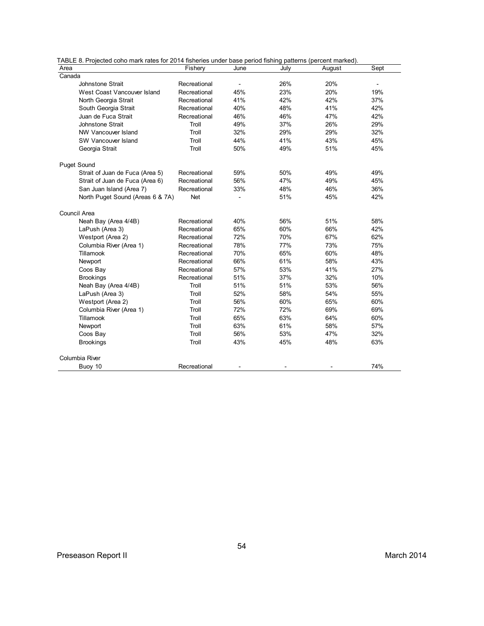| TABLE 8. Projected cono mark rates for 2014 fisheries under base period fishing patterns (percent marked).<br>Area | Fishery      | June | July | August | Sept |
|--------------------------------------------------------------------------------------------------------------------|--------------|------|------|--------|------|
| $\overline{C}$ anada                                                                                               |              |      |      |        |      |
| Johnstone Strait                                                                                                   | Recreational |      | 26%  | 20%    |      |
| West Coast Vancouver Island                                                                                        | Recreational | 45%  | 23%  | 20%    | 19%  |
| North Georgia Strait                                                                                               | Recreational | 41%  | 42%  | 42%    | 37%  |
| South Georgia Strait                                                                                               | Recreational | 40%  | 48%  | 41%    | 42%  |
| Juan de Fuca Strait                                                                                                | Recreational | 46%  | 46%  | 47%    | 42%  |
| Johnstone Strait                                                                                                   | Troll        | 49%  | 37%  | 26%    | 29%  |
| NW Vancouver Island                                                                                                | Troll        | 32%  | 29%  | 29%    | 32%  |
| SW Vancouver Island                                                                                                | Troll        | 44%  | 41%  | 43%    | 45%  |
| Georgia Strait                                                                                                     | Troll        | 50%  | 49%  | 51%    | 45%  |
| <b>Puget Sound</b>                                                                                                 |              |      |      |        |      |
| Strait of Juan de Fuca (Area 5)                                                                                    | Recreational | 59%  | 50%  | 49%    | 49%  |
| Strait of Juan de Fuca (Area 6)                                                                                    | Recreational | 56%  | 47%  | 49%    | 45%  |
| San Juan Island (Area 7)                                                                                           | Recreational | 33%  | 48%  | 46%    | 36%  |
| North Puget Sound (Areas 6 & 7A)                                                                                   | <b>Net</b>   |      | 51%  | 45%    | 42%  |
| Council Area                                                                                                       |              |      |      |        |      |
| Neah Bay (Area 4/4B)                                                                                               | Recreational | 40%  | 56%  | 51%    | 58%  |
| LaPush (Area 3)                                                                                                    | Recreational | 65%  | 60%  | 66%    | 42%  |
| Westport (Area 2)                                                                                                  | Recreational | 72%  | 70%  | 67%    | 62%  |
| Columbia River (Area 1)                                                                                            | Recreational | 78%  | 77%  | 73%    | 75%  |
| Tillamook                                                                                                          | Recreational | 70%  | 65%  | 60%    | 48%  |
| Newport                                                                                                            | Recreational | 66%  | 61%  | 58%    | 43%  |
| Coos Bay                                                                                                           | Recreational | 57%  | 53%  | 41%    | 27%  |
| <b>Brookings</b>                                                                                                   | Recreational | 51%  | 37%  | 32%    | 10%  |
| Neah Bay (Area 4/4B)                                                                                               | Troll        | 51%  | 51%  | 53%    | 56%  |
| LaPush (Area 3)                                                                                                    | Troll        | 52%  | 58%  | 54%    | 55%  |
| Westport (Area 2)                                                                                                  | Troll        | 56%  | 60%  | 65%    | 60%  |
| Columbia River (Area 1)                                                                                            | Troll        | 72%  | 72%  | 69%    | 69%  |
| Tillamook                                                                                                          | Troll        | 65%  | 63%  | 64%    | 60%  |
| Newport                                                                                                            | Troll        | 63%  | 61%  | 58%    | 57%  |
| Coos Bay                                                                                                           | Troll        | 56%  | 53%  | 47%    | 32%  |
| <b>Brookings</b>                                                                                                   | Troll        | 43%  | 45%  | 48%    | 63%  |
| Columbia River                                                                                                     |              |      |      |        |      |
| Buoy 10                                                                                                            | Recreational |      |      |        | 74%  |

TABLE 8. Projected coho mark rates for 2014 fisheries under base period fishing patterns (percent marked).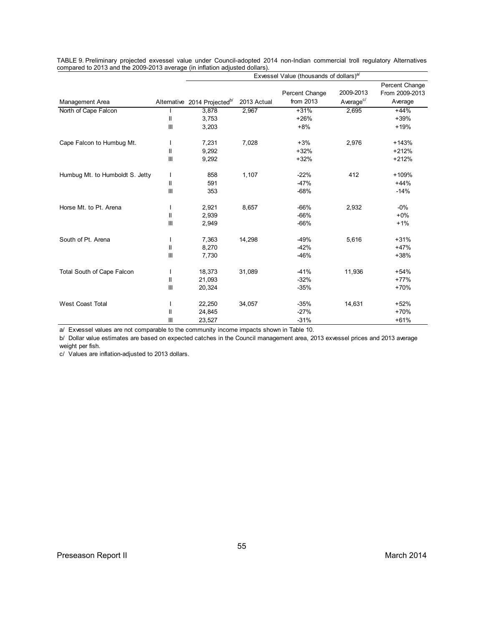| TABLE 9. Preliminary projected exvessel value under Council-adopted 2014 non-Indian commercial troll regulatory Alternatives |  |  |  |  |  |  |  |  |  |  |  |  |  |
|------------------------------------------------------------------------------------------------------------------------------|--|--|--|--|--|--|--|--|--|--|--|--|--|
| compared to 2013 and the 2009-2013 average (in inflation adjusted dollars).                                                  |  |  |  |  |  |  |  |  |  |  |  |  |  |

| Management Area                 |                                  | Alternative 2014 Projected <sup>b/</sup> | 2013 Actual | Percent Change<br>from 2013 | 2009-2013<br>Average <sup>c/</sup> | Percent Change<br>From 2009-2013<br>Average |
|---------------------------------|----------------------------------|------------------------------------------|-------------|-----------------------------|------------------------------------|---------------------------------------------|
| North of Cape Falcon            |                                  | 3,878                                    | 2,967       | $+31%$                      | 2,695                              | $+44%$                                      |
|                                 | Ш                                | 3,753                                    |             | $+26%$                      |                                    | $+39%$                                      |
|                                 | Ш                                | 3,203                                    |             | $+8%$                       |                                    | $+19%$                                      |
| Cape Falcon to Humbug Mt.       |                                  | 7,231                                    | 7,028       | $+3%$                       | 2,976                              | $+143%$                                     |
|                                 | Ш                                | 9,292                                    |             | $+32%$                      |                                    | $+212%$                                     |
|                                 | Ш                                | 9,292                                    |             | $+32%$                      |                                    | $+212%$                                     |
| Humbug Mt. to Humboldt S. Jetty |                                  | 858                                      | 1,107       | $-22%$                      | 412                                | +109%                                       |
|                                 | Ш                                | 591                                      |             | $-47%$                      |                                    | $+44%$                                      |
|                                 | $\mathop{\mathsf{III}}\nolimits$ | 353                                      |             | $-68%$                      |                                    | $-14%$                                      |
| Horse Mt. to Pt. Arena          |                                  | 2,921                                    | 8,657       | $-66%$                      | 2,932                              | $-0%$                                       |
|                                 | Ш                                | 2,939                                    |             | $-66%$                      |                                    | $+0\%$                                      |
|                                 | $\mathop{\mathsf{III}}\nolimits$ | 2,949                                    |             | $-66%$                      |                                    | $+1%$                                       |
| South of Pt. Arena              |                                  | 7,363                                    | 14,298      | $-49%$                      | 5,616                              | $+31%$                                      |
|                                 | $\mathsf{I}$                     | 8,270                                    |             | $-42%$                      |                                    | $+47%$                                      |
|                                 | $\mathbf{III}$                   | 7,730                                    |             | $-46%$                      |                                    | $+38%$                                      |
| Total South of Cape Falcon      |                                  | 18,373                                   | 31,089      | $-41%$                      | 11,936                             | $+54%$                                      |
|                                 | Ш                                | 21,093                                   |             | $-32%$                      |                                    | $+77%$                                      |
|                                 | $\mathbf{III}$                   | 20,324                                   |             | $-35%$                      |                                    | $+70%$                                      |
| West Coast Total                |                                  | 22,250                                   | 34,057      | $-35%$                      | 14,631                             | $+52%$                                      |
|                                 | Ш                                | 24,845                                   |             | $-27%$                      |                                    | $+70%$                                      |
|                                 | Ш                                | 23,527                                   |             | $-31%$                      |                                    | $+61%$                                      |

a/ Exvessel values are not comparable to the community income impacts shown in Table 10.

b/ Dollar value estimates are based on expected catches in the Council management area, 2013 exvessel prices and 2013 average weight per fish.

c/ Values are inflation-adjusted to 2013 dollars.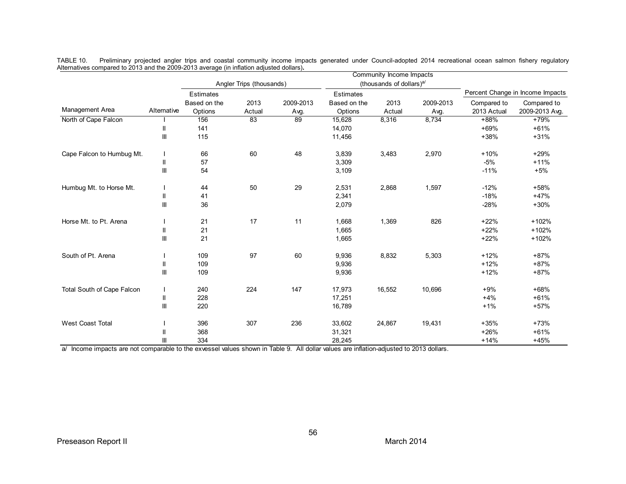|                            |              |                  |                          |           |              | Community Income Impacts             |           |             |                                  |  |
|----------------------------|--------------|------------------|--------------------------|-----------|--------------|--------------------------------------|-----------|-------------|----------------------------------|--|
|                            |              |                  | Angler Trips (thousands) |           |              | (thousands of dollars) <sup>a/</sup> |           |             |                                  |  |
|                            |              | <b>Estimates</b> |                          |           | Estimates    |                                      |           |             | Percent Change in Income Impacts |  |
|                            |              | Based on the     | 2013                     | 2009-2013 | Based on the | 2013                                 | 2009-2013 | Compared to | Compared to                      |  |
| Management Area            | Alternative  | Options          | Actual                   | Avg.      | Options      | Actual                               | Avg.      | 2013 Actual | 2009-2013 Avg.                   |  |
| North of Cape Falcon       |              | 156              | 83                       | 89        | 15,628       | 8,316                                | 8,734     | $+88%$      | +79%                             |  |
|                            |              | 141              |                          |           | 14,070       |                                      |           | $+69%$      | $+61%$                           |  |
|                            | Ш            | 115              |                          |           | 11,456       |                                      |           | $+38%$      | $+31%$                           |  |
| Cape Falcon to Humbug Mt.  |              | 66               | 60                       | 48        | 3,839        | 3,483                                | 2,970     | $+10%$      | $+29%$                           |  |
|                            | $\mathsf{I}$ | 57               |                          |           | 3,309        |                                      |           | $-5%$       | $+11%$                           |  |
|                            | Ш            | 54               |                          |           | 3,109        |                                      |           | $-11%$      | $+5%$                            |  |
| Humbug Mt. to Horse Mt.    |              | 44               | 50                       | 29        | 2,531        | 2,868                                | 1,597     | $-12%$      | +58%                             |  |
|                            | $\mathsf{I}$ | 41               |                          |           | 2,341        |                                      |           | $-18%$      | $+47%$                           |  |
|                            | Ш            | 36               |                          |           | 2,079        |                                      |           | $-28%$      | $+30%$                           |  |
| Horse Mt. to Pt. Arena     |              | 21               | 17                       | 11        | 1,668        | 1,369                                | 826       | $+22%$      | $+102%$                          |  |
|                            |              | 21               |                          |           | 1,665        |                                      |           | $+22%$      | $+102%$                          |  |
|                            | Ш            | 21               |                          |           | 1,665        |                                      |           | $+22%$      | $+102%$                          |  |
| South of Pt. Arena         |              | 109              | 97                       | 60        | 9,936        | 8,832                                | 5,303     | $+12%$      | $+87%$                           |  |
|                            | Ш            | 109              |                          |           | 9,936        |                                      |           | $+12%$      | $+87%$                           |  |
|                            | Ш            | 109              |                          |           | 9,936        |                                      |           | $+12%$      | $+87%$                           |  |
| Total South of Cape Falcon |              | 240              | 224                      | 147       | 17,973       | 16,552                               | 10,696    | $+9%$       | $+68%$                           |  |
|                            | Ш            | 228              |                          |           | 17,251       |                                      |           | $+4%$       | $+61%$                           |  |
|                            | Ш            | 220              |                          |           | 16,789       |                                      |           | $+1%$       | $+57%$                           |  |
| <b>West Coast Total</b>    |              | 396              | 307                      | 236       | 33,602       | 24,867                               | 19,431    | $+35%$      | $+73%$                           |  |
|                            |              | 368              |                          |           | 31,321       |                                      |           | $+26%$      | $+61%$                           |  |
|                            | Ш            | 334              |                          |           | 28,245       |                                      |           | $+14%$      | $+45%$                           |  |

TABLE 10. Preliminary projected angler trips and coastal community income impacts generated under Council-adopted 2014 recreational ocean salmon fishery regulatory Alternatives compared to 2013 and the 2009-2013 average (in inflation adjusted dollars)**.**

a/ Income impacts are not comparable to the exvessel values shown in Table 9. All dollar values are inflation-adjusted to 2013 dollars.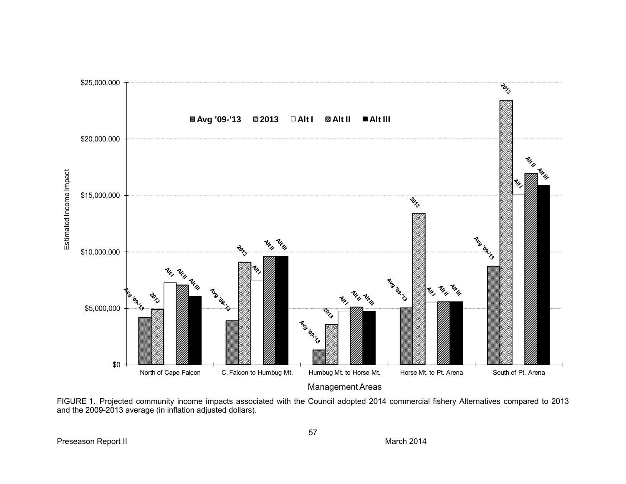

FIGURE 1. Projected community income impacts associated with the Council adopted 2014 commercial fishery Alternatives compared to 2013 and the 2009-2013 average (in inflation adjusted dollars).

Preseason Report II March 2014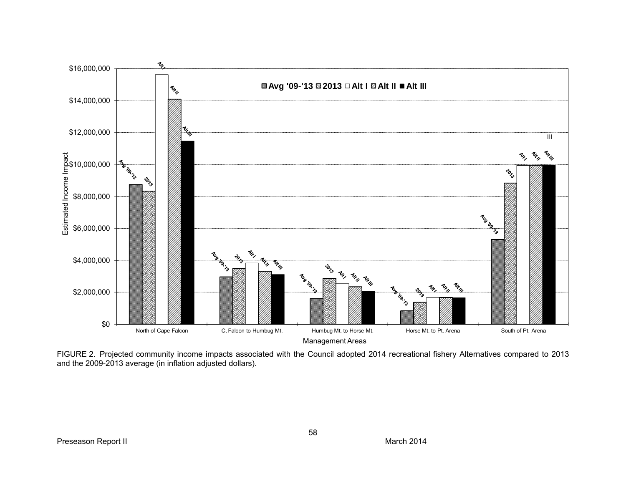

FIGURE 2. Projected community income impacts associated with the Council adopted 2014 recreational fishery Alternatives compared to 2013 and the 2009-2013 average (in inflation adjusted dollars).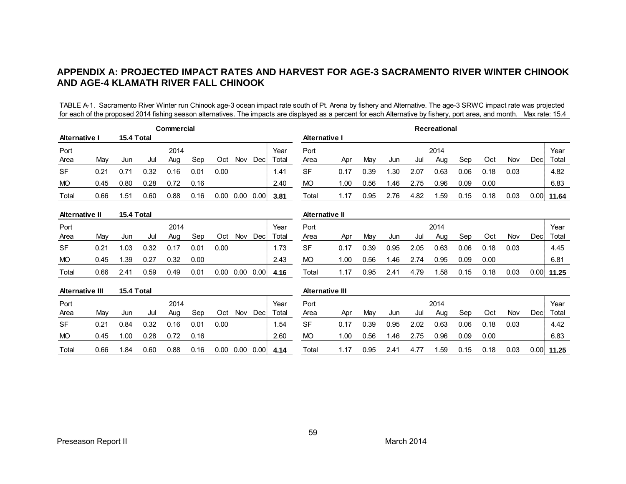# **APPENDIX A: PROJECTED IMPACT RATES AND HARVEST FOR AGE-3 SACRAMENTO RIVER WINTER CHINOOK AND AGE-4 KLAMATH RIVER FALL CHINOOK**

TABLE A-1. Sacramento River Winter run Chinook age-3 ocean impact rate south of Pt. Arena by fishery and Alternative. The age-3 SRWC impact rate was projected for each of the proposed 2014 fishing season alternatives. The impacts are displayed as a percent for each Alternative by fishery, port area, and month. Max rate: 15.4

| Commercial                           |      |      |      |      |      |      |                       |                        |       | Recreational  |      |      |      |      |      |      |      |      |      |       |
|--------------------------------------|------|------|------|------|------|------|-----------------------|------------------------|-------|---------------|------|------|------|------|------|------|------|------|------|-------|
| 15.4 Total<br>Alternative I          |      |      |      |      |      |      |                       |                        |       | Alternative I |      |      |      |      |      |      |      |      |      |       |
| Port                                 |      |      |      | 2014 |      |      |                       |                        | Year  | Port          |      |      |      |      | 2014 |      |      |      |      | Year  |
| Area                                 | May  | Jun  | Jul  | Aug  | Sep  | Oct  | Nov                   | Dec                    | Total | Area          | Apr  | May  | Jun  | Jul  | Aug  | Sep  | Oct  | Nov  | Dec  | Total |
| <b>SF</b>                            | 0.21 | 0.71 | 0.32 | 0.16 | 0.01 | 0.00 |                       |                        | 1.41  | <b>SF</b>     | 0.17 | 0.39 | 1.30 | 2.07 | 0.63 | 0.06 | 0.18 | 0.03 |      | 4.82  |
| <b>MO</b>                            | 0.45 | 0.80 | 0.28 | 0.72 | 0.16 |      |                       |                        | 2.40  | <b>MO</b>     | 1.00 | 0.56 | 1.46 | 2.75 | 0.96 | 0.09 | 0.00 |      |      | 6.83  |
| Total                                | 0.66 | 1.51 | 0.60 | 0.88 | 0.16 |      | $0.00\ 0.00$          | 0.00                   | 3.81  | Total         | 1.17 | 0.95 | 2.76 | 4.82 | 1.59 | 0.15 | 0.18 | 0.03 | 0.00 | 11.64 |
| 15.4 Total<br>Alternative II         |      |      |      |      |      |      | <b>Alternative II</b> |                        |       |               |      |      |      |      |      |      |      |      |      |       |
| Port                                 |      |      |      | 2014 |      |      |                       |                        | Year  | Port          |      |      |      |      | 2014 |      |      |      |      | Year  |
| Area                                 | May  | Jun  | Jul  | Aug  | Sep  | Oct  | Nov                   | Dec                    | Total | Area          | Apr  | May  | Jun  | Jul  | Aug  | Sep  | Oct  | Nov  | Decl | Total |
| <b>SF</b>                            | 0.21 | 1.03 | 0.32 | 0.17 | 0.01 | 0.00 |                       |                        | 1.73  | <b>SF</b>     | 0.17 | 0.39 | 0.95 | 2.05 | 0.63 | 0.06 | 0.18 | 0.03 |      | 4.45  |
| <b>MO</b>                            | 0.45 | 1.39 | 0.27 | 0.32 | 0.00 |      |                       |                        | 2.43  | <b>MO</b>     | 1.00 | 0.56 | 1.46 | 2.74 | 0.95 | 0.09 | 0.00 |      |      | 6.81  |
| Total                                | 0.66 | 2.41 | 0.59 | 0.49 | 0.01 | 0.00 | 0.00                  | 0.00                   | 4.16  | Total         | 1.17 | 0.95 | 2.41 | 4.79 | 1.58 | 0.15 | 0.18 | 0.03 | 0.00 | 11.25 |
| 15.4 Total<br><b>Alternative III</b> |      |      |      |      |      |      |                       | <b>Alternative III</b> |       |               |      |      |      |      |      |      |      |      |      |       |
| Port                                 |      |      |      | 2014 |      |      |                       |                        | Year  | Port          |      |      |      |      | 2014 |      |      |      |      | Year  |
| Area                                 | May  | Jun  | Jul  | Aug  | Sep  | Oct  | Nov                   | Dec                    | Total | Area          | Apr  | May  | Jun  | Jul  | Aug  | Sep  | Oct  | Nov  | Dec  | Total |
| <b>SF</b>                            | 0.21 | 0.84 | 0.32 | 0.16 | 0.01 | 0.00 |                       |                        | 1.54  | <b>SF</b>     | 0.17 | 0.39 | 0.95 | 2.02 | 0.63 | 0.06 | 0.18 | 0.03 |      | 4.42  |
| <b>MO</b>                            | 0.45 | 1.00 | 0.28 | 0.72 | 0.16 |      |                       |                        | 2.60  | <b>MO</b>     | 1.00 | 0.56 | 1.46 | 2.75 | 0.96 | 0.09 | 0.00 |      |      | 6.83  |
| Total                                | 0.66 | 1.84 | 0.60 | 0.88 | 0.16 | 0.00 | 0.00                  | 0.00                   | 4.14  | Total         | 1.17 | 0.95 | 2.41 | 4.77 | 1.59 | 0.15 | 0.18 | 0.03 | 0.00 | 11.25 |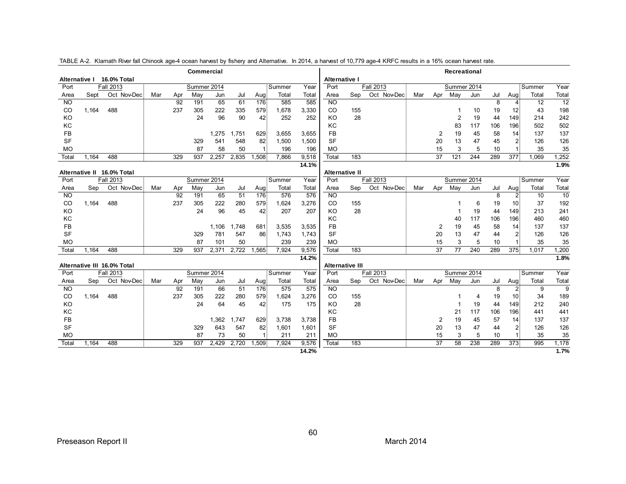|                              |       |                             |     |                 | Commercial  |       |       |               |        |       |                        |     |                  |     |                 | Recreational   |     |     |                      |        |                 |
|------------------------------|-------|-----------------------------|-----|-----------------|-------------|-------|-------|---------------|--------|-------|------------------------|-----|------------------|-----|-----------------|----------------|-----|-----|----------------------|--------|-----------------|
| 16.0% Total<br>Alternative I |       |                             |     |                 |             |       |       | Alternative I |        |       |                        |     |                  |     |                 |                |     |     |                      |        |                 |
| Port                         |       | <b>Fall 2013</b>            |     |                 | Summer 2014 |       |       |               | Summer | Year  | Port                   |     | Fall 2013        |     |                 | Summer 2014    |     |     |                      | Summer | Year            |
| Area                         | Sept  | Oct Nov-Dec                 | Mar | Apr             | May         | Jun   | Jul   | Aug           | Total  | Total | Area                   | Sep | Oct Nov-Dec      | Mar | Apr             | Mav            | Jun | Jul | Aug                  | Total  | Total           |
| <b>NO</b>                    |       |                             |     | $\overline{92}$ | 191         | 65    | 61    | 176           | 585    | 585   | <b>NO</b>              |     |                  |     |                 |                |     | 8   | 4                    | 12     | $\overline{12}$ |
| <sub>CO</sub>                | 1.164 | 488                         |     | 237             | 305         | 222   | 335   | 579           | 1.678  | 3.330 | CO                     | 155 |                  |     |                 |                | 10  | 19  | 12                   | 43     | 198             |
| KO                           |       |                             |     |                 | 24          | 96    | 90    | 42            | 252    | 252   | KO                     | 28  |                  |     |                 | $\overline{2}$ | 19  | 44  | 149                  | 214    | 242             |
| KC                           |       |                             |     |                 |             |       |       |               |        |       | KC                     |     |                  |     |                 | 83             | 117 | 106 | 196                  | 502    | 502             |
| <b>FB</b>                    |       |                             |     |                 |             | 1.275 | 1.751 | 629           | 3.655  | 3.655 | <b>FB</b>              |     |                  |     | 2               | 19             | 45  | 58  | 14                   | 137    | 137             |
| <b>SF</b>                    |       |                             |     |                 | 329         | 541   | 548   | 82            | 1,500  | 1,500 | <b>SF</b>              |     |                  |     | 20              | 13             | 47  | 45  | $\overline{2}$       | 126    | 126             |
| <b>MO</b>                    |       |                             |     |                 | 87          | 58    | 50    | $\mathbf{1}$  | 196    | 196   | <b>MO</b>              |     |                  |     | 15              | 3              | 5   | 10  | $\blacktriangleleft$ | 35     | 35              |
| Total                        | 1.164 | 488                         |     | 329             | 937         | 2,257 | 2,835 | 1.508         | 7.866  | 9,518 | Total                  | 183 |                  |     | $\overline{37}$ | 121            | 244 | 289 | $\overline{377}$     | 1,069  | 1,252           |
|                              |       |                             |     |                 |             |       |       |               |        | 14.1% |                        |     |                  |     |                 |                |     |     |                      |        | 1.9%            |
|                              |       | Alternative II 16.0% Total  |     |                 |             |       |       |               |        |       | <b>Alternative II</b>  |     |                  |     |                 |                |     |     |                      |        |                 |
| Port                         |       | <b>Fall 2013</b>            |     |                 | Summer 2014 |       |       |               | Summer | Year  | Port                   |     | <b>Fall 2013</b> |     |                 | Summer 2014    |     |     |                      | Summer | Year            |
| Area                         | Sep   | Oct Nov-Dec                 | Mar | Apr             | May         | Jun   | Jul   | Aug           | Total  | Total | Area                   | Sep | Oct Nov-Dec      | Mar | Apr             | May            | Jun | Jul | Aug                  | Total  | Total           |
| <b>NO</b>                    |       |                             |     | 92              | 191         | 65    | 51    | 176           | 576    | 576   | <b>NO</b>              |     |                  |     |                 |                |     | 8   | 2                    | 10     | $\overline{10}$ |
| <sub>CO</sub>                | 1.164 | 488                         |     | 237             | 305         | 222   | 280   | 579           | 1.624  | 3,276 | CO                     | 155 |                  |     |                 |                | 6   | 19  | 10                   | 37     | 192             |
| KO                           |       |                             |     |                 | 24          | 96    | 45    | 42            | 207    | 207   | KO                     | 28  |                  |     |                 |                | 19  | 44  | 149                  | 213    | 241             |
| KC                           |       |                             |     |                 |             |       |       |               |        |       | KC                     |     |                  |     |                 | 40             | 117 | 106 | 196                  | 460    | 460             |
| <b>FB</b>                    |       |                             |     |                 |             | 1,106 | 1.748 | 681           | 3.535  | 3,535 | <b>FB</b>              |     |                  |     | 2               | 19             | 45  | 58  | 14                   | 137    | 137             |
| <b>SF</b>                    |       |                             |     |                 | 329         | 781   | 547   | 86            | 1,743  | 1,743 | <b>SF</b>              |     |                  |     | 20              | 13             | 47  | 44  | $\overline{2}$       | 126    | 126             |
| <b>MO</b>                    |       |                             |     |                 | 87          | 101   | 50    |               | 239    | 239   | <b>MO</b>              |     |                  |     | 15              | 3              | 5   | 10  | 1                    | 35     | 35              |
| Total                        | 1.164 | 488                         |     | 329             | 937         | 2,371 | 2,722 | 1.565         | 7,924  | 9,576 | Total                  | 183 |                  |     | 37              | 77             | 240 | 289 | 375                  | 1.017  | 1,200           |
|                              |       |                             |     |                 |             |       |       |               |        | 14.2% |                        |     |                  |     |                 |                |     |     |                      |        | 1.8%            |
|                              |       | Alternative III 16.0% Total |     |                 |             |       |       |               |        |       | <b>Alternative III</b> |     |                  |     |                 |                |     |     |                      |        |                 |
| Port                         |       | <b>Fall 2013</b>            |     |                 | Summer 2014 |       |       |               | Summer | Year  | Port                   |     | <b>Fall 2013</b> |     |                 | Summer 2014    |     |     |                      | Summer | Year            |
| Area                         | Sep   | Oct Nov-Dec                 | Mar | Apr             | May         | Jun   | Jul   | Aug           | Total  | Total | Area                   | Sep | Oct Nov-Dec      | Mar | Apr             | May            | Jun | Jul | Aug                  | Total  | Total           |
| <b>NO</b>                    |       |                             |     | $\overline{92}$ | 191         | 66    | 51    | 176           | 575    | 575   | <b>NO</b>              |     |                  |     |                 |                |     | 8   | $\overline{2}$       | 9      | 9               |
| CO                           | 1,164 | 488                         |     | 237             | 305         | 222   | 280   | 579           | 1,624  | 3,276 | CO                     | 155 |                  |     |                 |                | 4   | 19  | 10                   | 34     | 189             |
| KO                           |       |                             |     |                 | 24          | 64    | 45    | 42            | 175    | 175   | KO                     | 28  |                  |     |                 |                | 19  | 44  | 149                  | 212    | 240             |
| KC                           |       |                             |     |                 |             |       |       |               |        |       | KC                     |     |                  |     |                 | 21             | 117 | 106 | 196                  | 441    | 441             |
| <b>FB</b>                    |       |                             |     |                 |             | 1.362 | 1.747 | 629           | 3.738  | 3,738 | <b>FB</b>              |     |                  |     | 2               | 19             | 45  | 57  | 14                   | 137    | 137             |
| <b>SF</b>                    |       |                             |     |                 | 329         | 643   | 547   | 82            | 1,601  | 1,601 | <b>SF</b>              |     |                  |     | 20              | 13             | 47  | 44  | $\overline{2}$       | 126    | 126             |
| <b>MO</b>                    |       |                             |     |                 | 87          | 73    | 50    | 1             | 211    | 211   | <b>MO</b>              |     |                  |     | 15              | 3              | 5   | 10  | 1                    | 35     | 35              |
| Total                        | 1.164 | 488                         |     | 329             | 937         | 2,429 | 2,720 | .509          | 7.924  | 9,576 | Total                  | 183 |                  |     | 37              | 58             | 238 | 289 | 373                  | 995    | 1,178           |
|                              |       |                             |     |                 |             |       |       |               |        | 14.2% |                        |     |                  |     |                 |                |     |     |                      |        | 1.7%            |

TABLE A-2. Klamath River fall Chinook age-4 ocean harvest by fishery and Alternative. In 2014, a harvest of 10,779 age-4 KRFC results in a 16% ocean harvest rate.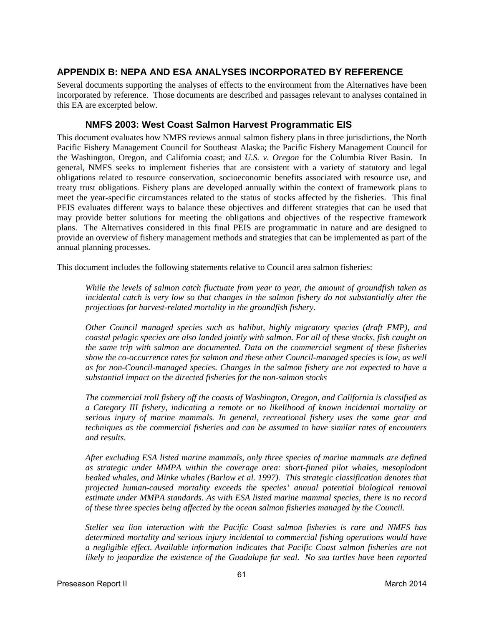# **APPENDIX B: NEPA AND ESA ANALYSES INCORPORATED BY REFERENCE**

Several documents supporting the analyses of effects to the environment from the Alternatives have been incorporated by reference. Those documents are described and passages relevant to analyses contained in this EA are excerpted below.

# **NMFS 2003: West Coast Salmon Harvest Programmatic EIS**

This document evaluates how NMFS reviews annual salmon fishery plans in three jurisdictions, the North Pacific Fishery Management Council for Southeast Alaska; the Pacific Fishery Management Council for the Washington, Oregon, and California coast; and *U.S. v. Oregon* for the Columbia River Basin. In general, NMFS seeks to implement fisheries that are consistent with a variety of statutory and legal obligations related to resource conservation, socioeconomic benefits associated with resource use, and treaty trust obligations. Fishery plans are developed annually within the context of framework plans to meet the year-specific circumstances related to the status of stocks affected by the fisheries. This final PEIS evaluates different ways to balance these objectives and different strategies that can be used that may provide better solutions for meeting the obligations and objectives of the respective framework plans. The Alternatives considered in this final PEIS are programmatic in nature and are designed to provide an overview of fishery management methods and strategies that can be implemented as part of the annual planning processes.

This document includes the following statements relative to Council area salmon fisheries:

*While the levels of salmon catch fluctuate from year to year, the amount of groundfish taken as incidental catch is very low so that changes in the salmon fishery do not substantially alter the projections for harvest-related mortality in the groundfish fishery.* 

*Other Council managed species such as halibut, highly migratory species (draft FMP), and coastal pelagic species are also landed jointly with salmon. For all of these stocks, fish caught on the same trip with salmon are documented. Data on the commercial segment of these fisheries show the co-occurrence rates for salmon and these other Council-managed species is low, as well as for non-Council-managed species. Changes in the salmon fishery are not expected to have a substantial impact on the directed fisheries for the non-salmon stocks* 

*The commercial troll fishery off the coasts of Washington, Oregon, and California is classified as a Category III fishery, indicating a remote or no likelihood of known incidental mortality or serious injury of marine mammals. In general, recreational fishery uses the same gear and techniques as the commercial fisheries and can be assumed to have similar rates of encounters and results.* 

*After excluding ESA listed marine mammals, only three species of marine mammals are defined as strategic under MMPA within the coverage area: short-finned pilot whales, mesoplodont beaked whales, and Minke whales (Barlow et al. 1997). This strategic classification denotes that projected human-caused mortality exceeds the species' annual potential biological removal estimate under MMPA standards. As with ESA listed marine mammal species, there is no record of these three species being affected by the ocean salmon fisheries managed by the Council.* 

*Steller sea lion interaction with the Pacific Coast salmon fisheries is rare and NMFS has determined mortality and serious injury incidental to commercial fishing operations would have a negligible effect. Available information indicates that Pacific Coast salmon fisheries are not likely to jeopardize the existence of the Guadalupe fur seal. No sea turtles have been reported*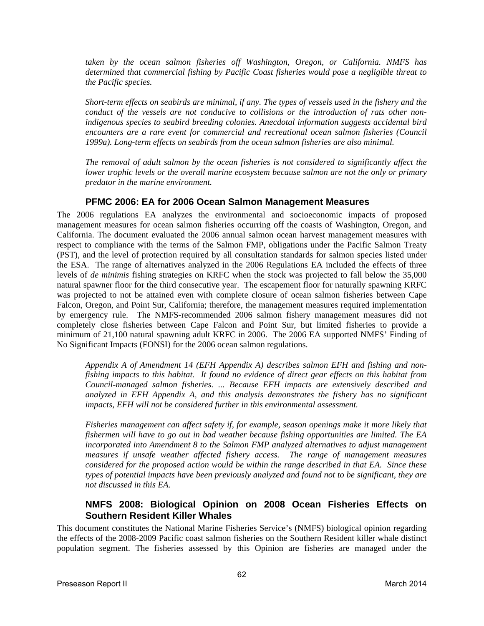*taken by the ocean salmon fisheries off Washington, Oregon, or California. NMFS has determined that commercial fishing by Pacific Coast fisheries would pose a negligible threat to the Pacific species.* 

*Short-term effects on seabirds are minimal, if any. The types of vessels used in the fishery and the conduct of the vessels are not conducive to collisions or the introduction of rats other nonindigenous species to seabird breeding colonies. Anecdotal information suggests accidental bird encounters are a rare event for commercial and recreational ocean salmon fisheries (Council 1999a). Long-term effects on seabirds from the ocean salmon fisheries are also minimal.* 

*The removal of adult salmon by the ocean fisheries is not considered to significantly affect the lower trophic levels or the overall marine ecosystem because salmon are not the only or primary predator in the marine environment.* 

# **PFMC 2006: EA for 2006 Ocean Salmon Management Measures**

The 2006 regulations EA analyzes the environmental and socioeconomic impacts of proposed management measures for ocean salmon fisheries occurring off the coasts of Washington, Oregon, and California. The document evaluated the 2006 annual salmon ocean harvest management measures with respect to compliance with the terms of the Salmon FMP, obligations under the Pacific Salmon Treaty (PST), and the level of protection required by all consultation standards for salmon species listed under the ESA. The range of alternatives analyzed in the 2006 Regulations EA included the effects of three levels of *de minimis* fishing strategies on KRFC when the stock was projected to fall below the 35,000 natural spawner floor for the third consecutive year. The escapement floor for naturally spawning KRFC was projected to not be attained even with complete closure of ocean salmon fisheries between Cape Falcon, Oregon, and Point Sur, California; therefore, the management measures required implementation by emergency rule. The NMFS-recommended 2006 salmon fishery management measures did not completely close fisheries between Cape Falcon and Point Sur, but limited fisheries to provide a minimum of 21,100 natural spawning adult KRFC in 2006. The 2006 EA supported NMFS' Finding of No Significant Impacts (FONSI) for the 2006 ocean salmon regulations.

*Appendix A of Amendment 14 (EFH Appendix A) describes salmon EFH and fishing and nonfishing impacts to this habitat. It found no evidence of direct gear effects on this habitat from Council-managed salmon fisheries. ... Because EFH impacts are extensively described and analyzed in EFH Appendix A, and this analysis demonstrates the fishery has no significant impacts, EFH will not be considered further in this environmental assessment.* 

*Fisheries management can affect safety if, for example, season openings make it more likely that fishermen will have to go out in bad weather because fishing opportunities are limited. The EA incorporated into Amendment 8 to the Salmon FMP analyzed alternatives to adjust management measures if unsafe weather affected fishery access. The range of management measures considered for the proposed action would be within the range described in that EA. Since these types of potential impacts have been previously analyzed and found not to be significant, they are not discussed in this EA.*

# **NMFS 2008: Biological Opinion on 2008 Ocean Fisheries Effects on Southern Resident Killer Whales**

This document constitutes the National Marine Fisheries Service's (NMFS) biological opinion regarding the effects of the 2008-2009 Pacific coast salmon fisheries on the Southern Resident killer whale distinct population segment. The fisheries assessed by this Opinion are fisheries are managed under the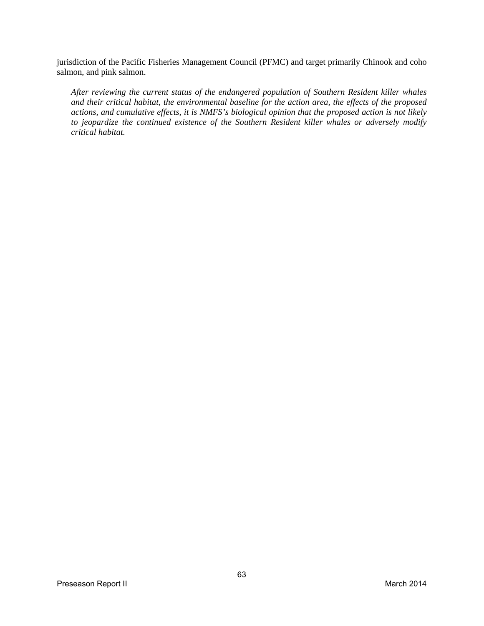jurisdiction of the Pacific Fisheries Management Council (PFMC) and target primarily Chinook and coho salmon, and pink salmon.

*After reviewing the current status of the endangered population of Southern Resident killer whales and their critical habitat, the environmental baseline for the action area, the effects of the proposed actions, and cumulative effects, it is NMFS's biological opinion that the proposed action is not likely to jeopardize the continued existence of the Southern Resident killer whales or adversely modify critical habitat.*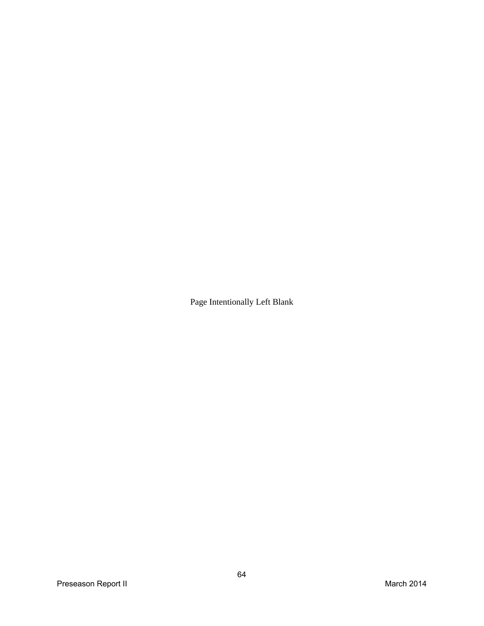Page Intentionally Left Blank